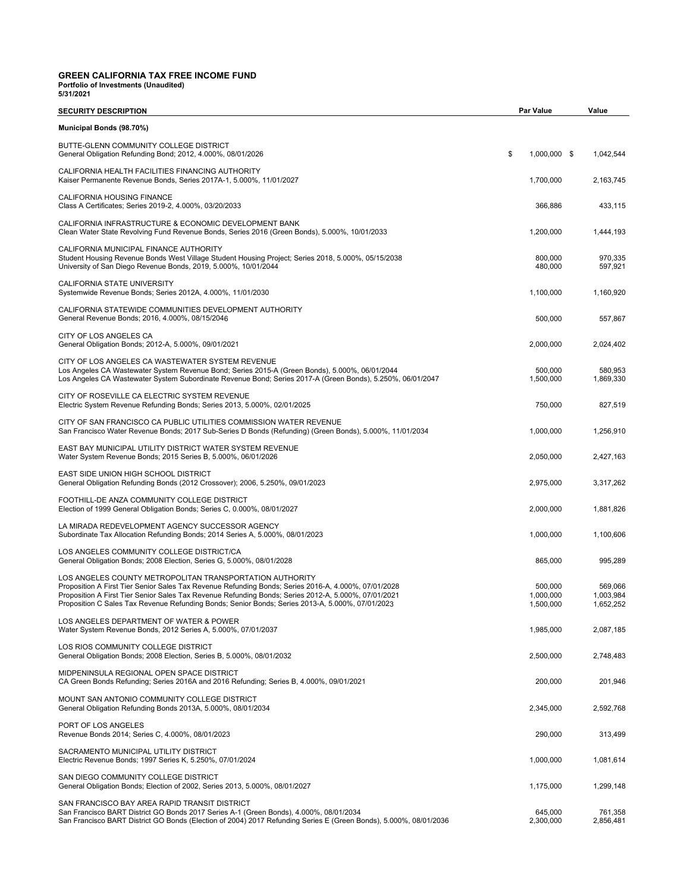# **GREEN CALIFORNIA TAX FREE INCOME FUND Portfolio of Investments (Unaudited) 5/31/2021**

| <b>SECURITY DESCRIPTION</b>                                                                                                                                                                                                                                                                                                                                                  | <b>Par Value</b>                  | Value                             |
|------------------------------------------------------------------------------------------------------------------------------------------------------------------------------------------------------------------------------------------------------------------------------------------------------------------------------------------------------------------------------|-----------------------------------|-----------------------------------|
| Municipal Bonds (98.70%)                                                                                                                                                                                                                                                                                                                                                     |                                   |                                   |
| BUTTE-GLENN COMMUNITY COLLEGE DISTRICT<br>General Obligation Refunding Bond; 2012, 4.000%, 08/01/2026                                                                                                                                                                                                                                                                        | \$<br>1,000,000 \$                | 1,042,544                         |
| CALIFORNIA HEALTH FACILITIES FINANCING AUTHORITY<br>Kaiser Permanente Revenue Bonds, Series 2017A-1, 5.000%, 11/01/2027                                                                                                                                                                                                                                                      | 1,700,000                         | 2,163,745                         |
| CALIFORNIA HOUSING FINANCE<br>Class A Certificates; Series 2019-2, 4.000%, 03/20/2033                                                                                                                                                                                                                                                                                        | 366,886                           | 433,115                           |
| CALIFORNIA INFRASTRUCTURE & ECONOMIC DEVELOPMENT BANK<br>Clean Water State Revolving Fund Revenue Bonds, Series 2016 (Green Bonds), 5.000%, 10/01/2033                                                                                                                                                                                                                       | 1,200,000                         | 1,444,193                         |
| CALIFORNIA MUNICIPAL FINANCE AUTHORITY<br>Student Housing Revenue Bonds West Village Student Housing Project; Series 2018, 5.000%, 05/15/2038<br>University of San Diego Revenue Bonds, 2019, 5.000%, 10/01/2044                                                                                                                                                             | 800,000<br>480,000                | 970.335<br>597,921                |
| CALIFORNIA STATE UNIVERSITY<br>Systemwide Revenue Bonds; Series 2012A, 4.000%, 11/01/2030                                                                                                                                                                                                                                                                                    | 1,100,000                         | 1,160,920                         |
| CALIFORNIA STATEWIDE COMMUNITIES DEVELOPMENT AUTHORITY<br>General Revenue Bonds; 2016, 4.000%, 08/15/2046                                                                                                                                                                                                                                                                    | 500,000                           | 557,867                           |
| CITY OF LOS ANGELES CA<br>General Obligation Bonds; 2012-A, 5.000%, 09/01/2021                                                                                                                                                                                                                                                                                               | 2,000,000                         | 2,024,402                         |
| CITY OF LOS ANGELES CA WASTEWATER SYSTEM REVENUE<br>Los Angeles CA Wastewater System Revenue Bond; Series 2015-A (Green Bonds), 5.000%, 06/01/2044<br>Los Angeles CA Wastewater System Subordinate Revenue Bond; Series 2017-A (Green Bonds), 5.250%, 06/01/2047                                                                                                             | 500,000<br>1,500,000              | 580,953<br>1,869,330              |
| CITY OF ROSEVILLE CA ELECTRIC SYSTEM REVENUE<br>Electric System Revenue Refunding Bonds; Series 2013, 5.000%, 02/01/2025                                                                                                                                                                                                                                                     | 750,000                           | 827,519                           |
| CITY OF SAN FRANCISCO CA PUBLIC UTILITIES COMMISSION WATER REVENUE<br>San Francisco Water Revenue Bonds; 2017 Sub-Series D Bonds (Refunding) (Green Bonds), 5.000%, 11/01/2034                                                                                                                                                                                               | 1,000,000                         | 1,256,910                         |
| EAST BAY MUNICIPAL UTILITY DISTRICT WATER SYSTEM REVENUE<br>Water System Revenue Bonds; 2015 Series B, 5.000%, 06/01/2026                                                                                                                                                                                                                                                    | 2,050,000                         | 2,427,163                         |
| EAST SIDE UNION HIGH SCHOOL DISTRICT<br>General Obligation Refunding Bonds (2012 Crossover); 2006, 5.250%, 09/01/2023                                                                                                                                                                                                                                                        | 2,975,000                         | 3,317,262                         |
| FOOTHILL-DE ANZA COMMUNITY COLLEGE DISTRICT<br>Election of 1999 General Obligation Bonds; Series C, 0.000%, 08/01/2027                                                                                                                                                                                                                                                       | 2,000,000                         | 1,881,826                         |
| LA MIRADA REDEVELOPMENT AGENCY SUCCESSOR AGENCY<br>Subordinate Tax Allocation Refunding Bonds; 2014 Series A, 5.000%, 08/01/2023                                                                                                                                                                                                                                             | 1,000,000                         | 1,100,606                         |
| LOS ANGELES COMMUNITY COLLEGE DISTRICT/CA<br>General Obligation Bonds; 2008 Election, Series G, 5.000%, 08/01/2028                                                                                                                                                                                                                                                           | 865,000                           | 995,289                           |
| LOS ANGELES COUNTY METROPOLITAN TRANSPORTATION AUTHORITY<br>Proposition A First Tier Senior Sales Tax Revenue Refunding Bonds; Series 2016-A, 4.000%, 07/01/2028<br>Proposition A First Tier Senior Sales Tax Revenue Refunding Bonds; Series 2012-A, 5.000%, 07/01/2021<br>Proposition C Sales Tax Revenue Refunding Bonds; Senior Bonds; Series 2013-A, 5.000%, 07/01/2023 | 500,000<br>1,000,000<br>1,500,000 | 569,066<br>1,003,984<br>1,652,252 |
| LOS ANGELES DEPARTMENT OF WATER & POWER<br>Water System Revenue Bonds, 2012 Series A, 5.000%, 07/01/2037                                                                                                                                                                                                                                                                     | 1,985,000                         | 2,087,185                         |
| LOS RIOS COMMUNITY COLLEGE DISTRICT<br>General Obligation Bonds; 2008 Election, Series B, 5.000%, 08/01/2032                                                                                                                                                                                                                                                                 | 2,500,000                         | 2,748,483                         |
| MIDPENINSULA REGIONAL OPEN SPACE DISTRICT<br>CA Green Bonds Refunding; Series 2016A and 2016 Refunding; Series B, 4.000%, 09/01/2021                                                                                                                                                                                                                                         | 200,000                           | 201,946                           |
| MOUNT SAN ANTONIO COMMUNITY COLLEGE DISTRICT<br>General Obligation Refunding Bonds 2013A, 5.000%, 08/01/2034                                                                                                                                                                                                                                                                 | 2,345,000                         | 2,592,768                         |
| PORT OF LOS ANGELES<br>Revenue Bonds 2014; Series C, 4.000%, 08/01/2023                                                                                                                                                                                                                                                                                                      | 290,000                           | 313,499                           |
| SACRAMENTO MUNICIPAL UTILITY DISTRICT<br>Electric Revenue Bonds; 1997 Series K, 5.250%, 07/01/2024                                                                                                                                                                                                                                                                           | 1,000,000                         | 1,081,614                         |
| SAN DIEGO COMMUNITY COLLEGE DISTRICT<br>General Obligation Bonds; Election of 2002, Series 2013, 5.000%, 08/01/2027                                                                                                                                                                                                                                                          | 1,175,000                         | 1,299,148                         |
| SAN FRANCISCO BAY AREA RAPID TRANSIT DISTRICT<br>San Francisco BART District GO Bonds 2017 Series A-1 (Green Bonds), 4.000%, 08/01/2034<br>San Francisco BART District GO Bonds (Election of 2004) 2017 Refunding Series E (Green Bonds), 5.000%, 08/01/2036                                                                                                                 | 645,000<br>2,300,000              | 761,358<br>2,856,481              |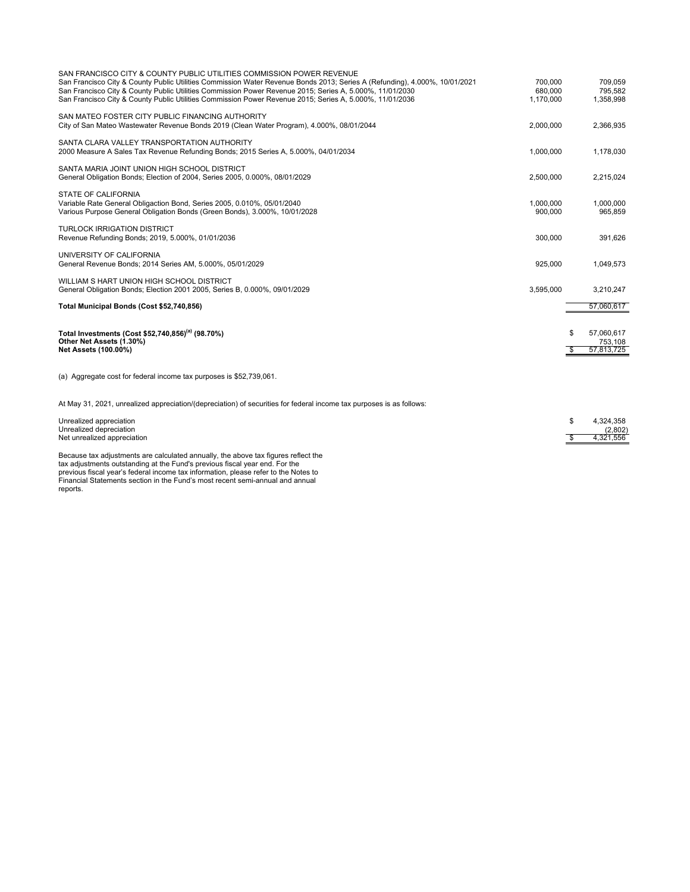| SAN FRANCISCO CITY & COUNTY PUBLIC UTILITIES COMMISSION POWER REVENUE<br>San Francisco City & County Public Utilities Commission Water Revenue Bonds 2013; Series A (Refunding), 4.000%, 10/01/2021<br>San Francisco City & County Public Utilities Commission Power Revenue 2015; Series A, 5.000%, 11/01/2030<br>San Francisco City & County Public Utilities Commission Power Revenue 2015; Series A, 5.000%, 11/01/2036 | 700.000<br>680.000<br>1.170.000 | 709.059<br>795,582<br>1,358,998                  |
|-----------------------------------------------------------------------------------------------------------------------------------------------------------------------------------------------------------------------------------------------------------------------------------------------------------------------------------------------------------------------------------------------------------------------------|---------------------------------|--------------------------------------------------|
| SAN MATEO FOSTER CITY PUBLIC FINANCING AUTHORITY<br>City of San Mateo Wastewater Revenue Bonds 2019 (Clean Water Program), 4.000%, 08/01/2044                                                                                                                                                                                                                                                                               | 2,000,000                       | 2,366,935                                        |
| SANTA CLARA VALLEY TRANSPORTATION AUTHORITY<br>2000 Measure A Sales Tax Revenue Refunding Bonds; 2015 Series A, 5.000%, 04/01/2034                                                                                                                                                                                                                                                                                          | 1,000,000                       | 1,178,030                                        |
| SANTA MARIA JOINT UNION HIGH SCHOOL DISTRICT<br>General Obligation Bonds; Election of 2004, Series 2005, 0.000%, 08/01/2029                                                                                                                                                                                                                                                                                                 | 2,500,000                       | 2,215,024                                        |
| STATE OF CALIFORNIA<br>Variable Rate General Obligaction Bond, Series 2005, 0.010%, 05/01/2040<br>Various Purpose General Obligation Bonds (Green Bonds), 3.000%, 10/01/2028                                                                                                                                                                                                                                                | 1.000.000<br>900.000            | 1.000.000<br>965.859                             |
| <b>TURLOCK IRRIGATION DISTRICT</b><br>Revenue Refunding Bonds; 2019, 5.000%, 01/01/2036                                                                                                                                                                                                                                                                                                                                     | 300,000                         | 391,626                                          |
| UNIVERSITY OF CALIFORNIA<br>General Revenue Bonds; 2014 Series AM, 5.000%, 05/01/2029                                                                                                                                                                                                                                                                                                                                       | 925,000                         | 1,049,573                                        |
| WILLIAM S HART UNION HIGH SCHOOL DISTRICT<br>General Obligation Bonds; Election 2001 2005, Series B, 0.000%, 09/01/2029                                                                                                                                                                                                                                                                                                     | 3,595,000                       | 3,210,247                                        |
| Total Municipal Bonds (Cost \$52,740,856)                                                                                                                                                                                                                                                                                                                                                                                   |                                 | 57,060,617                                       |
| Total Investments (Cost \$52,740,856) <sup>(a)</sup> (98.70%)<br>Other Net Assets (1.30%)<br><b>Net Assets (100.00%)</b>                                                                                                                                                                                                                                                                                                    |                                 | 57,060,617<br>S<br>753,108<br>57,813,725<br>- \$ |
| (a) Aggregate cost for federal income tax purposes is \$52,739,061.                                                                                                                                                                                                                                                                                                                                                         |                                 |                                                  |
| At May 31, 2021, unrealized appreciation/(depreciation) of securities for federal income tax purposes is as follows:                                                                                                                                                                                                                                                                                                        |                                 |                                                  |
|                                                                                                                                                                                                                                                                                                                                                                                                                             |                                 |                                                  |

| Unrealized appreciation                                                            |  | 4.324.358 |
|------------------------------------------------------------------------------------|--|-----------|
| Unrealized depreciation_                                                           |  | (2,802)   |
| Net unrealized appreciation                                                        |  | 4.321.556 |
|                                                                                    |  |           |
| Because tax adjustments are calculated annually, the above tax figures reflect the |  |           |

Because tax adjustments are calculated annually, the above tax figures reflect the<br>tax adjustments outstanding at the Fund's previous fiscal year end. For the<br>previous fiscal year's federal income tax information, please r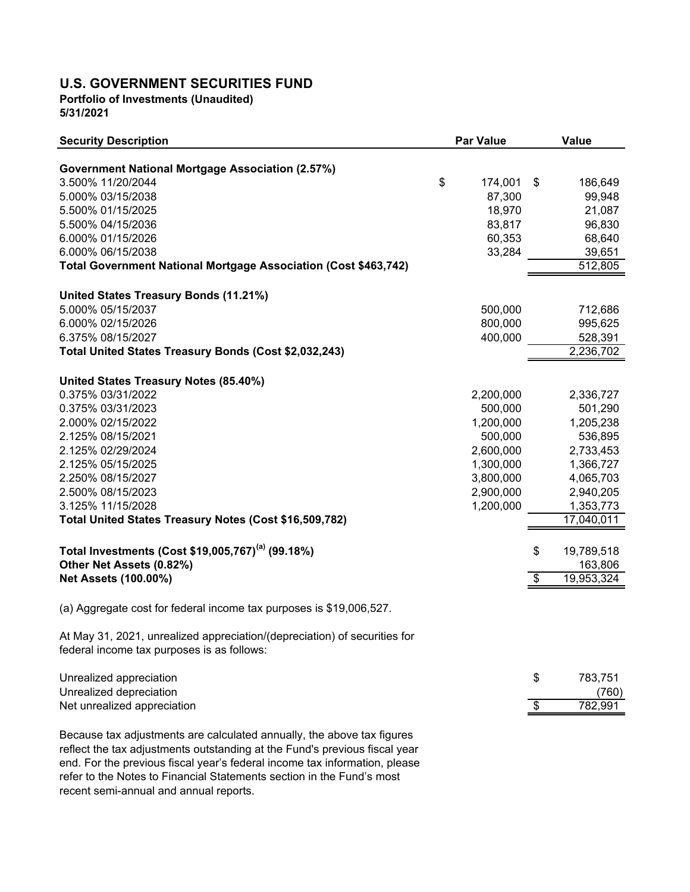## **U.S. GOVERNMENT SECURITIES FUND**

**Portfolio of Investments (Unaudited) 5/31/2021**

| <b>Security Description</b>                                                                                                                          | <b>Par Value</b> | Value            |
|------------------------------------------------------------------------------------------------------------------------------------------------------|------------------|------------------|
|                                                                                                                                                      |                  |                  |
| <b>Government National Mortgage Association (2.57%)</b><br>3.500% 11/20/2044                                                                         | \$<br>174,001    | \$<br>186,649    |
| 5.000% 03/15/2038                                                                                                                                    | 87,300           | 99,948           |
| 5.500% 01/15/2025                                                                                                                                    | 18,970           | 21,087           |
| 5.500% 04/15/2036                                                                                                                                    | 83,817           | 96,830           |
| 6.000% 01/15/2026                                                                                                                                    | 60,353           | 68,640           |
| 6.000% 06/15/2038                                                                                                                                    | 33,284           | 39,651           |
| Total Government National Mortgage Association (Cost \$463,742)                                                                                      |                  | 512,805          |
| United States Treasury Bonds (11.21%)                                                                                                                |                  |                  |
| 5.000% 05/15/2037                                                                                                                                    | 500,000          | 712,686          |
| 6.000% 02/15/2026                                                                                                                                    | 800,000          | 995,625          |
| 6.375% 08/15/2027                                                                                                                                    | 400,000          | 528,391          |
| Total United States Treasury Bonds (Cost \$2,032,243)                                                                                                |                  | 2,236,702        |
|                                                                                                                                                      |                  |                  |
| United States Treasury Notes (85.40%)                                                                                                                |                  |                  |
| 0.375% 03/31/2022                                                                                                                                    | 2,200,000        | 2,336,727        |
| 0.375% 03/31/2023                                                                                                                                    | 500,000          | 501,290          |
| 2.000% 02/15/2022                                                                                                                                    | 1,200,000        | 1,205,238        |
| 2.125% 08/15/2021                                                                                                                                    | 500,000          | 536,895          |
| 2.125% 02/29/2024                                                                                                                                    | 2,600,000        | 2,733,453        |
| 2.125% 05/15/2025                                                                                                                                    | 1,300,000        | 1,366,727        |
| 2.250% 08/15/2027                                                                                                                                    | 3,800,000        | 4,065,703        |
| 2.500% 08/15/2023                                                                                                                                    | 2,900,000        | 2,940,205        |
| 3.125% 11/15/2028                                                                                                                                    | 1,200,000        | 1,353,773        |
| Total United States Treasury Notes (Cost \$16,509,782)                                                                                               |                  | 17,040,011       |
| Total Investments (Cost \$19,005,767) <sup>(a)</sup> (99.18%)                                                                                        |                  | \$<br>19,789,518 |
| Other Net Assets (0.82%)                                                                                                                             |                  | 163,806          |
| <b>Net Assets (100.00%)</b>                                                                                                                          |                  | \$<br>19,953,324 |
| (a) Aggregate cost for federal income tax purposes is \$19,006,527.                                                                                  |                  |                  |
| At May 31, 2021, unrealized appreciation/(depreciation) of securities for                                                                            |                  |                  |
| federal income tax purposes is as follows:                                                                                                           |                  |                  |
| Unrealized appreciation                                                                                                                              |                  | \$<br>783,751    |
| Unrealized depreciation                                                                                                                              |                  | (760)            |
| Net unrealized appreciation                                                                                                                          |                  | \$<br>782,991    |
| Because tax adjustments are calculated annually, the above tax figures<br>reflect the tax adjustments outstanding at the Fund's previous fiscal year |                  |                  |

reflect the tax adjustments outstanding at the Fund's previous fiscal year end. For the previous fiscal year's federal income tax information, please refer to the Notes to Financial Statements section in the Fund's most recent semi-annual and annual reports.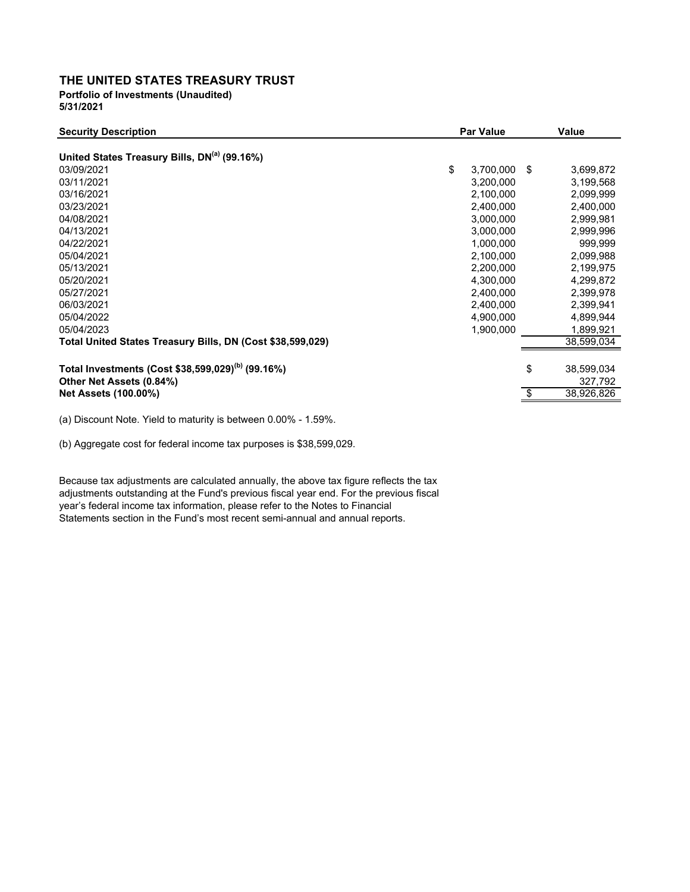## **THE UNITED STATES TREASURY TRUST Portfolio of Investments (Unaudited)**

**5/31/2021**

| <b>Security Description</b>                                   | <b>Par Value</b>      | Value      |
|---------------------------------------------------------------|-----------------------|------------|
| United States Treasury Bills, DN <sup>(a)</sup> (99.16%)      |                       |            |
| 03/09/2021                                                    | \$<br>3,700,000<br>\$ | 3,699,872  |
| 03/11/2021                                                    | 3,200,000             | 3,199,568  |
| 03/16/2021                                                    | 2,100,000             | 2,099,999  |
| 03/23/2021                                                    | 2,400,000             | 2,400,000  |
| 04/08/2021                                                    | 3,000,000             | 2,999,981  |
| 04/13/2021                                                    | 3,000,000             | 2,999,996  |
| 04/22/2021                                                    | 1,000,000             | 999,999    |
| 05/04/2021                                                    | 2,100,000             | 2,099,988  |
| 05/13/2021                                                    | 2,200,000             | 2,199,975  |
| 05/20/2021                                                    | 4,300,000             | 4,299,872  |
| 05/27/2021                                                    | 2,400,000             | 2,399,978  |
| 06/03/2021                                                    | 2,400,000             | 2,399,941  |
| 05/04/2022                                                    | 4,900,000             | 4,899,944  |
| 05/04/2023                                                    | 1,900,000             | 1,899,921  |
| Total United States Treasury Bills, DN (Cost \$38,599,029)    |                       | 38,599,034 |
|                                                               |                       |            |
| Total Investments (Cost \$38,599,029) <sup>(b)</sup> (99.16%) | \$                    | 38,599,034 |
| Other Net Assets (0.84%)                                      |                       | 327,792    |
| <b>Net Assets (100.00%)</b>                                   | S                     | 38,926,826 |
|                                                               |                       |            |

(a) Discount Note. Yield to maturity is between 0.00% - 1.59%.

(b) Aggregate cost for federal income tax purposes is \$38,599,029.

Because tax adjustments are calculated annually, the above tax figure reflects the tax adjustments outstanding at the Fund's previous fiscal year end. For the previous fiscal year's federal income tax information, please refer to the Notes to Financial Statements section in the Fund's most recent semi-annual and annual reports.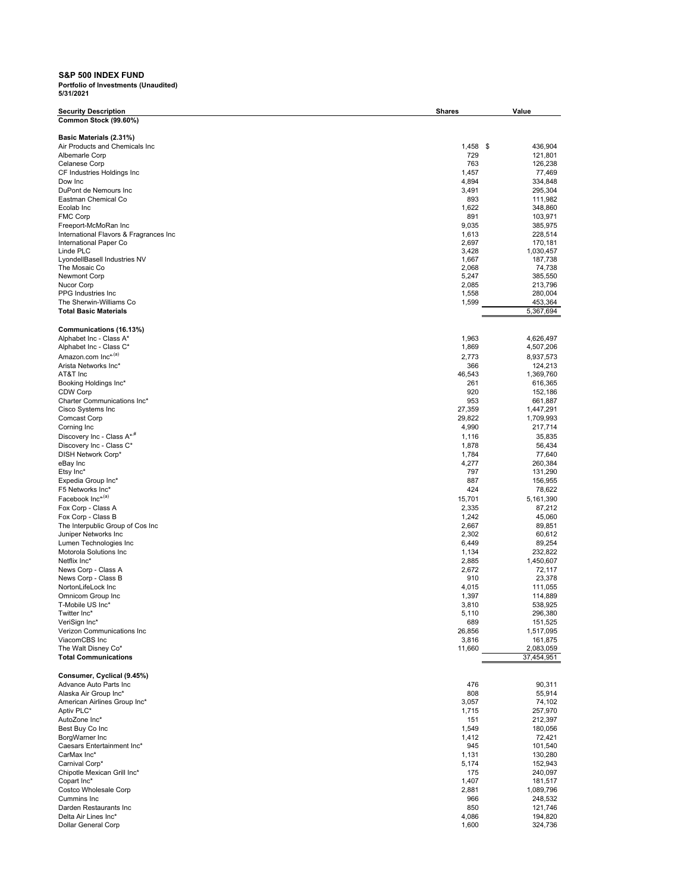## **S&P 500 INDEX FUND**

| <b>Security Description</b>                           | <b>Shares</b>   | Value                    |
|-------------------------------------------------------|-----------------|--------------------------|
| Common Stock (99.60%)                                 |                 |                          |
|                                                       |                 |                          |
| Basic Materials (2.31%)                               |                 |                          |
| Air Products and Chemicals Inc<br>Albemarle Corp      | 1,458<br>729    | 436,904<br>\$<br>121,801 |
| Celanese Corp                                         | 763             | 126,238                  |
| CF Industries Holdings Inc                            | 1,457           | 77,469                   |
| Dow Inc                                               | 4,894           | 334,848                  |
| DuPont de Nemours Inc                                 | 3,491           | 295,304                  |
| Eastman Chemical Co                                   | 893             | 111,982                  |
| Ecolab Inc<br><b>FMC Corp</b>                         | 1,622<br>891    | 348,860<br>103,971       |
| Freeport-McMoRan Inc                                  | 9,035           | 385,975                  |
| International Flavors & Fragrances Inc                | 1,613           | 228,514                  |
| International Paper Co                                | 2,697           | 170,181                  |
| Linde PLC                                             | 3,428           | 1,030,457                |
| LyondellBasell Industries NV<br>The Mosaic Co         | 1,667<br>2,068  | 187,738<br>74,738        |
| <b>Newmont Corp</b>                                   | 5,247           | 385,550                  |
| Nucor Corp                                            | 2,085           | 213,796                  |
| PPG Industries Inc                                    | 1,558           | 280,004                  |
| The Sherwin-Williams Co                               | 1,599           | 453,364                  |
| <b>Total Basic Materials</b>                          |                 | 5,367,694                |
|                                                       |                 |                          |
| Communications (16.13%)                               |                 |                          |
| Alphabet Inc - Class A*<br>Alphabet Inc - Class C*    | 1,963<br>1,869  | 4,626,497<br>4,507,206   |
| Amazon.com Inc* <sup>,(a)</sup>                       | 2,773           | 8,937,573                |
| Arista Networks Inc*                                  | 366             | 124,213                  |
| AT&T Inc                                              | 46,543          | 1,369,760                |
| Booking Holdings Inc*                                 | 261             | 616,365                  |
| <b>CDW Corp</b>                                       | 920             | 152,186                  |
| Charter Communications Inc*                           | 953             | 661,887                  |
| Cisco Systems Inc                                     | 27,359          | 1,447,291                |
| Comcast Corp<br>Corning Inc                           | 29,822<br>4,990 | 1,709,993<br>217,714     |
| Discovery Inc - Class A* <sup>,#</sup>                | 1,116           | 35,835                   |
| Discovery Inc - Class C*                              | 1,878           | 56,434                   |
| DISH Network Corp*                                    | 1,784           | 77,640                   |
| eBay Inc                                              | 4,277           | 260,384                  |
| Etsy Inc*                                             | 797             | 131,290                  |
| Expedia Group Inc*                                    | 887             | 156,955                  |
| F5 Networks Inc*                                      | 424             | 78,622                   |
| Facebook Inc* <sup>(a)</sup>                          | 15,701          | 5,161,390                |
| Fox Corp - Class A<br>Fox Corp - Class B              | 2,335<br>1,242  | 87,212<br>45,060         |
| The Interpublic Group of Cos Inc                      | 2,667           | 89,851                   |
| Juniper Networks Inc                                  | 2,302           | 60,612                   |
| Lumen Technologies Inc                                | 6,449           | 89,254                   |
| Motorola Solutions Inc                                | 1,134           | 232,822                  |
| Netflix Inc*                                          | 2,885           | 1,450,607                |
| News Corp - Class A                                   | 2,672           | 72,117                   |
| News Corp - Class B<br>NortonLifeLock Inc             | 910<br>4,015    | 23,378<br>111,055        |
| Omnicom Group Inc                                     | 1,397           | 114,889                  |
| T-Mobile US Inc*                                      | 3,810           | 538.925                  |
| Twitter Inc*                                          | 5,110           | 296,380                  |
| VeriSign Inc*                                         | 689             | 151,525                  |
| Verizon Communications Inc                            | 26,856          | 1,517,095                |
| ViacomCBS Inc                                         | 3,816           | 161,875                  |
| The Walt Disney Co*<br><b>Total Communications</b>    | 11,660          | 2,083,059<br>37,454,951  |
|                                                       |                 |                          |
| Consumer, Cyclical (9.45%)                            |                 |                          |
| Advance Auto Parts Inc                                | 476             | 90,311                   |
| Alaska Air Group Inc*<br>American Airlines Group Inc* | 808<br>3,057    | 55,914<br>74,102         |
| Aptiv PLC*                                            | 1,715           | 257,970                  |
| AutoZone Inc*                                         | 151             | 212,397                  |
| Best Buy Co Inc                                       | 1,549           | 180,056                  |
| BorgWarner Inc                                        | 1,412           | 72,421                   |
| Caesars Entertainment Inc*                            | 945             | 101,540                  |
| CarMax Inc*                                           | 1,131           | 130,280                  |
| Carnival Corp*                                        | 5,174           | 152,943                  |
| Chipotle Mexican Grill Inc*                           | 175             | 240,097                  |
| Copart Inc*<br>Costco Wholesale Corp                  | 1,407<br>2,881  | 181,517<br>1,089,796     |
| Cummins Inc                                           | 966             | 248,532                  |
| Darden Restaurants Inc                                | 850             | 121,746                  |
| Delta Air Lines Inc*                                  | 4,086           | 194,820                  |
| Dollar General Corp                                   | 1,600           | 324,736                  |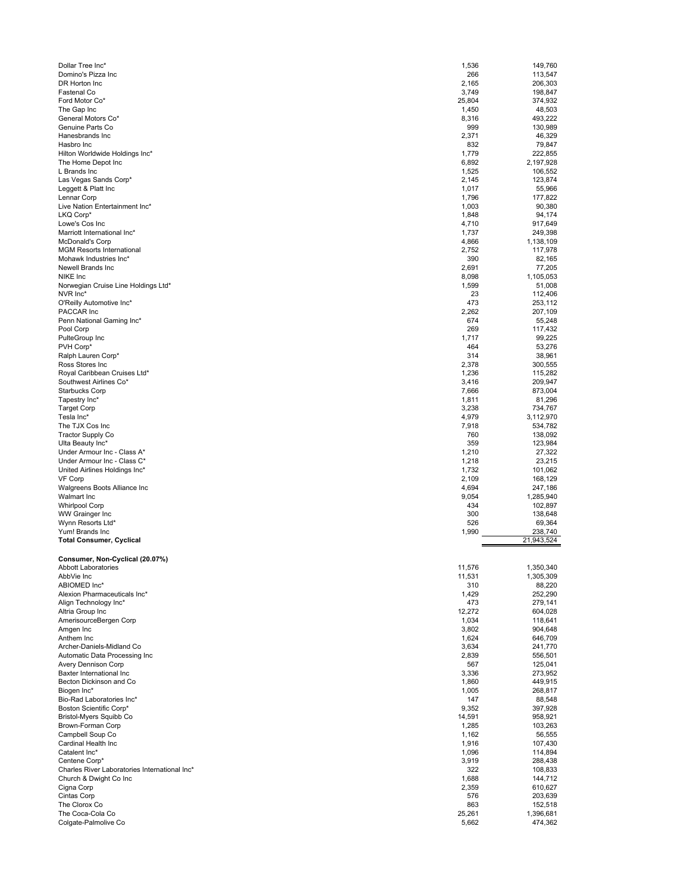| Dollar Tree Inc*<br>1,536<br>Domino's Pizza Inc<br>266<br>DR Horton Inc<br>2,165<br>3,749<br>Fastenal Co<br>25,804<br>Ford Motor Co*<br>The Gap Inc<br>1,450<br>General Motors Co*<br>8,316<br>Genuine Parts Co<br>999<br>2,371<br>Hanesbrands Inc<br>832<br>Hasbro Inc<br>Hilton Worldwide Holdings Inc*<br>1,779<br>The Home Depot Inc<br>6,892<br>L Brands Inc<br>1,525<br>Las Vegas Sands Corp*<br>2,145<br>Leggett & Platt Inc<br>1,017<br>Lennar Corp<br>1,796<br>Live Nation Entertainment Inc*<br>1,003<br>LKQ Corp*<br>1,848<br>Lowe's Cos Inc<br>4,710<br>1,737<br>Marriott International Inc*<br><b>McDonald's Corp</b><br>4,866<br>2,752<br><b>MGM Resorts International</b><br>Mohawk Industries Inc*<br>390<br>2,691<br>Newell Brands Inc | 149,760<br>113,547<br>206,303<br>198,847<br>374,932<br>48,503<br>493,222<br>130,989<br>46,329<br>79,847<br>222,855<br>2,197,928<br>106,552<br>123,874<br>55,966<br>177,822<br>90,380<br>94,174<br>917,649<br>249,398 |
|---------------------------------------------------------------------------------------------------------------------------------------------------------------------------------------------------------------------------------------------------------------------------------------------------------------------------------------------------------------------------------------------------------------------------------------------------------------------------------------------------------------------------------------------------------------------------------------------------------------------------------------------------------------------------------------------------------------------------------------------------------|----------------------------------------------------------------------------------------------------------------------------------------------------------------------------------------------------------------------|
|                                                                                                                                                                                                                                                                                                                                                                                                                                                                                                                                                                                                                                                                                                                                                         |                                                                                                                                                                                                                      |
|                                                                                                                                                                                                                                                                                                                                                                                                                                                                                                                                                                                                                                                                                                                                                         |                                                                                                                                                                                                                      |
|                                                                                                                                                                                                                                                                                                                                                                                                                                                                                                                                                                                                                                                                                                                                                         |                                                                                                                                                                                                                      |
|                                                                                                                                                                                                                                                                                                                                                                                                                                                                                                                                                                                                                                                                                                                                                         |                                                                                                                                                                                                                      |
|                                                                                                                                                                                                                                                                                                                                                                                                                                                                                                                                                                                                                                                                                                                                                         |                                                                                                                                                                                                                      |
|                                                                                                                                                                                                                                                                                                                                                                                                                                                                                                                                                                                                                                                                                                                                                         |                                                                                                                                                                                                                      |
|                                                                                                                                                                                                                                                                                                                                                                                                                                                                                                                                                                                                                                                                                                                                                         |                                                                                                                                                                                                                      |
|                                                                                                                                                                                                                                                                                                                                                                                                                                                                                                                                                                                                                                                                                                                                                         |                                                                                                                                                                                                                      |
|                                                                                                                                                                                                                                                                                                                                                                                                                                                                                                                                                                                                                                                                                                                                                         |                                                                                                                                                                                                                      |
|                                                                                                                                                                                                                                                                                                                                                                                                                                                                                                                                                                                                                                                                                                                                                         |                                                                                                                                                                                                                      |
|                                                                                                                                                                                                                                                                                                                                                                                                                                                                                                                                                                                                                                                                                                                                                         |                                                                                                                                                                                                                      |
|                                                                                                                                                                                                                                                                                                                                                                                                                                                                                                                                                                                                                                                                                                                                                         |                                                                                                                                                                                                                      |
|                                                                                                                                                                                                                                                                                                                                                                                                                                                                                                                                                                                                                                                                                                                                                         |                                                                                                                                                                                                                      |
|                                                                                                                                                                                                                                                                                                                                                                                                                                                                                                                                                                                                                                                                                                                                                         |                                                                                                                                                                                                                      |
|                                                                                                                                                                                                                                                                                                                                                                                                                                                                                                                                                                                                                                                                                                                                                         |                                                                                                                                                                                                                      |
|                                                                                                                                                                                                                                                                                                                                                                                                                                                                                                                                                                                                                                                                                                                                                         |                                                                                                                                                                                                                      |
|                                                                                                                                                                                                                                                                                                                                                                                                                                                                                                                                                                                                                                                                                                                                                         |                                                                                                                                                                                                                      |
|                                                                                                                                                                                                                                                                                                                                                                                                                                                                                                                                                                                                                                                                                                                                                         |                                                                                                                                                                                                                      |
|                                                                                                                                                                                                                                                                                                                                                                                                                                                                                                                                                                                                                                                                                                                                                         |                                                                                                                                                                                                                      |
|                                                                                                                                                                                                                                                                                                                                                                                                                                                                                                                                                                                                                                                                                                                                                         | 1,138,109                                                                                                                                                                                                            |
|                                                                                                                                                                                                                                                                                                                                                                                                                                                                                                                                                                                                                                                                                                                                                         | 117,978                                                                                                                                                                                                              |
|                                                                                                                                                                                                                                                                                                                                                                                                                                                                                                                                                                                                                                                                                                                                                         | 82,165                                                                                                                                                                                                               |
|                                                                                                                                                                                                                                                                                                                                                                                                                                                                                                                                                                                                                                                                                                                                                         | 77,205                                                                                                                                                                                                               |
| 8,098<br>NIKE Inc                                                                                                                                                                                                                                                                                                                                                                                                                                                                                                                                                                                                                                                                                                                                       | 1,105,053                                                                                                                                                                                                            |
| 1,599<br>Norwegian Cruise Line Holdings Ltd*                                                                                                                                                                                                                                                                                                                                                                                                                                                                                                                                                                                                                                                                                                            | 51,008                                                                                                                                                                                                               |
| 23<br>NVR Inc*                                                                                                                                                                                                                                                                                                                                                                                                                                                                                                                                                                                                                                                                                                                                          | 112,406                                                                                                                                                                                                              |
| O'Reilly Automotive Inc*<br>473                                                                                                                                                                                                                                                                                                                                                                                                                                                                                                                                                                                                                                                                                                                         | 253,112                                                                                                                                                                                                              |
| 2,262<br>PACCAR Inc                                                                                                                                                                                                                                                                                                                                                                                                                                                                                                                                                                                                                                                                                                                                     | 207,109                                                                                                                                                                                                              |
| 674<br>Penn National Gaming Inc*                                                                                                                                                                                                                                                                                                                                                                                                                                                                                                                                                                                                                                                                                                                        | 55,248                                                                                                                                                                                                               |
| 269<br>Pool Corp                                                                                                                                                                                                                                                                                                                                                                                                                                                                                                                                                                                                                                                                                                                                        | 117,432                                                                                                                                                                                                              |
| PulteGroup Inc<br>1,717                                                                                                                                                                                                                                                                                                                                                                                                                                                                                                                                                                                                                                                                                                                                 | 99,225                                                                                                                                                                                                               |
| PVH Corp*<br>464<br>314                                                                                                                                                                                                                                                                                                                                                                                                                                                                                                                                                                                                                                                                                                                                 | 53,276<br>38,961                                                                                                                                                                                                     |
| Ralph Lauren Corp*<br>2,378<br>Ross Stores Inc                                                                                                                                                                                                                                                                                                                                                                                                                                                                                                                                                                                                                                                                                                          | 300,555                                                                                                                                                                                                              |
| Royal Caribbean Cruises Ltd*<br>1,236                                                                                                                                                                                                                                                                                                                                                                                                                                                                                                                                                                                                                                                                                                                   | 115,282                                                                                                                                                                                                              |
| Southwest Airlines Co*<br>3,416                                                                                                                                                                                                                                                                                                                                                                                                                                                                                                                                                                                                                                                                                                                         | 209,947                                                                                                                                                                                                              |
| <b>Starbucks Corp</b><br>7,666                                                                                                                                                                                                                                                                                                                                                                                                                                                                                                                                                                                                                                                                                                                          | 873,004                                                                                                                                                                                                              |
| Tapestry Inc*<br>1,811                                                                                                                                                                                                                                                                                                                                                                                                                                                                                                                                                                                                                                                                                                                                  | 81,296                                                                                                                                                                                                               |
| <b>Target Corp</b><br>3,238                                                                                                                                                                                                                                                                                                                                                                                                                                                                                                                                                                                                                                                                                                                             | 734,767                                                                                                                                                                                                              |
| Tesla Inc*<br>4,979                                                                                                                                                                                                                                                                                                                                                                                                                                                                                                                                                                                                                                                                                                                                     | 3,112,970                                                                                                                                                                                                            |
| The TJX Cos Inc<br>7,918                                                                                                                                                                                                                                                                                                                                                                                                                                                                                                                                                                                                                                                                                                                                | 534,782                                                                                                                                                                                                              |
| <b>Tractor Supply Co</b><br>760                                                                                                                                                                                                                                                                                                                                                                                                                                                                                                                                                                                                                                                                                                                         | 138,092                                                                                                                                                                                                              |
| 359<br>Ulta Beauty Inc*                                                                                                                                                                                                                                                                                                                                                                                                                                                                                                                                                                                                                                                                                                                                 | 123,984                                                                                                                                                                                                              |
| Under Armour Inc - Class A*<br>1,210                                                                                                                                                                                                                                                                                                                                                                                                                                                                                                                                                                                                                                                                                                                    | 27,322                                                                                                                                                                                                               |
| Under Armour Inc - Class C*<br>1,218                                                                                                                                                                                                                                                                                                                                                                                                                                                                                                                                                                                                                                                                                                                    | 23,215                                                                                                                                                                                                               |
| United Airlines Holdings Inc*<br>1,732                                                                                                                                                                                                                                                                                                                                                                                                                                                                                                                                                                                                                                                                                                                  | 101,062                                                                                                                                                                                                              |
| VF Corp<br>2,109                                                                                                                                                                                                                                                                                                                                                                                                                                                                                                                                                                                                                                                                                                                                        | 168,129                                                                                                                                                                                                              |
| 4,694<br>Walgreens Boots Alliance Inc                                                                                                                                                                                                                                                                                                                                                                                                                                                                                                                                                                                                                                                                                                                   | 247,186                                                                                                                                                                                                              |
| Walmart Inc<br>9,054                                                                                                                                                                                                                                                                                                                                                                                                                                                                                                                                                                                                                                                                                                                                    | 1,285,940                                                                                                                                                                                                            |
| <b>Whirlpool Corp</b><br>434                                                                                                                                                                                                                                                                                                                                                                                                                                                                                                                                                                                                                                                                                                                            | 102,897                                                                                                                                                                                                              |
| WW Grainger Inc<br>300                                                                                                                                                                                                                                                                                                                                                                                                                                                                                                                                                                                                                                                                                                                                  | 138,648                                                                                                                                                                                                              |
| 526<br>Wynn Resorts Ltd*                                                                                                                                                                                                                                                                                                                                                                                                                                                                                                                                                                                                                                                                                                                                | 69,364                                                                                                                                                                                                               |
| Yum! Brands Inc<br>1,990                                                                                                                                                                                                                                                                                                                                                                                                                                                                                                                                                                                                                                                                                                                                | 238,740                                                                                                                                                                                                              |
|                                                                                                                                                                                                                                                                                                                                                                                                                                                                                                                                                                                                                                                                                                                                                         |                                                                                                                                                                                                                      |
|                                                                                                                                                                                                                                                                                                                                                                                                                                                                                                                                                                                                                                                                                                                                                         | 21,943,524                                                                                                                                                                                                           |
|                                                                                                                                                                                                                                                                                                                                                                                                                                                                                                                                                                                                                                                                                                                                                         |                                                                                                                                                                                                                      |
| Consumer, Non-Cyclical (20.07%)                                                                                                                                                                                                                                                                                                                                                                                                                                                                                                                                                                                                                                                                                                                         |                                                                                                                                                                                                                      |
| Abbott Laboratories<br>11,576                                                                                                                                                                                                                                                                                                                                                                                                                                                                                                                                                                                                                                                                                                                           | 1,350,340                                                                                                                                                                                                            |
| AbbVie Inc<br>11,531                                                                                                                                                                                                                                                                                                                                                                                                                                                                                                                                                                                                                                                                                                                                    | 1,305,309                                                                                                                                                                                                            |
| ABIOMED Inc*<br>310                                                                                                                                                                                                                                                                                                                                                                                                                                                                                                                                                                                                                                                                                                                                     | 88,220                                                                                                                                                                                                               |
| 1,429<br>Alexion Pharmaceuticals Inc*                                                                                                                                                                                                                                                                                                                                                                                                                                                                                                                                                                                                                                                                                                                   | 252,290                                                                                                                                                                                                              |
| 473<br>Align Technology Inc*                                                                                                                                                                                                                                                                                                                                                                                                                                                                                                                                                                                                                                                                                                                            | 279,141                                                                                                                                                                                                              |
| 12,272<br>Altria Group Inc                                                                                                                                                                                                                                                                                                                                                                                                                                                                                                                                                                                                                                                                                                                              | 604,028                                                                                                                                                                                                              |
| AmerisourceBergen Corp<br>1,034<br>3,802<br>Amgen Inc                                                                                                                                                                                                                                                                                                                                                                                                                                                                                                                                                                                                                                                                                                   | 118,641<br>904,648                                                                                                                                                                                                   |
| 1,624<br>Anthem Inc                                                                                                                                                                                                                                                                                                                                                                                                                                                                                                                                                                                                                                                                                                                                     | 646,709                                                                                                                                                                                                              |
| 3,634<br>Archer-Daniels-Midland Co                                                                                                                                                                                                                                                                                                                                                                                                                                                                                                                                                                                                                                                                                                                      | 241,770                                                                                                                                                                                                              |
| Automatic Data Processing Inc<br>2,839                                                                                                                                                                                                                                                                                                                                                                                                                                                                                                                                                                                                                                                                                                                  | 556,501                                                                                                                                                                                                              |
| <b>Avery Dennison Corp</b><br>567                                                                                                                                                                                                                                                                                                                                                                                                                                                                                                                                                                                                                                                                                                                       | 125,041                                                                                                                                                                                                              |
| 3,336<br>Baxter International Inc                                                                                                                                                                                                                                                                                                                                                                                                                                                                                                                                                                                                                                                                                                                       | 273,952                                                                                                                                                                                                              |
| Becton Dickinson and Co<br>1,860                                                                                                                                                                                                                                                                                                                                                                                                                                                                                                                                                                                                                                                                                                                        | 449,915                                                                                                                                                                                                              |
| 1,005                                                                                                                                                                                                                                                                                                                                                                                                                                                                                                                                                                                                                                                                                                                                                   | 268,817                                                                                                                                                                                                              |
| <b>Total Consumer, Cyclical</b><br>Biogen Inc*<br>147<br>Bio-Rad Laboratories Inc*                                                                                                                                                                                                                                                                                                                                                                                                                                                                                                                                                                                                                                                                      | 88,548                                                                                                                                                                                                               |
| 9,352<br>Boston Scientific Corp*                                                                                                                                                                                                                                                                                                                                                                                                                                                                                                                                                                                                                                                                                                                        | 397,928                                                                                                                                                                                                              |
| Bristol-Myers Squibb Co<br>14,591                                                                                                                                                                                                                                                                                                                                                                                                                                                                                                                                                                                                                                                                                                                       | 958,921                                                                                                                                                                                                              |
| 1,285<br>Brown-Forman Corp                                                                                                                                                                                                                                                                                                                                                                                                                                                                                                                                                                                                                                                                                                                              | 103,263                                                                                                                                                                                                              |
| Campbell Soup Co<br>1,162                                                                                                                                                                                                                                                                                                                                                                                                                                                                                                                                                                                                                                                                                                                               | 56,555                                                                                                                                                                                                               |
| Cardinal Health Inc<br>1,916                                                                                                                                                                                                                                                                                                                                                                                                                                                                                                                                                                                                                                                                                                                            | 107,430                                                                                                                                                                                                              |
| Catalent Inc*<br>1,096                                                                                                                                                                                                                                                                                                                                                                                                                                                                                                                                                                                                                                                                                                                                  | 114,894                                                                                                                                                                                                              |
| Centene Corp*<br>3,919                                                                                                                                                                                                                                                                                                                                                                                                                                                                                                                                                                                                                                                                                                                                  | 288,438                                                                                                                                                                                                              |
| Charles River Laboratories International Inc*<br>322                                                                                                                                                                                                                                                                                                                                                                                                                                                                                                                                                                                                                                                                                                    | 108,833                                                                                                                                                                                                              |
| 1,688<br>Church & Dwight Co Inc                                                                                                                                                                                                                                                                                                                                                                                                                                                                                                                                                                                                                                                                                                                         | 144,712                                                                                                                                                                                                              |
| 2,359<br>Cigna Corp<br>Cintas Corp<br>576                                                                                                                                                                                                                                                                                                                                                                                                                                                                                                                                                                                                                                                                                                               | 610,627<br>203,639                                                                                                                                                                                                   |
| The Clorox Co<br>863                                                                                                                                                                                                                                                                                                                                                                                                                                                                                                                                                                                                                                                                                                                                    | 152,518                                                                                                                                                                                                              |
| The Coca-Cola Co<br>25,261                                                                                                                                                                                                                                                                                                                                                                                                                                                                                                                                                                                                                                                                                                                              | 1,396,681                                                                                                                                                                                                            |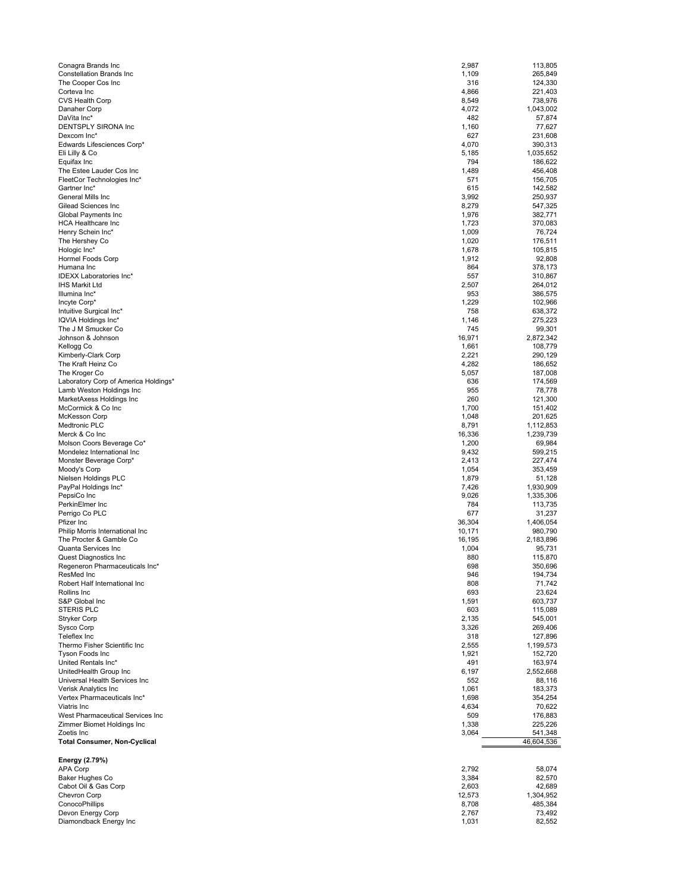| Conagra Brands Inc                                | 2,987  | 113.805               |
|---------------------------------------------------|--------|-----------------------|
| <b>Constellation Brands Inc</b>                   | 1,109  | 265,849               |
| The Cooper Cos Inc                                | 316    | 124,330               |
| Corteva Inc                                       | 4,866  | 221,403               |
| <b>CVS Health Corp</b>                            | 8,549  | 738,976               |
| Danaher Corp                                      | 4,072  | 1,043,002             |
| DaVita Inc*                                       | 482    | 57,874                |
| DENTSPLY SIRONA Inc                               | 1,160  | 77,627                |
| Dexcom Inc*                                       | 627    | 231,608               |
| Edwards Lifesciences Corp*                        | 4,070  | 390,313               |
| Eli Lilly & Co                                    | 5,185  | 1,035,652             |
| Equifax Inc                                       | 794    | 186,622               |
| The Estee Lauder Cos Inc                          | 1,489  | 456,408               |
| FleetCor Technologies Inc*                        | 571    | 156,705               |
| Gartner Inc*                                      | 615    | 142,582               |
| General Mills Inc                                 | 3,992  | 250,937               |
| Gilead Sciences Inc                               | 8,279  | 547,325               |
| Global Payments Inc                               | 1,976  | 382,771               |
| <b>HCA Healthcare Inc</b>                         | 1,723  | 370,083               |
| Henry Schein Inc*                                 | 1,009  | 76,724                |
| The Hershey Co                                    | 1,020  | 176,511               |
| Hologic Inc*                                      | 1,678  | 105,815               |
| <b>Hormel Foods Corp</b>                          | 1,912  | 92,808                |
| Humana Inc                                        | 864    | 378,173               |
| <b>IDEXX Laboratories Inc*</b>                    | 557    | 310,867               |
| <b>IHS Markit Ltd</b>                             | 2,507  | 264,012               |
| Illumina Inc*                                     | 953    | 386,575               |
| Incyte Corp*                                      | 1,229  | 102,966               |
| Intuitive Surgical Inc*                           | 758    | 638,372               |
| IQVIA Holdings Inc*                               | 1,146  | 275,223               |
| The J M Smucker Co                                | 745    | 99,301                |
| Johnson & Johnson                                 | 16,971 | 2,872,342             |
| Kellogg Co                                        | 1,661  | 108,779               |
| Kimberly-Clark Corp                               | 2,221  | 290,129               |
| The Kraft Heinz Co                                | 4,282  | 186,652               |
| The Kroger Co                                     | 5,057  | 187,008               |
| Laboratory Corp of America Holdings*              | 636    | 174,569               |
| Lamb Weston Holdings Inc                          | 955    | 78,778                |
| MarketAxess Holdings Inc                          | 260    | 121,300               |
| McCormick & Co Inc                                | 1,700  | 151,402               |
| <b>McKesson Corp</b>                              | 1,048  | 201,625               |
| Medtronic PLC                                     | 8,791  | 1,112,853             |
| Merck & Co Inc                                    | 16,336 | 1,239,739             |
| Molson Coors Beverage Co*                         | 1,200  | 69,984                |
| Mondelez International Inc                        | 9,432  | 599,215               |
| Monster Beverage Corp*                            | 2,413  | 227,474               |
| Moody's Corp                                      | 1,054  | 353,459               |
| Nielsen Holdings PLC                              | 1,879  | 51,128                |
| PayPal Holdings Inc*                              | 7,426  | 1,930,909             |
| PepsiCo Inc                                       | 9,026  | 1,335,306             |
| PerkinElmer Inc                                   | 784    | 113,735               |
| Perrigo Co PLC                                    | 677    | 31,237                |
| Pfizer Inc                                        | 36,304 | 1,406,054             |
| Philip Morris International Inc                   | 10,171 | 980,790               |
| The Procter & Gamble Co                           | 16,195 | 2,183,896             |
| Quanta Services Inc                               | 1,004  | 95,731                |
| Quest Diagnostics Inc                             | 880    | 115,870               |
| Regeneron Pharmaceuticals Inc*                    | 698    | 350,696               |
| ResMed Inc                                        | 946    | 194,734               |
| Robert Half International Inc                     | 808    | 71,742                |
| Rollins Inc                                       | 693    | 23,624                |
| S&P Global Inc                                    | 1,591  | 603,737               |
| <b>STERIS PLC</b>                                 | 603    | 115,089               |
| Stryker Corp                                      | 2,135  | 545,001               |
| Sysco Corp                                        | 3,326  | 269,406               |
| Teleflex Inc                                      | 318    | 127,896               |
| Thermo Fisher Scientific Inc                      | 2,555  | 1,199,573             |
| <b>Tyson Foods Inc</b>                            | 1,921  | 152,720               |
| United Rentals Inc*                               | 491    | 163,974               |
| UnitedHealth Group Inc                            | 6,197  | 2,552,668             |
| Universal Health Services Inc                     | 552    | 88,116                |
| Verisk Analytics Inc                              | 1,061  | 183,373               |
| Vertex Pharmaceuticals Inc*                       | 1,698  | 354,254               |
| Viatris Inc                                       | 4,634  | 70,622                |
| West Pharmaceutical Services Inc                  | 509    | 176,883               |
| Zimmer Biomet Holdings Inc                        | 1,338  | 225,226               |
| Zoetis Inc<br><b>Total Consumer, Non-Cyclical</b> | 3,064  | 541,348<br>46,604,536 |
|                                                   |        |                       |
| Energy (2.79%)<br><b>APA Corp</b>                 | 2,792  | 58,074                |
| Baker Hughes Co                                   | 3,384  | 82,570                |
| Cabot Oil & Gas Corp                              | 2,603  | 42,689                |
| Chevron Corp                                      | 12,573 | 1,304,952             |
| ConocoPhillips                                    | 8,708  | 485,384               |
| Devon Energy Corp                                 | 2,767  | 73,492                |
| Diamondback Energy Inc                            | 1,031  | 82,552                |
|                                                   |        |                       |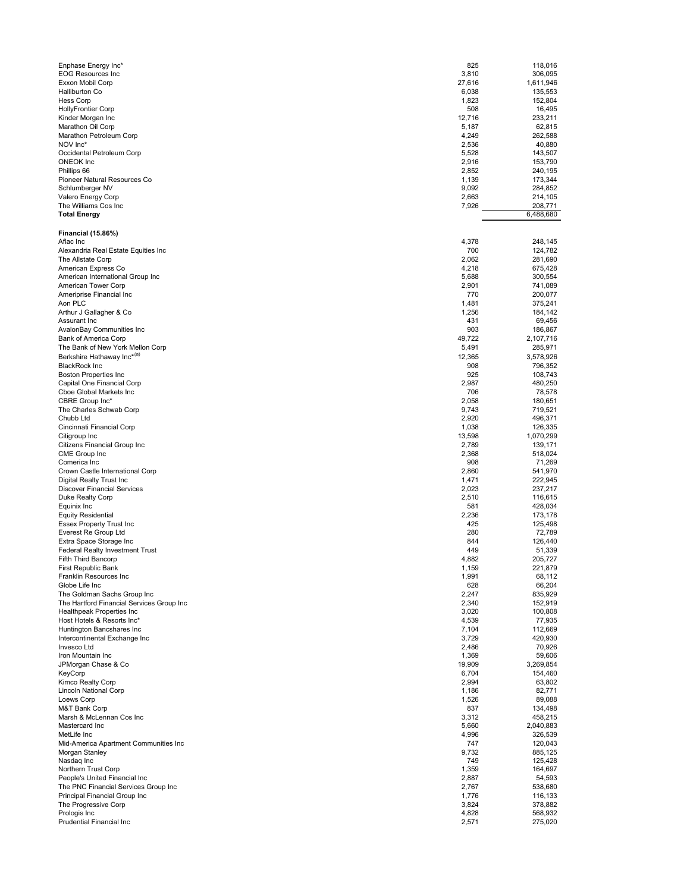| Enphase Energy Inc*<br><b>EOG Resources Inc</b><br>Exxon Mobil Corp<br><b>Halliburton Co</b><br><b>Hess Corp</b><br><b>HollyFrontier Corp</b><br>Kinder Morgan Inc<br>Marathon Oil Corp<br>Marathon Petroleum Corp<br>NOV Inc*<br>Occidental Petroleum Corp<br>ONEOK Inc<br>Phillips 66<br>Pioneer Natural Resources Co<br>Schlumberger NV<br>Valero Energy Corp<br>The Williams Cos Inc<br><b>Total Energy</b> | 825<br>3,810<br>27,616<br>6,038<br>1,823<br>508<br>12,716<br>5,187<br>4,249<br>2,536<br>5,528<br>2,916<br>2,852<br>1,139<br>9,092<br>2,663<br>7,926 | 118,016<br>306,095<br>1,611,946<br>135,553<br>152,804<br>16,495<br>233,211<br>62,815<br>262,588<br>40,880<br>143,507<br>153,790<br>240,195<br>173,344<br>284,852<br>214,105<br>208,771<br>6,488,680 |
|-----------------------------------------------------------------------------------------------------------------------------------------------------------------------------------------------------------------------------------------------------------------------------------------------------------------------------------------------------------------------------------------------------------------|-----------------------------------------------------------------------------------------------------------------------------------------------------|-----------------------------------------------------------------------------------------------------------------------------------------------------------------------------------------------------|
| <b>Financial (15.86%)</b><br>Aflac Inc                                                                                                                                                                                                                                                                                                                                                                          | 4,378                                                                                                                                               | 248,145                                                                                                                                                                                             |
| Alexandria Real Estate Equities Inc                                                                                                                                                                                                                                                                                                                                                                             | 700                                                                                                                                                 | 124,782                                                                                                                                                                                             |
| The Allstate Corp                                                                                                                                                                                                                                                                                                                                                                                               | 2,062                                                                                                                                               | 281,690                                                                                                                                                                                             |
| American Express Co<br>American International Group Inc                                                                                                                                                                                                                                                                                                                                                         | 4,218<br>5,688                                                                                                                                      | 675,428<br>300,554                                                                                                                                                                                  |
| American Tower Corp                                                                                                                                                                                                                                                                                                                                                                                             | 2,901                                                                                                                                               | 741,089                                                                                                                                                                                             |
| Ameriprise Financial Inc                                                                                                                                                                                                                                                                                                                                                                                        | 770                                                                                                                                                 | 200,077                                                                                                                                                                                             |
| Aon PLC                                                                                                                                                                                                                                                                                                                                                                                                         | 1,481                                                                                                                                               | 375,241                                                                                                                                                                                             |
| Arthur J Gallagher & Co<br>Assurant Inc                                                                                                                                                                                                                                                                                                                                                                         | 1,256<br>431                                                                                                                                        | 184,142                                                                                                                                                                                             |
| AvalonBay Communities Inc                                                                                                                                                                                                                                                                                                                                                                                       | 903                                                                                                                                                 | 69,456<br>186,867                                                                                                                                                                                   |
| Bank of America Corp                                                                                                                                                                                                                                                                                                                                                                                            | 49,722                                                                                                                                              | 2,107,716                                                                                                                                                                                           |
| The Bank of New York Mellon Corp                                                                                                                                                                                                                                                                                                                                                                                | 5,491                                                                                                                                               | 285,971                                                                                                                                                                                             |
| Berkshire Hathaway Inc*(a)                                                                                                                                                                                                                                                                                                                                                                                      | 12,365                                                                                                                                              | 3,578,926                                                                                                                                                                                           |
| <b>BlackRock Inc</b>                                                                                                                                                                                                                                                                                                                                                                                            | 908<br>925                                                                                                                                          | 796,352                                                                                                                                                                                             |
| <b>Boston Properties Inc</b><br>Capital One Financial Corp                                                                                                                                                                                                                                                                                                                                                      | 2,987                                                                                                                                               | 108,743<br>480,250                                                                                                                                                                                  |
| Cboe Global Markets Inc                                                                                                                                                                                                                                                                                                                                                                                         | 706                                                                                                                                                 | 78,578                                                                                                                                                                                              |
| CBRE Group Inc*                                                                                                                                                                                                                                                                                                                                                                                                 | 2,058                                                                                                                                               | 180,651                                                                                                                                                                                             |
| The Charles Schwab Corp<br>Chubb Ltd                                                                                                                                                                                                                                                                                                                                                                            | 9,743<br>2,920                                                                                                                                      | 719,521<br>496,371                                                                                                                                                                                  |
| Cincinnati Financial Corp                                                                                                                                                                                                                                                                                                                                                                                       | 1,038                                                                                                                                               | 126,335                                                                                                                                                                                             |
| Citigroup Inc                                                                                                                                                                                                                                                                                                                                                                                                   | 13,598                                                                                                                                              | 1,070,299                                                                                                                                                                                           |
| Citizens Financial Group Inc                                                                                                                                                                                                                                                                                                                                                                                    | 2,789                                                                                                                                               | 139,171                                                                                                                                                                                             |
| CME Group Inc<br>Comerica Inc                                                                                                                                                                                                                                                                                                                                                                                   | 2,368<br>908                                                                                                                                        | 518,024<br>71,269                                                                                                                                                                                   |
| Crown Castle International Corp                                                                                                                                                                                                                                                                                                                                                                                 | 2,860                                                                                                                                               | 541,970                                                                                                                                                                                             |
| Digital Realty Trust Inc                                                                                                                                                                                                                                                                                                                                                                                        | 1,471                                                                                                                                               | 222,945                                                                                                                                                                                             |
| <b>Discover Financial Services</b>                                                                                                                                                                                                                                                                                                                                                                              | 2,023                                                                                                                                               | 237,217                                                                                                                                                                                             |
| Duke Realty Corp<br>Equinix Inc                                                                                                                                                                                                                                                                                                                                                                                 | 2,510<br>581                                                                                                                                        | 116,615<br>428,034                                                                                                                                                                                  |
| <b>Equity Residential</b>                                                                                                                                                                                                                                                                                                                                                                                       | 2,236                                                                                                                                               | 173,178                                                                                                                                                                                             |
| <b>Essex Property Trust Inc</b>                                                                                                                                                                                                                                                                                                                                                                                 | 425                                                                                                                                                 | 125,498                                                                                                                                                                                             |
| Everest Re Group Ltd                                                                                                                                                                                                                                                                                                                                                                                            | 280<br>844                                                                                                                                          | 72,789<br>126,440                                                                                                                                                                                   |
| Extra Space Storage Inc<br><b>Federal Realty Investment Trust</b>                                                                                                                                                                                                                                                                                                                                               | 449                                                                                                                                                 | 51,339                                                                                                                                                                                              |
| <b>Fifth Third Bancorp</b>                                                                                                                                                                                                                                                                                                                                                                                      | 4,882                                                                                                                                               | 205,727                                                                                                                                                                                             |
| First Republic Bank                                                                                                                                                                                                                                                                                                                                                                                             | 1,159                                                                                                                                               | 221,879                                                                                                                                                                                             |
| Franklin Resources Inc<br>Globe Life Inc                                                                                                                                                                                                                                                                                                                                                                        | 1,991<br>628                                                                                                                                        | 68,112<br>66,204                                                                                                                                                                                    |
| The Goldman Sachs Group Inc                                                                                                                                                                                                                                                                                                                                                                                     | 2,247                                                                                                                                               | 835,929                                                                                                                                                                                             |
| The Hartford Financial Services Group Inc                                                                                                                                                                                                                                                                                                                                                                       | 2,340                                                                                                                                               | 152,919                                                                                                                                                                                             |
| Healthpeak Properties Inc                                                                                                                                                                                                                                                                                                                                                                                       | 3,020                                                                                                                                               | 100,808                                                                                                                                                                                             |
| Host Hotels & Resorts Inc*<br>Huntington Bancshares Inc                                                                                                                                                                                                                                                                                                                                                         | 4,539<br>7,104                                                                                                                                      | 77,935<br>112,669                                                                                                                                                                                   |
| Intercontinental Exchange Inc                                                                                                                                                                                                                                                                                                                                                                                   | 3,729                                                                                                                                               | 420,930                                                                                                                                                                                             |
| Invesco Ltd                                                                                                                                                                                                                                                                                                                                                                                                     | 2,486                                                                                                                                               | 70,926                                                                                                                                                                                              |
| Iron Mountain Inc                                                                                                                                                                                                                                                                                                                                                                                               | 1,369                                                                                                                                               | 59,606                                                                                                                                                                                              |
| JPMorgan Chase & Co<br>KeyCorp                                                                                                                                                                                                                                                                                                                                                                                  | 19,909<br>6,704                                                                                                                                     | 3,269,854<br>154,460                                                                                                                                                                                |
| Kimco Realty Corp                                                                                                                                                                                                                                                                                                                                                                                               | 2,994                                                                                                                                               | 63,802                                                                                                                                                                                              |
| <b>Lincoln National Corp</b>                                                                                                                                                                                                                                                                                                                                                                                    | 1,186                                                                                                                                               | 82.771                                                                                                                                                                                              |
| Loews Corp<br>M&T Bank Corp                                                                                                                                                                                                                                                                                                                                                                                     | 1,526<br>837                                                                                                                                        | 89,088<br>134,498                                                                                                                                                                                   |
| Marsh & McLennan Cos Inc                                                                                                                                                                                                                                                                                                                                                                                        | 3,312                                                                                                                                               | 458,215                                                                                                                                                                                             |
| Mastercard Inc                                                                                                                                                                                                                                                                                                                                                                                                  | 5,660                                                                                                                                               | 2,040,883                                                                                                                                                                                           |
| MetLife Inc                                                                                                                                                                                                                                                                                                                                                                                                     | 4,996                                                                                                                                               | 326,539                                                                                                                                                                                             |
| Mid-America Apartment Communities Inc<br>Morgan Stanley                                                                                                                                                                                                                                                                                                                                                         | 747<br>9,732                                                                                                                                        | 120,043<br>885,125                                                                                                                                                                                  |
| Nasdaq Inc                                                                                                                                                                                                                                                                                                                                                                                                      | 749                                                                                                                                                 | 125,428                                                                                                                                                                                             |
| Northern Trust Corp                                                                                                                                                                                                                                                                                                                                                                                             | 1,359                                                                                                                                               | 164,697                                                                                                                                                                                             |
| People's United Financial Inc                                                                                                                                                                                                                                                                                                                                                                                   | 2,887                                                                                                                                               | 54,593                                                                                                                                                                                              |
| The PNC Financial Services Group Inc<br>Principal Financial Group Inc                                                                                                                                                                                                                                                                                                                                           | 2,767<br>1,776                                                                                                                                      | 538,680<br>116,133                                                                                                                                                                                  |
| The Progressive Corp                                                                                                                                                                                                                                                                                                                                                                                            | 3,824                                                                                                                                               | 378,882                                                                                                                                                                                             |
| Prologis Inc                                                                                                                                                                                                                                                                                                                                                                                                    | 4,828                                                                                                                                               | 568,932                                                                                                                                                                                             |
| Prudential Financial Inc                                                                                                                                                                                                                                                                                                                                                                                        | 2,571                                                                                                                                               | 275,020                                                                                                                                                                                             |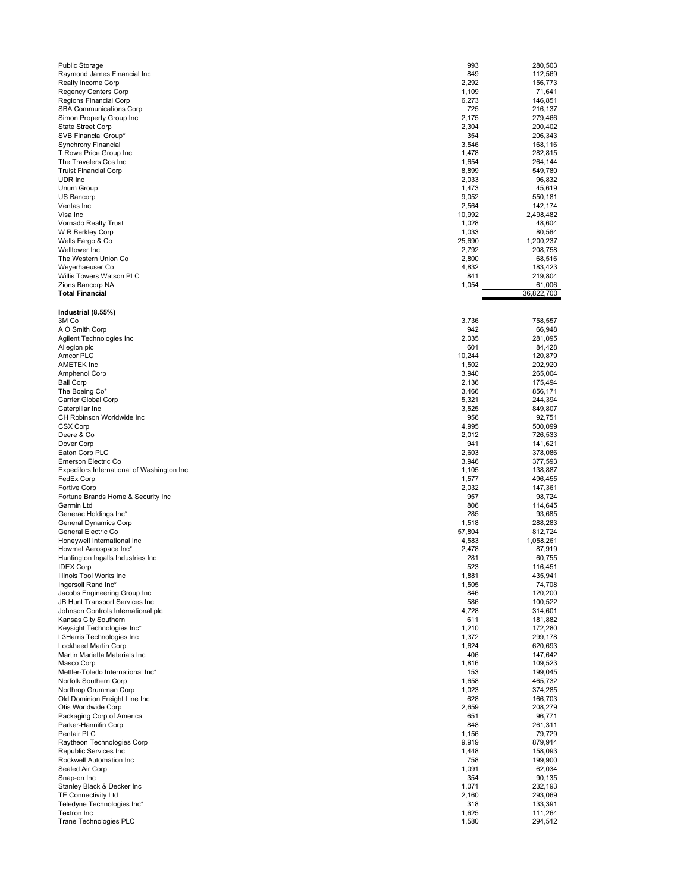| <b>Public Storage</b>                      | 993    | 280,503    |
|--------------------------------------------|--------|------------|
| Raymond James Financial Inc                | 849    | 112,569    |
| Realty Income Corp                         | 2,292  | 156,773    |
| <b>Regency Centers Corp</b>                | 1,109  | 71,641     |
| Regions Financial Corp                     | 6,273  | 146,851    |
|                                            |        |            |
| <b>SBA Communications Corp</b>             | 725    | 216,137    |
| Simon Property Group Inc                   | 2,175  | 279,466    |
| <b>State Street Corp</b>                   | 2,304  | 200,402    |
| SVB Financial Group*                       | 354    | 206,343    |
| Synchrony Financial                        | 3,546  | 168,116    |
|                                            |        |            |
| T Rowe Price Group Inc                     | 1,478  | 282,815    |
| The Travelers Cos Inc                      | 1,654  | 264,144    |
| <b>Truist Financial Corp</b>               | 8,899  | 549,780    |
| UDR Inc                                    | 2,033  | 96.832     |
| Unum Group                                 | 1,473  | 45,619     |
|                                            |        |            |
| US Bancorp                                 | 9,052  | 550,181    |
| Ventas Inc                                 | 2,564  | 142,174    |
| Visa Inc                                   | 10,992 | 2,498,482  |
| Vornado Realty Trust                       | 1,028  | 48,604     |
| W R Berkley Corp                           | 1,033  | 80,564     |
| Wells Fargo & Co                           | 25,690 | 1,200,237  |
|                                            |        |            |
| Welltower Inc                              | 2,792  | 208,758    |
| The Western Union Co                       | 2,800  | 68,516     |
| Weyerhaeuser Co                            | 4,832  | 183,423    |
| Willis Towers Watson PLC                   | 841    | 219,804    |
| Zions Bancorp NA                           | 1,054  | 61,006     |
| <b>Total Financial</b>                     |        | 36,822,700 |
|                                            |        |            |
|                                            |        |            |
| Industrial (8.55%)                         |        |            |
| 3M Co                                      | 3,736  | 758,557    |
| A O Smith Corp                             | 942    | 66.948     |
|                                            | 2,035  | 281,095    |
| Agilent Technologies Inc                   |        |            |
| Allegion plc                               | 601    | 84,428     |
| Amcor PLC                                  | 10,244 | 120,879    |
| AMETEK Inc                                 | 1,502  | 202,920    |
| <b>Amphenol Corp</b>                       | 3,940  | 265,004    |
|                                            |        |            |
| <b>Ball Corp</b>                           | 2,136  | 175,494    |
| The Boeing Co*                             | 3,466  | 856,171    |
| Carrier Global Corp                        | 5,321  | 244,394    |
| Caterpillar Inc                            | 3,525  | 849,807    |
| CH Robinson Worldwide Inc                  | 956    | 92,751     |
|                                            |        |            |
| <b>CSX Corp</b>                            | 4,995  | 500,099    |
| Deere & Co                                 | 2,012  | 726,533    |
| Dover Corp                                 | 941    | 141,621    |
| Eaton Corp PLC                             | 2,603  | 378,086    |
| Emerson Electric Co                        | 3,946  | 377,593    |
|                                            |        |            |
| Expeditors International of Washington Inc | 1,105  | 138,887    |
| FedEx Corp                                 | 1,577  | 496,455    |
| <b>Fortive Corp</b>                        | 2,032  | 147,361    |
| Fortune Brands Home & Security Inc         | 957    | 98,724     |
| Garmin Ltd                                 | 806    | 114.645    |
| Generac Holdings Inc*                      | 285    | 93,685     |
| <b>General Dynamics Corp</b>               |        | 288,283    |
|                                            | 1,518  |            |
| General Electric Co                        | 57,804 | 812,724    |
| Honeywell International Inc                | 4,583  | 1,058,261  |
| Howmet Aerospace Inc*                      | 2,478  | 87.919     |
| Huntington Ingalls Industries Inc          | 281    | 60,755     |
| <b>IDEX Corp</b>                           | 523    | 116,451    |
|                                            |        |            |
| Illinois Tool Works Inc                    | 1,881  | 435,941    |
| Ingersoll Rand Inc*                        | 1,505  | 74,708     |
| Jacobs Engineering Group Inc               | 846    | 120,200    |
| JB Hunt Transport Services Inc             | 586    | 100,522    |
| Johnson Controls International plc         | 4,728  | 314,601    |
| Kansas City Southern                       | 611    | 181,882    |
|                                            |        |            |
| Keysight Technologies Inc*                 | 1,210  | 172,280    |
| L3Harris Technologies Inc                  | 1,372  | 299,178    |
| Lockheed Martin Corp                       | 1,624  | 620,693    |
| Martin Marietta Materials Inc              | 406    | 147,642    |
| Masco Corp                                 | 1,816  | 109,523    |
| Mettler-Toledo International Inc*          | 153    | 199,045    |
|                                            |        |            |
| Norfolk Southern Corp                      | 1,658  | 465,732    |
| Northrop Grumman Corp                      | 1,023  | 374,285    |
| Old Dominion Freight Line Inc              | 628    | 166,703    |
| Otis Worldwide Corp                        | 2,659  | 208,279    |
| Packaging Corp of America                  | 651    | 96,771     |
|                                            | 848    |            |
| Parker-Hannifin Corp                       |        | 261,311    |
| Pentair PLC                                | 1,156  | 79,729     |
| Raytheon Technologies Corp                 | 9,919  | 879,914    |
| Republic Services Inc                      | 1,448  | 158,093    |
| Rockwell Automation Inc                    | 758    | 199,900    |
| Sealed Air Corp                            | 1,091  | 62,034     |
|                                            |        |            |
| Snap-on Inc                                | 354    | 90,135     |
| Stanley Black & Decker Inc                 | 1,071  | 232,193    |
| <b>TE Connectivity Ltd</b>                 | 2,160  | 293,069    |
| Teledyne Technologies Inc*                 | 318    | 133,391    |
| <b>Textron Inc</b>                         | 1,625  | 111,264    |
| Trane Technologies PLC                     | 1,580  | 294,512    |
|                                            |        |            |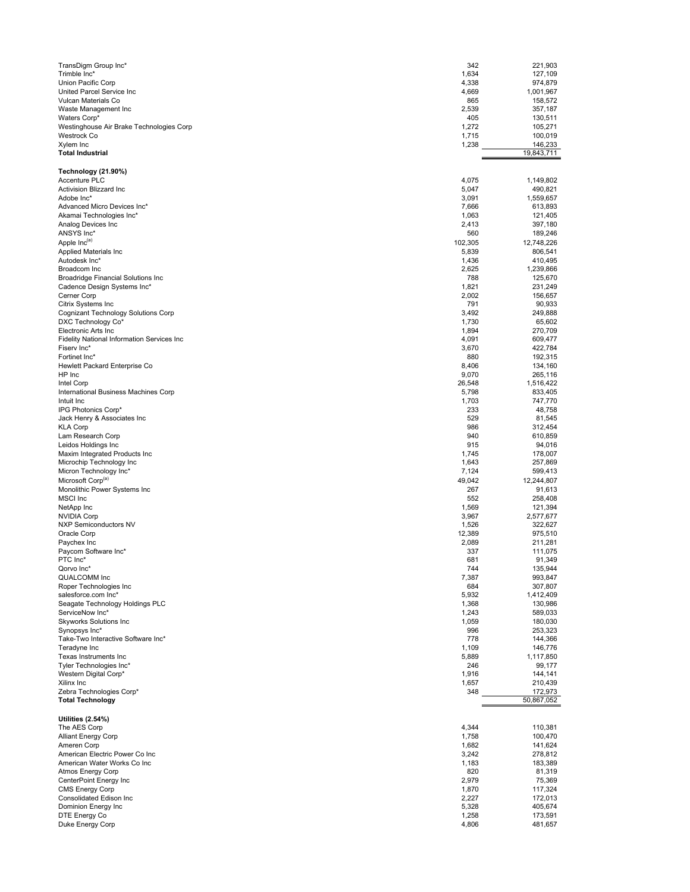| TransDigm Group Inc*<br>342<br>Trimble Inc*<br>1,634                           | 221,903<br>127,109    |
|--------------------------------------------------------------------------------|-----------------------|
| Union Pacific Corp<br>4,338                                                    | 974,879               |
| United Parcel Service Inc<br>4,669                                             | 1,001,967             |
| 865<br>Vulcan Materials Co                                                     | 158,572               |
| 2,539<br>Waste Management Inc                                                  | 357,187               |
| Waters Corp*<br>405<br>Westinghouse Air Brake Technologies Corp<br>1,272       | 130,511<br>105,271    |
| Westrock Co<br>1,715                                                           | 100,019               |
| Xylem Inc<br>1,238                                                             | 146,233               |
| Total Industrial                                                               | 19,843,711            |
| Technology (21.90%)                                                            |                       |
| Accenture PLC<br>4,075                                                         | 1,149,802             |
| Activision Blizzard Inc<br>5,047                                               | 490,821               |
| Adobe Inc*<br>3,091                                                            | 1,559,657             |
| Advanced Micro Devices Inc*<br>7,666<br>Akamai Technologies Inc*<br>1,063      | 613,893<br>121,405    |
| Analog Devices Inc<br>2,413                                                    | 397,180               |
| ANSYS Inc*<br>560                                                              | 189,246               |
| Apple Inc <sup>(a)</sup><br>102,305                                            | 12,748,226            |
| Applied Materials Inc<br>5,839<br>Autodesk Inc*                                | 806,541<br>410,495    |
| 1,436<br>Broadcom Inc<br>2,625                                                 | 1,239,866             |
| <b>Broadridge Financial Solutions Inc</b><br>788                               | 125,670               |
| Cadence Design Systems Inc*<br>1,821                                           | 231,249               |
| Cerner Corp<br>2,002<br>Citrix Systems Inc<br>791                              | 156,657<br>90,933     |
| Cognizant Technology Solutions Corp<br>3,492                                   | 249,888               |
| DXC Technology Co*<br>1,730                                                    | 65,602                |
| Electronic Arts Inc<br>1,894                                                   | 270,709               |
| <b>Fidelity National Information Services Inc</b><br>4,091                     | 609,477               |
| Fiserv Inc*<br>3,670<br>Fortinet Inc*<br>880                                   | 422,784<br>192,315    |
| Hewlett Packard Enterprise Co<br>8,406                                         | 134,160               |
| HP Inc<br>9,070                                                                | 265,116               |
| 26,548<br>Intel Corp                                                           | 1,516,422             |
| International Business Machines Corp<br>5,798<br>1,703<br>Intuit Inc           | 833,405<br>747,770    |
| IPG Photonics Corp*<br>233                                                     | 48,758                |
| Jack Henry & Associates Inc<br>529                                             | 81,545                |
| 986<br>KLA Corp                                                                | 312,454               |
| 940<br>Lam Research Corp<br>Leidos Holdings Inc<br>915                         | 610,859<br>94,016     |
| Maxim Integrated Products Inc<br>1,745                                         | 178,007               |
| Microchip Technology Inc<br>1,643                                              | 257,869               |
| Micron Technology Inc*<br>7,124                                                | 599,413               |
| Microsoft Corp <sup>(a)</sup><br>49,042<br>267<br>Monolithic Power Systems Inc | 12,244,807<br>91,613  |
| <b>MSCI</b> Inc<br>552                                                         | 258,408               |
| NetApp Inc<br>1,569                                                            | 121,394               |
| <b>NVIDIA Corp</b><br>3,967                                                    | 2,577,677             |
| <b>NXP Semiconductors NV</b><br>1,526<br>Oracle Corp<br>12,389                 | 322,627<br>975,510    |
| Paychex Inc<br>2,089                                                           | 211,281               |
| Paycom Software Inc*<br>337                                                    | 111,075               |
| PTC Inc*<br>681                                                                | 91,349                |
| Qorvo Inc*<br>744<br><b>QUALCOMM Inc</b><br>7,387                              | 135,944<br>993,847    |
| Roper Technologies Inc<br>684                                                  | 307,807               |
| salesforce.com Inc*<br>5,932                                                   | 1,412,409             |
| Seagate Technology Holdings PLC<br>1,368                                       | 130,986               |
| ServiceNow Inc*<br>1,243<br><b>Skyworks Solutions Inc</b><br>1,059             | 589,033<br>180,030    |
| Synopsys Inc*<br>996                                                           | 253,323               |
| Take-Two Interactive Software Inc*<br>778                                      | 144,366               |
| Teradyne Inc<br>1,109                                                          | 146,776               |
| Texas Instruments Inc<br>5,889<br>Tyler Technologies Inc*<br>246               | 1,117,850<br>99,177   |
| Western Digital Corp*<br>1,916                                                 | 144,141               |
| 1,657<br>Xilinx Inc                                                            | 210,439               |
| Zebra Technologies Corp*<br>348<br><b>Total Technology</b>                     | 172,973<br>50,867,052 |
|                                                                                |                       |
| Utilities (2.54%)                                                              |                       |
| The AES Corp<br>4,344                                                          | 110,381               |
| Alliant Energy Corp<br>1,758                                                   | 100,470               |
| Ameren Corp<br>1,682<br>American Electric Power Co Inc<br>3,242                | 141,624<br>278,812    |
| American Water Works Co Inc<br>1,183                                           | 183,389               |
| Atmos Energy Corp<br>820                                                       | 81,319                |
| CenterPoint Energy Inc<br>2,979                                                | 75,369                |
| <b>CMS Energy Corp</b><br>1,870<br>Consolidated Edison Inc<br>2,227            | 117,324<br>172,013    |
| Dominion Energy Inc<br>5,328                                                   | 405,674               |
| DTE Energy Co<br>1,258                                                         | 173,591               |
| Duke Energy Corp<br>4,806                                                      | 481,657               |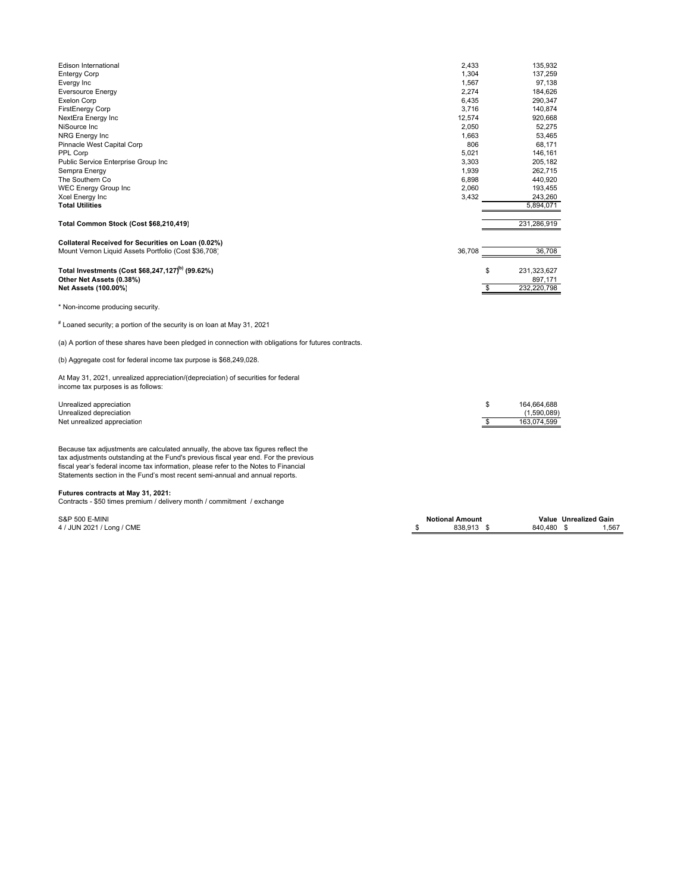| Edison International                                                                                                    | 2,433                  |                       | 135,932                |                       |
|-------------------------------------------------------------------------------------------------------------------------|------------------------|-----------------------|------------------------|-----------------------|
| <b>Entergy Corp</b>                                                                                                     | 1,304                  |                       | 137,259                |                       |
| Evergy Inc                                                                                                              | 1,567                  |                       | 97,138                 |                       |
| <b>Eversource Energy</b>                                                                                                | 2,274                  |                       | 184,626                |                       |
| <b>Exelon Corp</b>                                                                                                      | 6,435                  |                       | 290,347                |                       |
| FirstEnergy Corp                                                                                                        | 3,716                  |                       | 140,874                |                       |
| NextEra Energy Inc                                                                                                      | 12,574                 |                       | 920,668                |                       |
| NiSource Inc                                                                                                            | 2,050                  |                       | 52,275                 |                       |
| <b>NRG Energy Inc</b>                                                                                                   | 1,663                  |                       | 53,465                 |                       |
| Pinnacle West Capital Corp                                                                                              | 806                    |                       | 68,171                 |                       |
| PPL Corp                                                                                                                | 5,021                  |                       | 146,161                |                       |
| Public Service Enterprise Group Inc                                                                                     | 3,303                  |                       | 205,182                |                       |
| Sempra Energy                                                                                                           | 1,939                  |                       | 262,715                |                       |
| The Southern Co                                                                                                         | 6,898                  |                       | 440,920                |                       |
| <b>WEC Energy Group Inc</b>                                                                                             | 2,060                  |                       | 193,455                |                       |
| Xcel Energy Inc                                                                                                         | 3,432                  |                       | 243,260                |                       |
| <b>Total Utilities</b>                                                                                                  |                        |                       | 5,894,071              |                       |
| Total Common Stock (Cost \$68,210,419)                                                                                  |                        |                       | 231,286,919            |                       |
|                                                                                                                         |                        |                       |                        |                       |
| Collateral Received for Securities on Loan (0.02%)                                                                      |                        |                       |                        |                       |
| Mount Vernon Liquid Assets Portfolio (Cost \$36,708)                                                                    | 36,708                 |                       | 36,708                 |                       |
| Total Investments (Cost \$68,247,127) <sup>b)</sup> (99.62%)                                                            |                        | \$                    |                        |                       |
| Other Net Assets (0.38%)                                                                                                |                        |                       | 231,323,627<br>897,171 |                       |
|                                                                                                                         |                        | s,                    | 232,220,798            |                       |
| Net Assets (100.00%)                                                                                                    |                        |                       |                        |                       |
| * Non-income producing security.                                                                                        |                        |                       |                        |                       |
| $^\text{\tiny\rm F}$ Loaned security; a portion of the security is on loan at May 31, 2021                              |                        |                       |                        |                       |
| (a) A portion of these shares have been pledged in connection with obligations for futures contracts.                   |                        |                       |                        |                       |
| (b) Aggregate cost for federal income tax purpose is \$68,249,028.                                                      |                        |                       |                        |                       |
| At May 31, 2021, unrealized appreciation/(depreciation) of securities for federal<br>income tax purposes is as follows: |                        |                       |                        |                       |
| Unrealized appreciation                                                                                                 |                        | \$                    | 164,664,688            |                       |
| Unrealized depreciation                                                                                                 |                        |                       | (1,590,089)            |                       |
| Net unrealized appreciation                                                                                             |                        | $\boldsymbol{\theta}$ | 163,074,599            |                       |
|                                                                                                                         |                        |                       |                        |                       |
| Because tax adjustments are calculated annually, the above tax figures reflect the                                      |                        |                       |                        |                       |
| tax adjustments outstanding at the Fund's previous fiscal year end. For the previous                                    |                        |                       |                        |                       |
| fiscal year's federal income tax information, please refer to the Notes to Financial                                    |                        |                       |                        |                       |
| Statements section in the Fund's most recent semi-annual and annual reports.                                            |                        |                       |                        |                       |
|                                                                                                                         |                        |                       |                        |                       |
| Futures contracts at May 31, 2021:                                                                                      |                        |                       |                        |                       |
| Contracts - \$50 times premium / delivery month / commitment / exchange                                                 |                        |                       |                        |                       |
|                                                                                                                         |                        |                       |                        |                       |
| S&P 500 E-MINI                                                                                                          | <b>Notional Amount</b> |                       |                        | Value Unrealized Gain |
| 4 / JUN 2021 / Long / CME                                                                                               | \$<br>838,913 \$       |                       | 840,480                | 1,567<br>- \$         |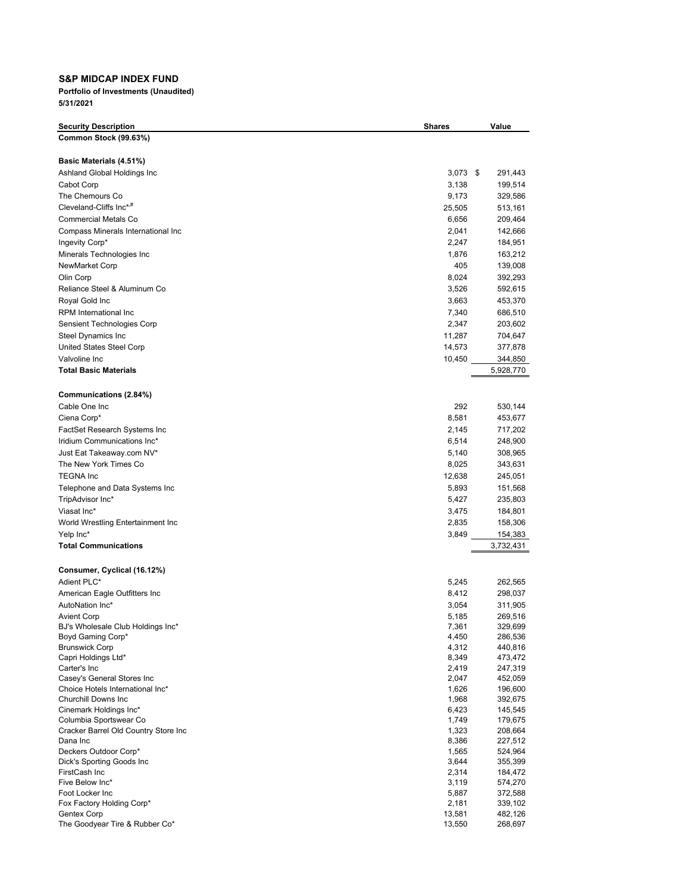## **S&P MIDCAP INDEX FUND**

| <b>Security Description</b>                             | <b>Shares</b>  | Value              |
|---------------------------------------------------------|----------------|--------------------|
| Common Stock (99.63%)                                   |                |                    |
|                                                         |                |                    |
| Basic Materials (4.51%)                                 |                |                    |
| Ashland Global Holdings Inc                             | $3,073$ \$     | 291,443            |
| Cabot Corp                                              | 3,138          | 199,514            |
| The Chemours Co                                         | 9,173          | 329,586            |
| Cleveland-Cliffs Inc <sup>*,#</sup>                     | 25,505         | 513,161            |
| <b>Commercial Metals Co</b>                             | 6,656          | 209,464            |
| Compass Minerals International Inc                      | 2,041          | 142,666            |
| Ingevity Corp*                                          | 2,247          | 184,951            |
| Minerals Technologies Inc                               | 1,876          | 163,212            |
| NewMarket Corp                                          | 405            | 139,008            |
| Olin Corp                                               | 8,024          | 392,293            |
| Reliance Steel & Aluminum Co                            | 3,526          | 592,615            |
| Royal Gold Inc                                          | 3,663          | 453,370            |
| RPM International Inc                                   | 7,340          | 686,510            |
| Sensient Technologies Corp                              | 2,347          | 203,602            |
| Steel Dynamics Inc                                      | 11,287         | 704,647            |
| United States Steel Corp                                | 14,573         | 377,878            |
| Valvoline Inc                                           | 10,450         | 344,850            |
| <b>Total Basic Materials</b>                            |                | 5,928,770          |
|                                                         |                |                    |
| Communications (2.84%)                                  |                |                    |
| Cable One Inc                                           | 292            | 530,144            |
| Ciena Corp*                                             | 8,581          | 453,677            |
| FactSet Research Systems Inc                            | 2,145          | 717,202            |
| Iridium Communications Inc*                             | 6,514          | 248,900            |
| Just Eat Takeaway.com NV*                               | 5,140          | 308,965            |
| The New York Times Co                                   | 8,025          | 343,631            |
| <b>TEGNA Inc</b>                                        | 12,638         | 245,051            |
| Telephone and Data Systems Inc                          | 5,893          | 151,568            |
| TripAdvisor Inc*                                        | 5,427          | 235,803            |
| Viasat Inc*                                             | 3,475          | 184,801            |
| World Wrestling Entertainment Inc                       | 2,835          | 158,306            |
| Yelp Inc*                                               | 3,849          | 154,383            |
| <b>Total Communications</b>                             |                | 3,732,431          |
|                                                         |                |                    |
| Consumer, Cyclical (16.12%)<br>Adient PLC*              | 5,245          | 262,565            |
|                                                         |                |                    |
| American Eagle Outfitters Inc<br>AutoNation Inc*        | 8,412          | 298,037            |
|                                                         | 3,054          | 311,905<br>269,516 |
| <b>Avient Corp</b><br>BJ's Wholesale Club Holdings Inc* | 5,185<br>7,361 | 329,699            |
| Boyd Gaming Corp*                                       | 4,450          | 286,536            |
| <b>Brunswick Corp</b>                                   | 4,312          | 440,816            |
| Capri Holdings Ltd*                                     | 8,349          | 473,472            |
| Carter's Inc                                            | 2,419          | 247,319            |
| Casey's General Stores Inc                              | 2,047          | 452,059            |
| Choice Hotels International Inc*                        | 1,626          | 196,600            |
| Churchill Downs Inc                                     | 1,968          | 392,675            |
| Cinemark Holdings Inc*<br>Columbia Sportswear Co        | 6,423          | 145,545            |
| Cracker Barrel Old Country Store Inc                    | 1,749<br>1,323 | 179,675<br>208,664 |
| Dana Inc                                                | 8,386          | 227,512            |
| Deckers Outdoor Corp*                                   | 1,565          | 524,964            |
| Dick's Sporting Goods Inc                               | 3,644          | 355,399            |
| FirstCash Inc                                           | 2,314          | 184,472            |
| Five Below Inc*                                         | 3,119          | 574,270            |
| Foot Locker Inc                                         | 5,887          | 372,588            |
| Fox Factory Holding Corp*                               | 2,181          | 339,102            |
| Gentex Corp                                             | 13,581         | 482,126            |
| The Goodyear Tire & Rubber Co*                          | 13,550         | 268,697            |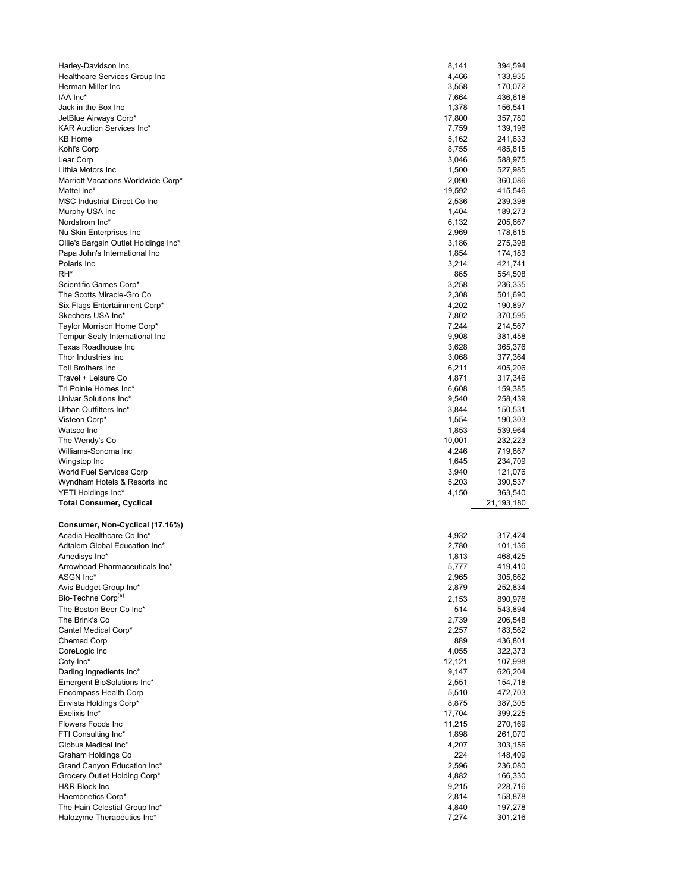| Harley-Davidson Inc                                                   | 8,141          | 394,594            |
|-----------------------------------------------------------------------|----------------|--------------------|
| Healthcare Services Group Inc                                         | 4,466          | 133,935            |
| Herman Miller Inc                                                     | 3,558          | 170,072            |
| IAA Inc*                                                              | 7,664          | 436,618            |
| Jack in the Box Inc                                                   | 1,378          | 156,541            |
| JetBlue Airways Corp*                                                 | 17,800         | 357,780            |
| <b>KAR Auction Services Inc*</b>                                      | 7,759          | 139,196            |
| <b>KB Home</b>                                                        | 5,162          | 241,633            |
| Kohl's Corp                                                           | 8,755          | 485,815            |
| Lear Corp                                                             | 3,046          | 588,975            |
| Lithia Motors Inc                                                     | 1,500          | 527,985            |
| Marriott Vacations Worldwide Corp*                                    | 2,090          | 360,086            |
| Mattel Inc*                                                           | 19,592         | 415,546            |
| MSC Industrial Direct Co Inc                                          | 2,536          | 239,398            |
| Murphy USA Inc                                                        | 1,404          | 189,273            |
| Nordstrom Inc*                                                        | 6,132          | 205,667            |
| Nu Skin Enterprises Inc                                               | 2,969<br>3,186 | 178,615            |
| Ollie's Bargain Outlet Holdings Inc*<br>Papa John's International Inc | 1,854          | 275,398<br>174,183 |
| Polaris Inc                                                           | 3,214          | 421,741            |
| RH*                                                                   | 865            | 554,508            |
| Scientific Games Corp*                                                | 3,258          | 236,335            |
| The Scotts Miracle-Gro Co                                             | 2,308          | 501,690            |
| Six Flags Entertainment Corp*                                         | 4,202          | 190,897            |
| Skechers USA Inc*                                                     | 7,802          | 370,595            |
| Taylor Morrison Home Corp*                                            | 7,244          | 214,567            |
| Tempur Sealy International Inc                                        | 9,908          | 381,458            |
| Texas Roadhouse Inc                                                   | 3,628          | 365,376            |
| Thor Industries Inc                                                   | 3,068          | 377,364            |
| <b>Toll Brothers Inc</b>                                              | 6,211          | 405,206            |
| Travel + Leisure Co                                                   | 4,871          | 317,346            |
| Tri Pointe Homes Inc*                                                 | 6,608          | 159,385            |
| Univar Solutions Inc*                                                 | 9,540          | 258,439            |
| Urban Outfitters Inc*                                                 | 3,844          | 150,531            |
| Visteon Corp*                                                         | 1,554          | 190,303            |
| Watsco Inc                                                            | 1,853          | 539,964            |
| The Wendy's Co                                                        | 10,001         | 232,223            |
| Williams-Sonoma Inc                                                   | 4,246          | 719,867            |
| Wingstop Inc                                                          | 1,645          | 234,709            |
| World Fuel Services Corp                                              | 3,940          | 121,076            |
| Wyndham Hotels & Resorts Inc                                          | 5,203          | 390,537            |
| YETI Holdings Inc*                                                    | 4,150          | 363,540            |
| <b>Total Consumer, Cyclical</b>                                       |                | 21,193,180         |
|                                                                       |                |                    |
| Consumer, Non-Cyclical (17.16%)                                       |                |                    |
| Acadia Healthcare Co Inc*                                             |                |                    |
|                                                                       | 4,932          | 317,424            |
| Adtalem Global Education Inc*                                         | 2,780          | 101,136            |
| Amedisys Inc*                                                         | 1,813          | 468,425            |
| Arrowhead Pharmaceuticals Inc*                                        | 5,777          | 419,410            |
| ASGN Inc*                                                             | 2,965          | 305,662            |
| Avis Budget Group Inc*                                                | 2,879          | 252,834            |
| Bio-Techne Corp <sup>(a)</sup>                                        | 2,153          | 890,976            |
| The Boston Beer Co Inc*                                               | 514            | 543,894            |
| The Brink's Co                                                        | 2,739          | 206,548            |
| Cantel Medical Corp*                                                  | 2,257          | 183,562            |
| <b>Chemed Corp</b>                                                    | 889            | 436,801            |
| CoreLogic Inc                                                         | 4,055          | 322,373            |
| Coty Inc*                                                             | 12,121         | 107,998            |
| Darling Ingredients Inc*                                              | 9,147          | 626,204            |
| Emergent BioSolutions Inc*                                            | 2,551          | 154,718            |
| Encompass Health Corp                                                 | 5,510          | 472,703            |
| Envista Holdings Corp*                                                | 8,875          | 387,305            |
| Exelixis Inc*                                                         | 17,704         | 399,225            |
| Flowers Foods Inc                                                     | 11,215         | 270,169            |
| FTI Consulting Inc*                                                   | 1,898          | 261,070            |
| Globus Medical Inc*                                                   | 4,207          | 303,156            |
| Graham Holdings Co<br>Grand Canyon Education Inc*                     | 224<br>2,596   | 236,080            |
| Grocery Outlet Holding Corp*                                          | 4,882          | 148,409<br>166,330 |
| H&R Block Inc                                                         | 9,215          | 228,716            |
| Haemonetics Corp*                                                     | 2,814          |                    |
| The Hain Celestial Group Inc*                                         | 4,840          | 158,878<br>197,278 |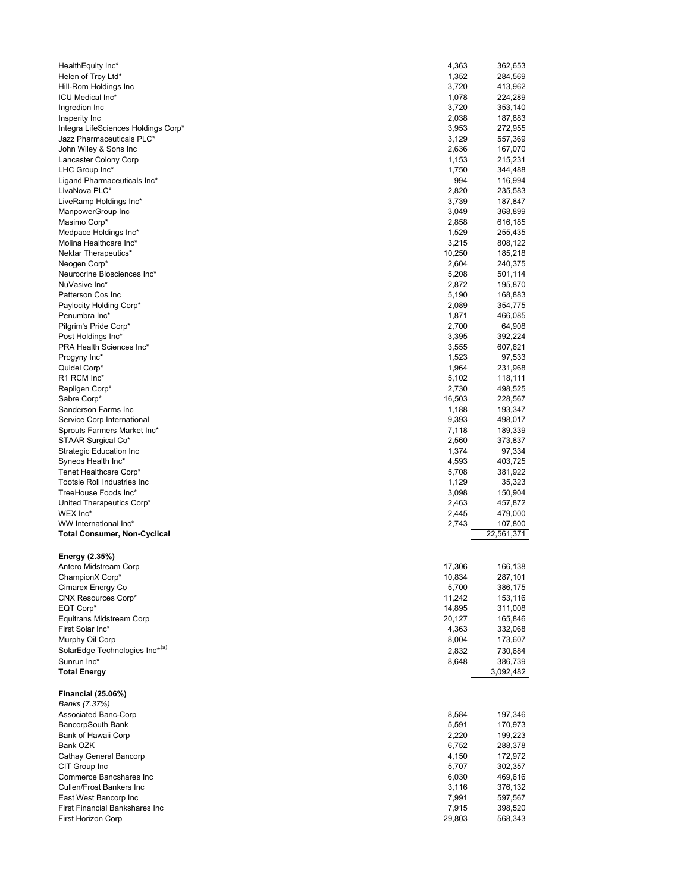| HealthEquity Inc*                                     | 4,363            | 362,653            |
|-------------------------------------------------------|------------------|--------------------|
| Helen of Troy Ltd*                                    | 1,352            | 284,569            |
| Hill-Rom Holdings Inc<br><b>ICU Medical Inc*</b>      | 3,720            | 413,962            |
| Ingredion Inc                                         | 1,078<br>3,720   | 224,289<br>353,140 |
| Insperity Inc                                         | 2,038            | 187,883            |
| Integra LifeSciences Holdings Corp*                   | 3,953            | 272,955            |
| Jazz Pharmaceuticals PLC*                             | 3,129            | 557,369            |
| John Wiley & Sons Inc                                 | 2,636            | 167,070            |
| Lancaster Colony Corp                                 | 1,153            | 215,231            |
| LHC Group Inc*                                        | 1,750            | 344,488            |
| Ligand Pharmaceuticals Inc*<br>LivaNova PLC*          | 994<br>2,820     | 116,994            |
| LiveRamp Holdings Inc*                                | 3,739            | 235,583<br>187,847 |
| ManpowerGroup Inc                                     | 3,049            | 368,899            |
| Masimo Corp*                                          | 2,858            | 616,185            |
| Medpace Holdings Inc*                                 | 1,529            | 255,435            |
| Molina Healthcare Inc*                                | 3,215            | 808,122            |
| Nektar Therapeutics*                                  | 10,250           | 185,218            |
| Neogen Corp*                                          | 2,604            | 240,375            |
| Neurocrine Biosciences Inc*<br>NuVasive Inc*          | 5,208<br>2,872   | 501,114<br>195,870 |
| Patterson Cos Inc                                     | 5,190            | 168,883            |
| Paylocity Holding Corp*                               | 2,089            | 354,775            |
| Penumbra Inc*                                         | 1,871            | 466,085            |
| Pilgrim's Pride Corp*                                 | 2,700            | 64,908             |
| Post Holdings Inc*                                    | 3,395            | 392,224            |
| PRA Health Sciences Inc*                              | 3,555            | 607,621            |
| Progyny Inc*                                          | 1,523            | 97,533             |
| Quidel Corp*<br>R1 RCM Inc*                           | 1,964<br>5,102   | 231,968<br>118,111 |
| Repligen Corp*                                        | 2,730            | 498,525            |
| Sabre Corp*                                           | 16,503           | 228,567            |
| Sanderson Farms Inc                                   | 1,188            | 193,347            |
| Service Corp International                            | 9,393            | 498,017            |
| Sprouts Farmers Market Inc*                           | 7,118            | 189,339            |
| STAAR Surgical Co*                                    | 2,560            | 373,837            |
| <b>Strategic Education Inc</b>                        | 1,374            | 97,334             |
|                                                       |                  |                    |
| Syneos Health Inc*                                    | 4,593            | 403,725            |
| Tenet Healthcare Corp*<br>Tootsie Roll Industries Inc | 5,708<br>1,129   | 381,922<br>35,323  |
| TreeHouse Foods Inc*                                  | 3,098            | 150,904            |
| United Therapeutics Corp*                             | 2,463            | 457,872            |
| WEX Inc*                                              | 2,445            | 479,000            |
| WW International Inc*                                 | 2,743            | 107,800            |
| <b>Total Consumer, Non-Cyclical</b>                   |                  | 22,561,371         |
|                                                       |                  |                    |
| Energy (2.35%)                                        |                  |                    |
| Antero Midstream Corp<br>ChampionX Corp*              | 17,306<br>10,834 | 166,138<br>287,101 |
| Cimarex Energy Co                                     | 5,700            | 386,175            |
| <b>CNX Resources Corp*</b>                            | 11,242           | 153,116            |
| EQT Corp*                                             | 14,895           | 311,008            |
| Equitrans Midstream Corp                              | 20,127           | 165,846            |
| First Solar Inc*                                      | 4,363            | 332,068            |
| Murphy Oil Corp                                       | 8,004            | 173,607            |
| SolarEdge Technologies Inc*(a)<br>Sunrun Inc*         | 2,832<br>8,648   | 730,684<br>386,739 |
| <b>Total Energy</b>                                   |                  | 3,092,482          |
|                                                       |                  |                    |
| <b>Financial (25.06%)</b>                             |                  |                    |
| Banks (7.37%)                                         |                  |                    |
| Associated Banc-Corp                                  | 8,584            | 197,346            |
| BancorpSouth Bank                                     | 5,591            | 170,973            |
| Bank of Hawaii Corp<br>Bank OZK                       | 2,220<br>6,752   | 199,223<br>288,378 |
| Cathay General Bancorp                                | 4,150            | 172,972            |
| CIT Group Inc                                         | 5,707            | 302,357            |
| Commerce Bancshares Inc                               | 6,030            | 469,616            |
| Cullen/Frost Bankers Inc                              | 3,116            | 376,132            |
| East West Bancorp Inc                                 | 7,991            | 597,567            |
| First Financial Bankshares Inc<br>First Horizon Corp  | 7,915<br>29,803  | 398,520<br>568,343 |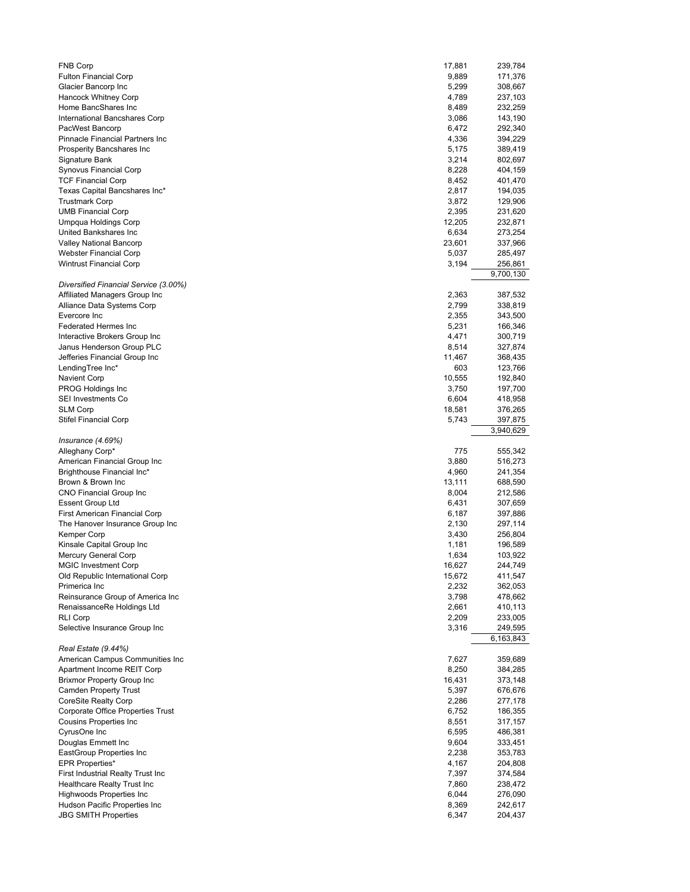| <b>FNB Corp</b>                                    | 17,881         | 239,784            |
|----------------------------------------------------|----------------|--------------------|
| <b>Fulton Financial Corp</b>                       | 9,889<br>5,299 | 171,376            |
| Glacier Bancorp Inc                                | 4,789          | 308,667            |
| Hancock Whitney Corp<br>Home BancShares Inc        | 8,489          | 237,103<br>232,259 |
| International Bancshares Corp                      | 3,086          |                    |
|                                                    | 6,472          | 143,190<br>292,340 |
| PacWest Bancorp<br>Pinnacle Financial Partners Inc | 4,336          |                    |
|                                                    |                | 394,229            |
| Prosperity Bancshares Inc                          | 5,175          | 389,419            |
| Signature Bank                                     | 3,214          | 802,697            |
| Synovus Financial Corp                             | 8,228          | 404,159            |
| <b>TCF Financial Corp</b>                          | 8,452          | 401,470            |
| Texas Capital Bancshares Inc*                      | 2,817          | 194,035            |
| <b>Trustmark Corp</b>                              | 3,872          | 129,906            |
| <b>UMB Financial Corp</b>                          | 2,395          | 231,620            |
| Umpqua Holdings Corp                               | 12,205         | 232,871            |
| United Bankshares Inc                              | 6,634          | 273,254            |
| Valley National Bancorp                            | 23,601         | 337,966            |
| Webster Financial Corp                             | 5,037          | 285,497            |
| <b>Wintrust Financial Corp</b>                     | 3,194          | 256,861            |
|                                                    |                | 9,700,130          |
| Diversified Financial Service (3.00%)              |                |                    |
| Affiliated Managers Group Inc                      | 2,363          | 387,532            |
| Alliance Data Systems Corp                         | 2,799          | 338,819            |
| Evercore Inc                                       | 2,355          | 343,500            |
| <b>Federated Hermes Inc</b>                        | 5,231          | 166,346            |
| Interactive Brokers Group Inc                      | 4,471          | 300,719            |
| Janus Henderson Group PLC                          | 8,514          | 327,874            |
| Jefferies Financial Group Inc                      | 11,467         | 368,435            |
| LendingTree Inc*                                   | 603            | 123,766            |
| Navient Corp                                       | 10,555         | 192,840            |
| PROG Holdings Inc                                  | 3,750          | 197,700            |
| <b>SEI Investments Co</b>                          | 6,604          | 418,958            |
| <b>SLM Corp</b>                                    | 18,581         | 376,265            |
| <b>Stifel Financial Corp</b>                       | 5,743          | 397,875            |
|                                                    |                | 3,940,629          |
| Insurance $(4.69%)$                                |                |                    |
| Alleghany Corp*                                    | 775            | 555,342            |
| American Financial Group Inc                       | 3,880          | 516,273            |
| Brighthouse Financial Inc*                         | 4,960          | 241,354            |
| Brown & Brown Inc                                  | 13,111         | 688,590            |
| CNO Financial Group Inc                            | 8,004          | 212,586            |
| <b>Essent Group Ltd</b>                            | 6,431          | 307,659            |
| <b>First American Financial Corp</b>               | 6,187          | 397,886            |
| The Hanover Insurance Group Inc                    | 2,130          |                    |
|                                                    |                | 297,114            |
| Kemper Corp                                        | 3,430          | 256,804            |
| Kinsale Capital Group Inc                          | 1,181          | 196,589            |
| Mercury General Corp                               | 1,634          | 103,922            |
| <b>MGIC Investment Corp</b>                        | 16,627         | 244,749            |
| Old Republic International Corp                    | 15,672         | 411,547            |
| Primerica Inc                                      | 2,232          | 362,053            |
| Reinsurance Group of America Inc                   | 3,798          | 478,662            |
| RenaissanceRe Holdings Ltd                         | 2,661          | 410,113            |
| <b>RLI Corp</b>                                    | 2,209          | 233,005            |
| Selective Insurance Group Inc                      | 3,316          | 249,595            |
|                                                    |                | 6,163,843          |
| Real Estate (9.44%)                                |                |                    |
| American Campus Communities Inc                    | 7,627          | 359,689            |
| Apartment Income REIT Corp                         | 8,250          | 384,285            |
| <b>Brixmor Property Group Inc</b>                  | 16,431         | 373,148            |
| Camden Property Trust                              | 5,397          | 676,676            |
| <b>CoreSite Realty Corp</b>                        | 2,286          | 277,178            |
| Corporate Office Properties Trust                  | 6,752          | 186,355            |
| Cousins Properties Inc                             | 8,551          | 317,157            |
| CyrusOne Inc                                       | 6,595          | 486,381            |
| Douglas Emmett Inc                                 | 9,604          | 333,451            |
| EastGroup Properties Inc                           | 2,238          | 353,783            |
| <b>EPR Properties*</b>                             | 4,167          | 204,808            |
| First Industrial Realty Trust Inc                  | 7,397          | 374,584            |
| Healthcare Realty Trust Inc                        | 7,860          | 238,472            |
| <b>Highwoods Properties Inc</b>                    | 6,044          | 276,090            |
| Hudson Pacific Properties Inc                      | 8,369          | 242,617            |
|                                                    |                |                    |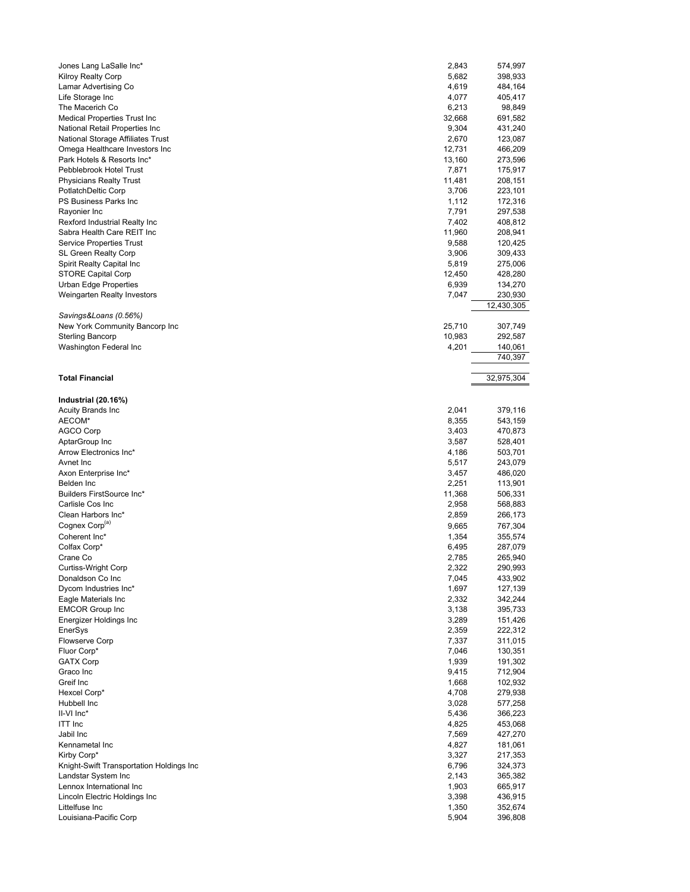| Jones Lang LaSalle Inc*                  | 2,843  | 574,997    |
|------------------------------------------|--------|------------|
| Kilroy Realty Corp                       | 5,682  | 398,933    |
| Lamar Advertising Co                     | 4,619  | 484,164    |
| Life Storage Inc                         | 4,077  | 405,417    |
| The Macerich Co                          | 6,213  | 98,849     |
| <b>Medical Properties Trust Inc</b>      | 32,668 | 691,582    |
| National Retail Properties Inc           | 9,304  | 431,240    |
| National Storage Affiliates Trust        | 2,670  | 123,087    |
|                                          |        |            |
| Omega Healthcare Investors Inc           | 12,731 | 466,209    |
| Park Hotels & Resorts Inc*               | 13,160 | 273,596    |
| Pebblebrook Hotel Trust                  | 7,871  | 175,917    |
| <b>Physicians Realty Trust</b>           | 11,481 | 208,151    |
| PotlatchDeltic Corp                      | 3,706  | 223,101    |
| PS Business Parks Inc                    | 1,112  | 172,316    |
| Rayonier Inc                             | 7,791  | 297,538    |
|                                          | 7,402  |            |
| Rexford Industrial Realty Inc            |        | 408,812    |
| Sabra Health Care REIT Inc               | 11,960 | 208,941    |
| <b>Service Properties Trust</b>          | 9,588  | 120,425    |
| SL Green Realty Corp                     | 3,906  | 309,433    |
| Spirit Realty Capital Inc                | 5,819  | 275,006    |
| STORE Capital Corp                       | 12,450 | 428,280    |
| <b>Urban Edge Properties</b>             | 6,939  | 134,270    |
|                                          |        |            |
| Weingarten Realty Investors              | 7,047  | 230,930    |
|                                          |        | 12,430,305 |
| Savings&Loans (0.56%)                    |        |            |
| New York Community Bancorp Inc           | 25,710 | 307,749    |
| <b>Sterling Bancorp</b>                  | 10,983 | 292,587    |
| Washington Federal Inc                   | 4,201  | 140,061    |
|                                          |        | 740,397    |
|                                          |        |            |
|                                          |        |            |
| <b>Total Financial</b>                   |        | 32,975,304 |
|                                          |        |            |
| Industrial (20.16%)                      |        |            |
| Acuity Brands Inc                        | 2,041  | 379,116    |
| AECOM*                                   | 8,355  | 543,159    |
|                                          | 3,403  |            |
| AGCO Corp                                |        | 470,873    |
| AptarGroup Inc                           | 3,587  | 528,401    |
|                                          |        |            |
| Arrow Electronics Inc*                   | 4,186  | 503,701    |
| Avnet Inc                                | 5,517  | 243,079    |
| Axon Enterprise Inc*                     | 3,457  | 486,020    |
|                                          |        |            |
| Belden Inc                               | 2,251  | 113,901    |
| Builders FirstSource Inc*                | 11,368 | 506,331    |
| Carlisle Cos Inc                         | 2,958  | 568,883    |
| Clean Harbors Inc*                       | 2,859  | 266,173    |
| Cognex Corp <sup>(a)</sup>               | 9,665  | 767,304    |
| Coherent Inc*                            | 1,354  |            |
|                                          |        | 355,574    |
| Colfax Corp*                             | 6,495  | 287,079    |
| Crane Co                                 | 2,785  | 265,940    |
| Curtiss-Wright Corp                      | 2,322  | 290,993    |
| Donaldson Co Inc                         | 7,045  | 433,902    |
| Dycom Industries Inc*                    | 1,697  | 127,139    |
| Eagle Materials Inc                      | 2,332  | 342,244    |
| <b>EMCOR Group Inc</b>                   | 3,138  | 395,733    |
|                                          |        |            |
| Energizer Holdings Inc                   | 3,289  | 151,426    |
| EnerSys                                  | 2,359  | 222,312    |
| Flowserve Corp                           | 7,337  | 311,015    |
| Fluor Corp*                              | 7,046  | 130,351    |
| <b>GATX Corp</b>                         | 1,939  | 191,302    |
| Graco Inc                                | 9,415  | 712,904    |
| Greif Inc                                | 1,668  |            |
|                                          |        | 102,932    |
| Hexcel Corp*                             | 4,708  | 279,938    |
| Hubbell Inc                              | 3,028  | 577,258    |
| II-VI Inc*                               | 5,436  | 366,223    |
| ITT Inc                                  | 4,825  | 453,068    |
| Jabil Inc                                | 7,569  | 427,270    |
| Kennametal Inc                           | 4,827  | 181,061    |
|                                          | 3,327  |            |
| Kirby Corp*                              |        | 217,353    |
| Knight-Swift Transportation Holdings Inc | 6,796  | 324,373    |
| Landstar System Inc                      | 2,143  | 365,382    |
| Lennox International Inc                 | 1,903  | 665,917    |
| Lincoln Electric Holdings Inc            | 3,398  | 436,915    |
| Littelfuse Inc                           | 1,350  | 352,674    |
| Louisiana-Pacific Corp                   | 5,904  | 396,808    |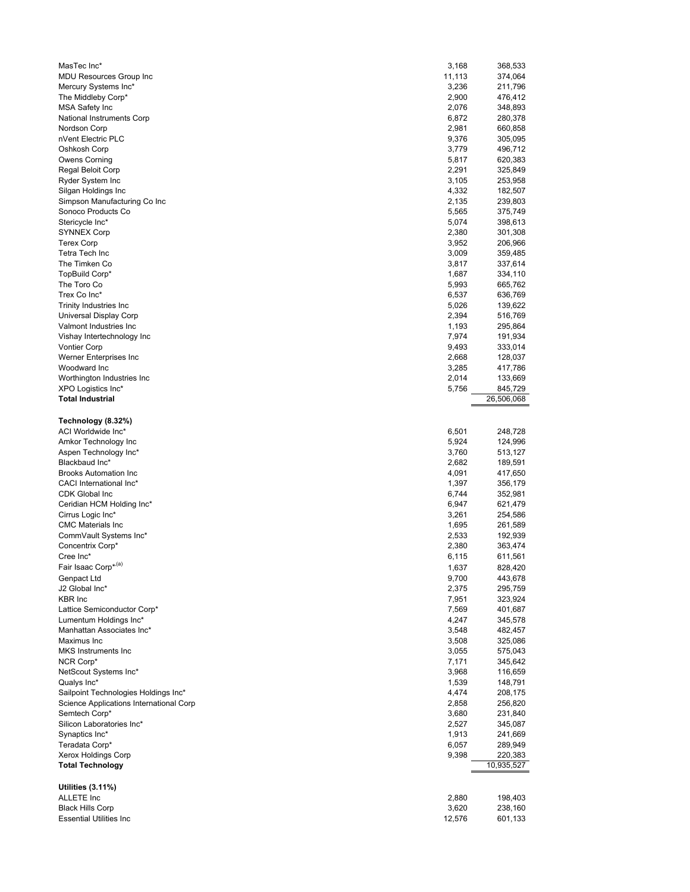| MasTec Inc*                                        | 3,168  | 368,533            |
|----------------------------------------------------|--------|--------------------|
| MDU Resources Group Inc                            | 11,113 | 374,064            |
| Mercury Systems Inc*                               | 3,236  | 211,796            |
| The Middleby Corp*                                 | 2,900  | 476,412            |
| MSA Safety Inc                                     | 2,076  | 348,893            |
| National Instruments Corp                          | 6,872  | 280,378            |
| Nordson Corp                                       | 2,981  | 660,858            |
| nVent Electric PLC                                 | 9,376  | 305,095            |
| Oshkosh Corp                                       | 3,779  | 496,712            |
| Owens Corning                                      | 5,817  | 620,383            |
| Regal Beloit Corp                                  | 2,291  | 325,849            |
| Ryder System Inc                                   | 3,105  | 253,958            |
| Silgan Holdings Inc                                | 4,332  | 182,507            |
| Simpson Manufacturing Co Inc                       | 2,135  | 239,803            |
| Sonoco Products Co                                 | 5,565  | 375,749            |
| Stericycle Inc*                                    | 5,074  | 398,613            |
| <b>SYNNEX Corp</b>                                 | 2,380  | 301,308            |
| <b>Terex Corp</b>                                  | 3,952  | 206,966            |
| Tetra Tech Inc                                     | 3,009  | 359,485            |
| The Timken Co                                      | 3,817  | 337,614            |
| TopBuild Corp*                                     | 1,687  | 334,110            |
| The Toro Co                                        | 5,993  | 665,762            |
| Trex Co Inc*                                       | 6,537  | 636,769            |
| Trinity Industries Inc                             | 5,026  | 139,622            |
| Universal Display Corp                             | 2,394  | 516,769            |
| Valmont Industries Inc                             | 1,193  | 295,864            |
| Vishay Intertechnology Inc                         | 7,974  | 191,934            |
| <b>Vontier Corp</b>                                | 9,493  | 333,014            |
| Werner Enterprises Inc                             | 2,668  | 128,037            |
| Woodward Inc                                       | 3,285  | 417,786            |
| Worthington Industries Inc                         | 2,014  | 133,669            |
| XPO Logistics Inc*                                 | 5,756  | 845,729            |
| <b>Total Industrial</b>                            |        | 26,506,068         |
|                                                    |        |                    |
| Technology (8.32%)                                 |        |                    |
| ACI Worldwide Inc*                                 | 6,501  | 248,728            |
| Amkor Technology Inc                               | 5,924  | 124,996            |
| Aspen Technology Inc*                              | 3,760  | 513,127            |
| Blackbaud Inc*                                     | 2,682  | 189,591            |
| <b>Brooks Automation Inc.</b>                      | 4,091  | 417,650            |
| CACI International Inc*                            | 1,397  | 356,179            |
| CDK Global Inc                                     | 6,744  | 352,981            |
| Ceridian HCM Holding Inc*                          | 6,947  | 621,479            |
|                                                    |        |                    |
| Cirrus Logic Inc*                                  | 3,261  | 254,586            |
| <b>CMC Materials Inc</b><br>CommVault Systems Inc* | 1,695  | 261,589            |
|                                                    | 2,533  | 192,939<br>363,474 |
| Concentrix Corp*                                   | 2,380  |                    |
| Cree Inc*                                          | 6,115  | 611,561            |
| Fair Isaac Corp*(a)                                | 1,637  | 828,420            |
| Genpact Ltd                                        | 9,700  | 443,678            |
| J2 Global Inc*                                     | 2,375  | 295,759            |
| <b>KBR</b> Inc                                     | 7,951  | 323,924            |
| Lattice Semiconductor Corp*                        | 7,569  | 401,687            |
| Lumentum Holdings Inc*                             | 4,247  | 345,578            |
| Manhattan Associates Inc*                          | 3,548  | 482,457            |
| Maximus Inc                                        | 3,508  | 325,086            |
| <b>MKS</b> Instruments Inc                         | 3,055  | 575,043            |
| NCR Corp*                                          | 7,171  | 345,642            |
| NetScout Systems Inc*                              | 3,968  | 116,659            |
| Qualys Inc*                                        | 1,539  | 148,791            |
| Sailpoint Technologies Holdings Inc*               | 4,474  | 208,175            |
| Science Applications International Corp            | 2,858  | 256,820            |
| Semtech Corp*                                      | 3,680  | 231,840            |
| Silicon Laboratories Inc*                          | 2,527  | 345,087            |
| Synaptics Inc*                                     | 1,913  | 241,669            |
| Teradata Corp*                                     | 6,057  | 289,949            |
| Xerox Holdings Corp                                | 9,398  | 220,383            |
| <b>Total Technology</b>                            |        | 10,935,527         |
|                                                    |        |                    |
| <b>Utilities (3.11%)</b>                           |        |                    |
| ALLETE Inc                                         |        |                    |
|                                                    | 2,880  | 198,403            |
| <b>Black Hills Corp</b>                            | 3,620  | 238,160            |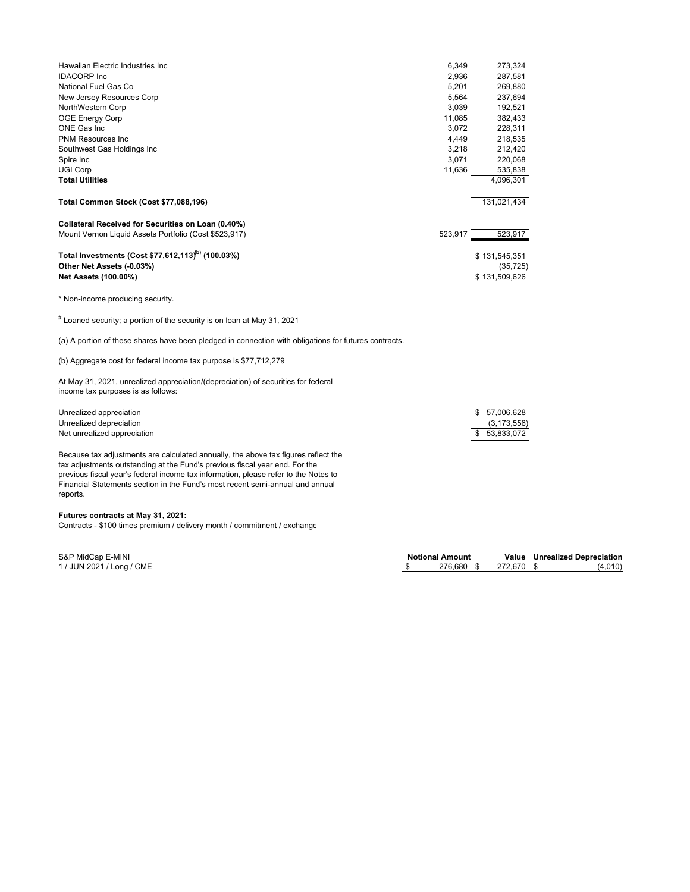| Hawaiian Electric Industries Inc                               | 6,349   | 273,324       |
|----------------------------------------------------------------|---------|---------------|
| <b>IDACORP</b> Inc                                             | 2,936   | 287,581       |
| National Fuel Gas Co                                           | 5,201   | 269,880       |
| New Jersey Resources Corp                                      | 5,564   | 237,694       |
| NorthWestern Corp                                              | 3,039   | 192,521       |
| <b>OGE Energy Corp</b>                                         | 11,085  | 382,433       |
| ONE Gas Inc                                                    | 3.072   | 228,311       |
| <b>PNM Resources Inc.</b>                                      | 4,449   | 218,535       |
| Southwest Gas Holdings Inc                                     | 3,218   | 212,420       |
| Spire Inc                                                      | 3,071   | 220,068       |
| <b>UGI Corp</b>                                                | 11,636  | 535,838       |
| <b>Total Utilities</b>                                         |         | 4,096,301     |
| Total Common Stock (Cost \$77,088,196)                         |         | 131,021,434   |
| Collateral Received for Securities on Loan (0.40%)             |         |               |
| Mount Vernon Liquid Assets Portfolio (Cost \$523,917)          | 523,917 | 523,917       |
| Total Investments (Cost \$77,612,113) <sup>(b)</sup> (100.03%) |         | \$131,545,351 |
| Other Net Assets (-0.03%)                                      |         | (35, 725)     |
| Net Assets (100.00%)                                           |         | \$131,509,626 |

\* Non-income producing security.

 $^{\text{\#}}$  Loaned security; a portion of the security is on loan at May 31, 2021

(a) A portion of these shares have been pledged in connection with obligations for futures contracts.

(b) Aggregate cost for federal income tax purpose is \$77,712,279

At May 31, 2021, unrealized appreciation/(depreciation) of securities for federal income tax purposes is as follows:

| Unrealized appreciation     | \$57.006.628  |
|-----------------------------|---------------|
| Unrealized depreciation     | (3, 173, 556) |
| Net unrealized appreciation | \$53.833.072  |

Because tax adjustments are calculated annually, the above tax figures reflect the tax adjustments outstanding at the Fund's previous fiscal year end. For the previous fiscal year's federal income tax information, please refer to the Notes to Financial Statements section in the Fund's most recent semi-annual and annual reports.

## **Futures contracts at May 31, 2021:**

Contracts - \$100 times premium / delivery month / commitment / exchange

**Notional Amount Value Unrealized Depreciation**<br>\$276,680 \$272,670 \$ (4,010) S&P MidCap E-MINI<br>
1/ JUN 2021 / Long / CME 1/ JUN 2021 / Long / CME 1/ JUN 2021 / Long / CME 1/ JUN 2021 / Long / CME 1/ JUN 2021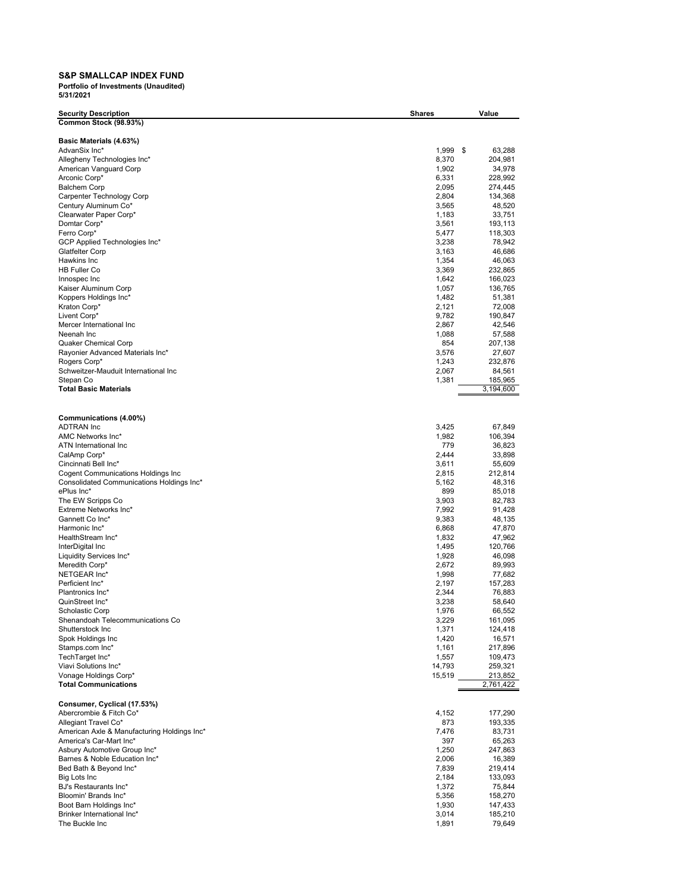## **S&P SMALLCAP INDEX FUND**

| <b>Security Description</b>                       | <b>Shares</b>  | Value              |
|---------------------------------------------------|----------------|--------------------|
| Common Stock (98.93%)                             |                |                    |
|                                                   |                |                    |
| Basic Materials (4.63%)                           |                |                    |
| AdvanSix Inc*                                     | 1,999          | \$<br>63,288       |
| Allegheny Technologies Inc*                       | 8,370          | 204,981            |
| American Vanguard Corp                            | 1,902          | 34,978             |
| Arconic Corp*                                     | 6,331          | 228,992            |
| <b>Balchem Corp</b>                               | 2,095<br>2,804 | 274,445<br>134,368 |
| Carpenter Technology Corp<br>Century Aluminum Co* | 3,565          | 48,520             |
| Clearwater Paper Corp*                            | 1,183          | 33,751             |
| Domtar Corp*                                      | 3,561          | 193,113            |
| Ferro Corp*                                       | 5,477          | 118,303            |
| GCP Applied Technologies Inc*                     | 3,238          | 78,942             |
| Glatfelter Corp                                   | 3,163          | 46,686             |
| Hawkins Inc                                       | 1,354          | 46,063             |
| <b>HB Fuller Co</b>                               | 3,369          | 232,865            |
| Innospec Inc                                      | 1,642          | 166,023            |
| Kaiser Aluminum Corp                              | 1,057          | 136,765            |
| Koppers Holdings Inc*                             | 1,482          | 51,381             |
| Kraton Corp*                                      | 2,121          | 72,008             |
| Livent Corp*                                      | 9,782          | 190,847            |
| Mercer International Inc                          | 2,867          | 42,546             |
| Neenah Inc                                        | 1,088          | 57,588             |
| Quaker Chemical Corp                              | 854            | 207,138            |
| Rayonier Advanced Materials Inc*                  | 3,576          | 27,607             |
| Rogers Corp*                                      | 1,243          | 232,876            |
| Schweitzer-Mauduit International Inc              | 2,067          | 84,561             |
| Stepan Co                                         | 1,381          | 185,965            |
| <b>Total Basic Materials</b>                      |                | 3,194,600          |
|                                                   |                |                    |
|                                                   |                |                    |
| Communications (4.00%)                            |                |                    |
| <b>ADTRAN</b> Inc                                 | 3,425          | 67,849             |
| AMC Networks Inc*                                 | 1,982          | 106,394            |
| ATN International Inc                             | 779            | 36,823             |
| CalAmp Corp*                                      | 2,444          | 33,898             |
| Cincinnati Bell Inc*                              | 3,611          | 55,609             |
| Cogent Communications Holdings Inc                | 2,815          | 212,814            |
| Consolidated Communications Holdings Inc*         | 5,162          | 48,316             |
| ePlus Inc*                                        | 899            | 85,018             |
| The EW Scripps Co<br>Extreme Networks Inc*        | 3,903          | 82,783             |
| Gannett Co Inc*                                   | 7,992<br>9,383 | 91,428<br>48,135   |
| Harmonic Inc*                                     | 6,868          | 47,870             |
| HealthStream Inc*                                 | 1,832          | 47,962             |
| InterDigital Inc                                  | 1,495          | 120,766            |
| Liquidity Services Inc*                           | 1,928          | 46,098             |
| Meredith Corp*                                    | 2,672          | 89,993             |
| NETGEAR Inc*                                      | 1,998          | 77,682             |
| Perficient Inc*                                   | 2,197          | 157,283            |
| Plantronics Inc*                                  | 2,344          | 76,883             |
| QuinStreet Inc*                                   | 3,238          | 58,640             |
| Scholastic Corp                                   | 1,976          | 66,552             |
| Shenandoah Telecommunications Co                  | 3,229          | 161,095            |
| Shutterstock Inc                                  | 1,371          | 124,418            |
| Spok Holdings Inc                                 | 1,420          | 16,571             |
| Stamps.com Inc*                                   | 1,161          | 217,896            |
| TechTarget Inc*                                   | 1,557          | 109,473            |
| Viavi Solutions Inc*                              | 14,793         | 259,321            |
| Vonage Holdings Corp*                             | 15,519         | 213,852            |
| <b>Total Communications</b>                       |                | 2,761,422          |
|                                                   |                |                    |
| Consumer, Cyclical (17.53%)                       |                |                    |
| Abercrombie & Fitch Co*                           | 4,152          | 177,290            |
| Allegiant Travel Co*                              | 873            | 193,335            |
| American Axle & Manufacturing Holdings Inc*       | 7,476          | 83,731             |
| America's Car-Mart Inc*                           | 397            | 65,263             |
| Asbury Automotive Group Inc*                      | 1,250          | 247,863            |
| Barnes & Noble Education Inc*                     | 2,006          | 16,389             |
| Bed Bath & Beyond Inc*                            | 7,839          | 219,414            |
| Big Lots Inc                                      | 2,184          | 133,093            |
| BJ's Restaurants Inc*                             | 1,372          | 75,844             |
| Bloomin' Brands Inc*                              | 5,356          | 158,270            |
| Boot Barn Holdings Inc*                           | 1,930          | 147,433            |
| Brinker International Inc*                        | 3,014          | 185,210            |
| The Buckle Inc                                    | 1,891          | 79,649             |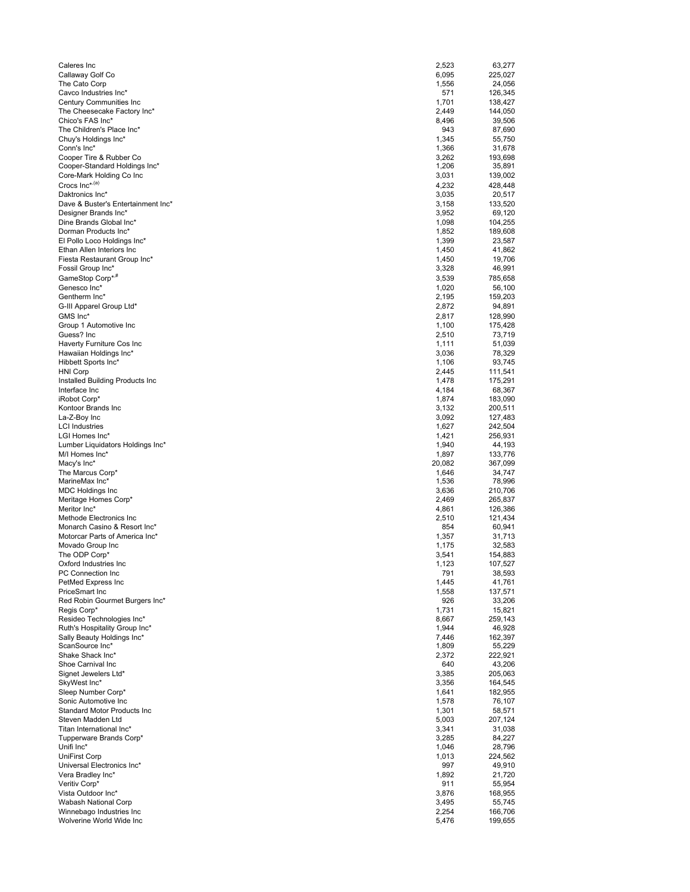| Caleres Inc                                                | 2,523          | 63,277             |
|------------------------------------------------------------|----------------|--------------------|
| Callaway Golf Co                                           | 6,095          | 225,027            |
| The Cato Corp<br>Cavco Industries Inc*                     | 1,556<br>571   | 24,056<br>126,345  |
| Century Communities Inc                                    | 1,701          | 138,427            |
| The Cheesecake Factory Inc*                                | 2,449          | 144,050            |
| Chico's FAS Inc*                                           | 8,496          | 39,506             |
| The Children's Place Inc*                                  | 943            | 87,690             |
| Chuy's Holdings Inc*<br>Conn's Inc*                        | 1,345<br>1,366 | 55,750<br>31,678   |
| Cooper Tire & Rubber Co                                    | 3,262          | 193,698            |
| Cooper-Standard Holdings Inc*                              | 1,206          | 35,891             |
| Core-Mark Holding Co Inc                                   | 3,031          | 139,002            |
| Crocs Inc* <sup>,(a)</sup>                                 | 4,232          | 428,448            |
| Daktronics Inc*<br>Dave & Buster's Entertainment Inc*      | 3,035<br>3,158 | 20,517<br>133,520  |
| Designer Brands Inc*                                       | 3,952          | 69,120             |
| Dine Brands Global Inc*                                    | 1,098          | 104,255            |
| Dorman Products Inc*                                       | 1,852          | 189,608            |
| El Pollo Loco Holdings Inc*                                | 1,399          | 23,587             |
| Ethan Allen Interiors Inc<br>Fiesta Restaurant Group Inc*  | 1,450<br>1,450 | 41,862<br>19,706   |
| Fossil Group Inc*                                          | 3,328          | 46,991             |
| GameStop Corp*,#                                           | 3,539          | 785,658            |
| Genesco Inc*                                               | 1,020          | 56,100             |
| Gentherm Inc*                                              | 2,195          | 159,203            |
| G-III Apparel Group Ltd*                                   | 2,872          | 94,891             |
| GMS Inc*<br>Group 1 Automotive Inc                         | 2,817          | 128,990            |
| Guess? Inc                                                 | 1,100<br>2,510 | 175,428<br>73,719  |
| Haverty Furniture Cos Inc                                  | 1,111          | 51,039             |
| Hawaiian Holdings Inc*                                     | 3,036          | 78,329             |
| Hibbett Sports Inc*                                        | 1,106          | 93,745             |
| <b>HNI Corp</b>                                            | 2,445          | 111,541            |
| Installed Building Products Inc<br>Interface Inc           | 1,478<br>4,184 | 175,291<br>68,367  |
| iRobot Corp*                                               | 1,874          | 183,090            |
| Kontoor Brands Inc                                         | 3,132          | 200,511            |
| La-Z-Boy Inc                                               | 3,092          | 127,483            |
| <b>LCI Industries</b>                                      | 1,627          | 242,504            |
| LGI Homes Inc*                                             | 1,421<br>1,940 | 256,931<br>44,193  |
| Lumber Liquidators Holdings Inc*<br>M/I Homes Inc*         | 1,897          | 133,776            |
| Macy's Inc*                                                | 20,082         | 367,099            |
| The Marcus Corp*                                           | 1,646          | 34,747             |
| MarineMax Inc*                                             | 1,536          | 78,996             |
| <b>MDC Holdings Inc</b><br>Meritage Homes Corp*            | 3,636<br>2,469 | 210,706<br>265,837 |
| Meritor Inc*                                               | 4,861          | 126,386            |
| Methode Electronics Inc                                    | 2,510          | 121,434            |
| Monarch Casino & Resort Inc*                               | 854            | 60,941             |
| Motorcar Parts of America Inc*                             | 1,357          | 31,713             |
| Movado Group Inc<br>The ODP Corp*                          | 1,175<br>3,541 | 32,583<br>154,883  |
| Oxford Industries Inc.                                     | 1,123          | 107,527            |
| PC Connection Inc                                          | 791            | 38,593             |
| PetMed Express Inc                                         | 1,445          | 41,761             |
| <b>PriceSmart Inc</b>                                      | 1,558          | 137,571            |
| Red Robin Gourmet Burgers Inc*<br>Regis Corp*              | 926<br>1,731   | 33,206<br>15,821   |
| Resideo Technologies Inc*                                  | 8,667          | 259,143            |
| Ruth's Hospitality Group Inc*                              | 1,944          | 46,928             |
| Sally Beauty Holdings Inc*                                 | 7,446          | 162,397            |
| ScanSource Inc*                                            | 1,809          | 55,229             |
| Shake Shack Inc*<br>Shoe Carnival Inc                      | 2,372<br>640   | 222,921<br>43,206  |
| Signet Jewelers Ltd*                                       | 3,385          | 205,063            |
| SkyWest Inc*                                               | 3,356          | 164,545            |
| Sleep Number Corp*                                         | 1,641          | 182,955            |
| Sonic Automotive Inc<br><b>Standard Motor Products Inc</b> | 1,578          | 76,107             |
| Steven Madden Ltd                                          | 1,301<br>5,003 | 58,571<br>207,124  |
| Titan International Inc*                                   | 3,341          | 31,038             |
| Tupperware Brands Corp*                                    | 3,285          | 84,227             |
| Unifi Inc*                                                 | 1,046          | 28,796             |
| <b>UniFirst Corp</b>                                       | 1,013          | 224,562            |
| Universal Electronics Inc*<br>Vera Bradley Inc*            | 997<br>1,892   | 49,910<br>21,720   |
| Veritiv Corp*                                              | 911            | 55,954             |
| Vista Outdoor Inc*                                         | 3,876          | 168,955            |
| Wabash National Corp                                       | 3,495          | 55,745             |
| Winnebago Industries Inc                                   | 2,254          | 166,706            |
| Wolverine World Wide Inc                                   | 5,476          | 199,655            |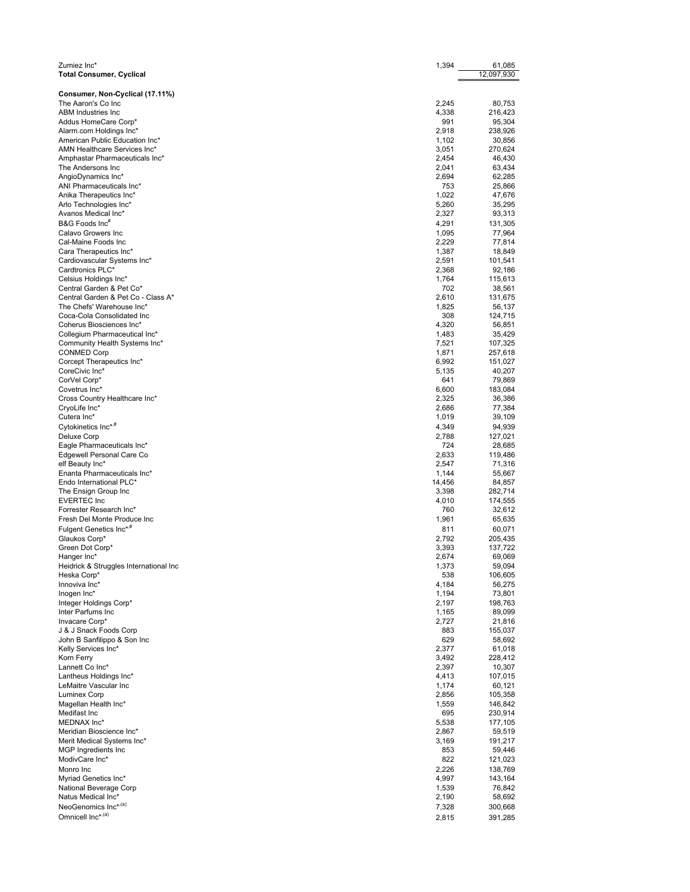| Zumiez Inc*                                                    | 1,394           | 61,085            |
|----------------------------------------------------------------|-----------------|-------------------|
| <b>Total Consumer, Cyclical</b>                                |                 | 12,097,930        |
|                                                                |                 |                   |
| Consumer, Non-Cyclical (17.11%)                                |                 |                   |
| The Aaron's Co Inc<br>ABM Industries Inc                       | 2,245<br>4,338  | 80,753<br>216,423 |
| Addus HomeCare Corp*                                           | 991             | 95,304            |
| Alarm.com Holdings Inc*                                        | 2,918           | 238,926           |
| American Public Education Inc*                                 | 1,102           | 30,856            |
| AMN Healthcare Services Inc*                                   | 3,051           | 270,624           |
| Amphastar Pharmaceuticals Inc*                                 | 2,454           | 46,430            |
| The Andersons Inc                                              | 2,041           | 63,434            |
| AngioDynamics Inc*                                             | 2,694           | 62,285            |
| ANI Pharmaceuticals Inc*<br>Anika Therapeutics Inc*            | 753<br>1,022    | 25,866<br>47,676  |
| Arlo Technologies Inc*                                         | 5,260           | 35,295            |
| Avanos Medical Inc*                                            | 2,327           | 93,313            |
| B&G Foods Inc <sup>#</sup>                                     | 4,291           | 131,305           |
| Calavo Growers Inc                                             | 1,095           | 77,964            |
| Cal-Maine Foods Inc                                            | 2,229           | 77,814            |
| Cara Therapeutics Inc*                                         | 1,387           | 18,849            |
| Cardiovascular Systems Inc*                                    | 2,591           | 101,541           |
| Cardtronics PLC*                                               | 2,368           | 92,186            |
| Celsius Holdings Inc*                                          | 1,764           | 115,613           |
| Central Garden & Pet Co*<br>Central Garden & Pet Co - Class A* | 702<br>2,610    | 38,561<br>131,675 |
| The Chefs' Warehouse Inc*                                      | 1,825           | 56,137            |
| Coca-Cola Consolidated Inc                                     | 308             | 124,715           |
| Coherus Biosciences Inc*                                       | 4,320           | 56,851            |
| Collegium Pharmaceutical Inc*                                  | 1,483           | 35,429            |
| Community Health Systems Inc*                                  | 7,521           | 107,325           |
| <b>CONMED Corp</b>                                             | 1,871           | 257,618           |
| Corcept Therapeutics Inc*                                      | 6,992           | 151,027           |
| CoreCivic Inc*                                                 | 5,135           | 40,207            |
| CorVel Corp*<br>Covetrus Inc*                                  | 641<br>6,600    | 79,869<br>183,084 |
| Cross Country Healthcare Inc*                                  | 2,325           | 36,386            |
| CryoLife Inc*                                                  | 2,686           | 77,384            |
| Cutera Inc*                                                    | 1,019           | 39,109            |
| Cytokinetics Inc* <sup>,#</sup>                                | 4,349           | 94,939            |
| Deluxe Corp                                                    | 2,788           | 127,021           |
| Eagle Pharmaceuticals Inc*                                     | 724             | 28,685            |
| Edgewell Personal Care Co                                      | 2,633           | 119,486           |
| elf Beauty Inc*                                                | 2,547           | 71,316            |
| Enanta Pharmaceuticals Inc*<br>Endo International PLC*         | 1,144           | 55,667            |
| The Ensign Group Inc                                           | 14,456<br>3,398 | 84,857<br>282,714 |
| <b>EVERTEC Inc</b>                                             | 4,010           | 174,555           |
| Forrester Research Inc*                                        | 760             | 32,612            |
| Fresh Del Monte Produce Inc                                    | 1,961           | 65,635            |
| Fulgent Genetics Inc* <sup>#</sup>                             | 811             | 60,071            |
| Glaukos Corp*                                                  | 2,792           | 205,435           |
| Green Dot Corp*                                                | 3,393           | 137,722           |
| Hanger Inc*                                                    | 2,674           | 69,069            |
| Heidrick & Struggles International Inc                         | 1,373           | 59,094            |
| Heska Corp*<br>Innoviva Inc*                                   | 538<br>4,184    | 106,605<br>56,275 |
| Inogen Inc*                                                    | 1,194           | 73,801            |
| Integer Holdings Corp*                                         | 2,197           | 198,763           |
| Inter Parfums Inc                                              | 1,165           | 89,099            |
| Invacare Corp*                                                 | 2,727           | 21,816            |
| J & J Snack Foods Corp                                         | 883             | 155,037           |
| John B Sanfilippo & Son Inc                                    | 629             | 58,692            |
| Kelly Services Inc*                                            | 2,377           | 61,018            |
| Korn Ferry<br>Lannett Co Inc*                                  | 3,492<br>2,397  | 228,412<br>10,307 |
| Lantheus Holdings Inc*                                         | 4,413           | 107,015           |
| LeMaitre Vascular Inc                                          | 1,174           | 60,121            |
| <b>Luminex Corp</b>                                            | 2,856           | 105,358           |
| Magellan Health Inc*                                           | 1,559           | 146,842           |
| Medifast Inc                                                   | 695             | 230,914           |
| MEDNAX Inc*                                                    | 5,538           | 177,105           |
| Meridian Bioscience Inc*                                       | 2,867           | 59,519            |
| Merit Medical Systems Inc*<br>MGP Ingredients Inc              | 3,169<br>853    | 191,217<br>59,446 |
| ModivCare Inc*                                                 | 822             | 121,023           |
| Monro Inc                                                      | 2,226           | 138,769           |
| Myriad Genetics Inc*                                           | 4,997           | 143,164           |
| National Beverage Corp                                         | 1,539           | 76,842            |
| Natus Medical Inc*                                             | 2,190           | 58,692            |
| NeoGenomics Inc* <sup>,(a)</sup>                               | 7,328           | 300,668           |
| Omnicell Inc*,(a)                                              | 2,815           | 391,285           |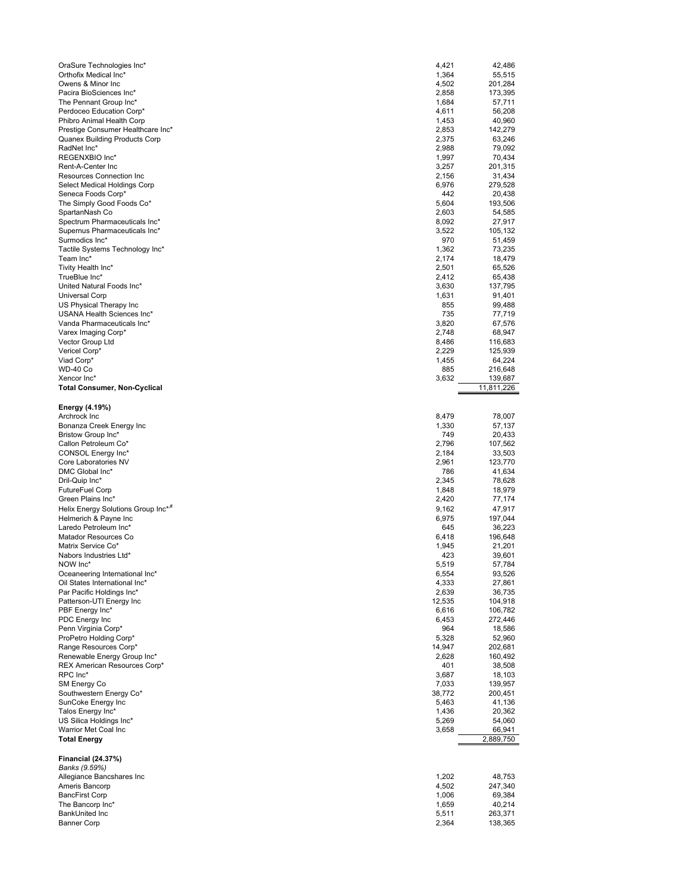| OraSure Technologies Inc*                                     | 4,421  | 42,486     |
|---------------------------------------------------------------|--------|------------|
| Orthofix Medical Inc*                                         | 1,364  | 55,515     |
|                                                               |        |            |
| Owens & Minor Inc                                             | 4,502  | 201,284    |
| Pacira BioSciences Inc*                                       | 2,858  | 173,395    |
| The Pennant Group Inc*                                        | 1,684  | 57,711     |
| Perdoceo Education Corp*                                      | 4,611  | 56,208     |
| Phibro Animal Health Corp                                     | 1,453  | 40,960     |
|                                                               |        |            |
| Prestige Consumer Healthcare Inc*                             | 2,853  | 142,279    |
| Quanex Building Products Corp                                 | 2,375  | 63,246     |
| RadNet Inc*                                                   | 2,988  | 79,092     |
| REGENXBIO Inc*                                                | 1,997  | 70,434     |
| Rent-A-Center Inc                                             | 3,257  | 201,315    |
|                                                               |        |            |
| Resources Connection Inc                                      | 2,156  | 31,434     |
| Select Medical Holdings Corp                                  | 6,976  | 279,528    |
| Seneca Foods Corp*                                            | 442    | 20,438     |
| The Simply Good Foods Co*                                     | 5,604  | 193,506    |
|                                                               |        |            |
| SpartanNash Co                                                | 2,603  | 54,585     |
| Spectrum Pharmaceuticals Inc*                                 | 8,092  | 27,917     |
| Supernus Pharmaceuticals Inc*                                 | 3,522  | 105,132    |
| Surmodics Inc*                                                | 970    | 51,459     |
|                                                               |        |            |
| Tactile Systems Technology Inc*                               | 1,362  | 73,235     |
| Team Inc*                                                     | 2,174  | 18,479     |
| Tivity Health Inc*                                            | 2,501  | 65,526     |
| TrueBlue Inc*                                                 | 2,412  | 65,438     |
|                                                               |        |            |
| United Natural Foods Inc*                                     | 3,630  | 137,795    |
| Universal Corp                                                | 1,631  | 91,401     |
| US Physical Therapy Inc                                       | 855    | 99,488     |
| USANA Health Sciences Inc*                                    | 735    | 77,719     |
|                                                               |        |            |
| Vanda Pharmaceuticals Inc*                                    | 3,820  | 67,576     |
| Varex Imaging Corp*                                           | 2,748  | 68,947     |
| Vector Group Ltd                                              | 8,486  | 116,683    |
| Vericel Corp*                                                 | 2,229  | 125,939    |
|                                                               |        |            |
| Viad Corp*                                                    | 1,455  | 64,224     |
| <b>WD-40 Co</b>                                               | 885    | 216,648    |
| Xencor Inc*                                                   | 3,632  | 139,687    |
| Total Consumer, Non-Cyclical                                  |        | 11,811,226 |
| Energy (4.19%)                                                |        |            |
| Archrock Inc                                                  | 8,479  | 78,007     |
|                                                               |        |            |
| Bonanza Creek Energy Inc                                      | 1,330  | 57,137     |
| Bristow Group Inc*                                            | 749    | 20,433     |
| Callon Petroleum Co*                                          | 2,796  | 107,562    |
| CONSOL Energy Inc*                                            | 2,184  | 33,503     |
|                                                               |        |            |
| Core Laboratories NV                                          | 2,961  | 123,770    |
| DMC Global Inc*                                               | 786    | 41,634     |
| Dril-Quip Inc*                                                | 2,345  | 78,628     |
| FutureFuel Corp                                               | 1,848  | 18,979     |
|                                                               |        |            |
| Green Plains Inc*                                             | 2,420  | 77,174     |
| Helix Energy Solutions Group Inc* <sup>,#</sup>               | 9.162  | 47,917     |
| Helmerich & Payne Inc                                         | 6,975  | 197,044    |
| Laredo Petroleum Inc*                                         | 645    | 36,223     |
|                                                               |        |            |
| Matador Resources Co                                          | 6,418  | 196,648    |
| Matrix Service Co*                                            | 1,945  | 21,201     |
| Nabors Industries Ltd*                                        | 423    | 39,601     |
| NOW Inc*                                                      | 5,519  | 57,784     |
|                                                               |        |            |
| Oceaneering International Inc*                                | 6,554  | 93,526     |
| Oil States International Inc*                                 | 4,333  | 27,861     |
| Par Pacific Holdings Inc*                                     | 2,639  | 36,735     |
| Patterson-UTI Energy Inc                                      | 12,535 | 104,918    |
| PBF Energy Inc*                                               | 6.616  | 106.782    |
|                                                               |        |            |
| PDC Energy Inc                                                | 6,453  | 272,446    |
| Penn Virginia Corp*                                           | 964    | 18,586     |
| ProPetro Holding Corp*                                        | 5,328  | 52,960     |
| Range Resources Corp*                                         | 14,947 | 202,681    |
|                                                               |        |            |
| Renewable Energy Group Inc*                                   | 2,628  | 160,492    |
| REX American Resources Corp*                                  | 401    | 38,508     |
| RPC Inc*                                                      | 3,687  | 18,103     |
| SM Energy Co                                                  | 7,033  | 139,957    |
| Southwestern Energy Co*                                       | 38,772 | 200,451    |
|                                                               |        |            |
| SunCoke Energy Inc                                            | 5,463  | 41,136     |
| Talos Energy Inc*                                             | 1,436  | 20,362     |
| US Silica Holdings Inc*                                       | 5,269  | 54,060     |
| Warrior Met Coal Inc                                          | 3,658  | 66,941     |
| <b>Total Energy</b>                                           |        | 2,889,750  |
| Financial (24.37%)                                            |        |            |
|                                                               |        |            |
| Banks (9.59%)                                                 |        |            |
|                                                               |        |            |
|                                                               | 1,202  | 48,753     |
|                                                               | 4,502  | 247,340    |
| Allegiance Bancshares Inc<br>Ameris Bancorp<br>BancFirst Corp | 1,006  | 69,384     |
| The Bancorp Inc*                                              | 1,659  | 40,214     |
|                                                               |        |            |
| BankUnited Inc                                                | 5,511  | 263,371    |
| Banner Corp                                                   | 2,364  | 138,365    |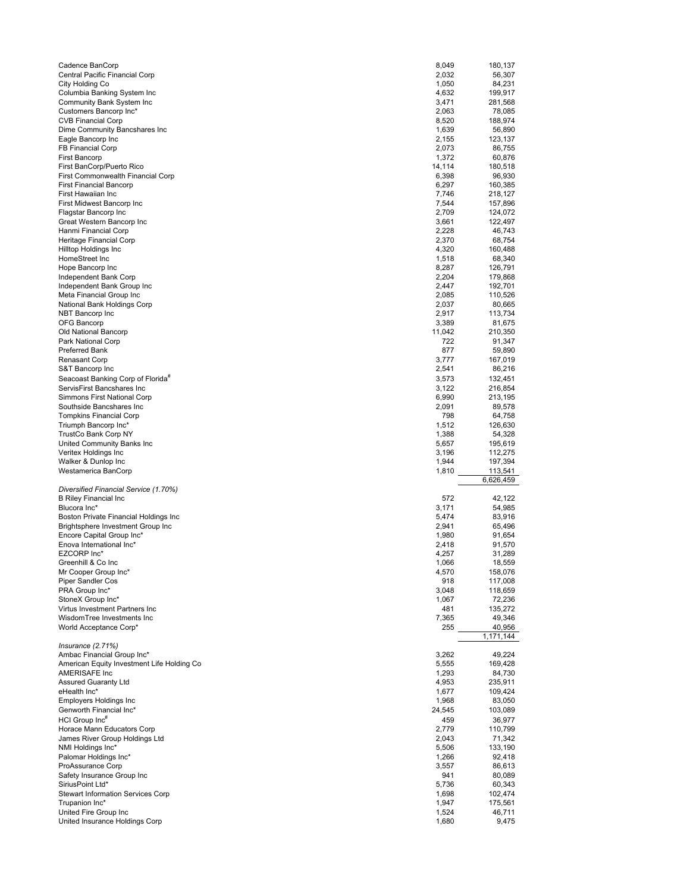| Cadence BanCorp                                            | 8,049          | 180,137           |
|------------------------------------------------------------|----------------|-------------------|
| Central Pacific Financial Corp                             | 2,032          | 56,307            |
| City Holding Co                                            | 1,050          | 84,231            |
| Columbia Banking System Inc                                | 4,632          | 199,917           |
| Community Bank System Inc                                  | 3,471          | 281,568           |
| Customers Bancorp Inc*                                     | 2,063          | 78,085            |
| <b>CVB Financial Corp</b><br>Dime Community Bancshares Inc | 8,520<br>1,639 | 188,974<br>56,890 |
| Eagle Bancorp Inc                                          | 2,155          | 123,137           |
| <b>FB Financial Corp</b>                                   | 2,073          | 86,755            |
| <b>First Bancorp</b>                                       | 1,372          | 60,876            |
| First BanCorp/Puerto Rico                                  | 14,114         | 180,518           |
| First Commonwealth Financial Corp                          | 6,398          | 96,930            |
| <b>First Financial Bancorp</b>                             | 6,297          | 160,385           |
| First Hawaiian Inc                                         | 7,746          | 218,127           |
| First Midwest Bancorp Inc                                  | 7,544          | 157,896           |
| Flagstar Bancorp Inc                                       | 2,709          | 124,072           |
| Great Western Bancorp Inc<br>Hanmi Financial Corp          | 3,661<br>2,228 | 122,497<br>46,743 |
| Heritage Financial Corp                                    | 2,370          | 68,754            |
| Hilltop Holdings Inc                                       | 4,320          | 160,488           |
| HomeStreet Inc                                             | 1,518          | 68,340            |
| Hope Bancorp Inc                                           | 8,287          | 126,791           |
| Independent Bank Corp                                      | 2,204          | 179,868           |
| Independent Bank Group Inc                                 | 2,447          | 192,701           |
| Meta Financial Group Inc                                   | 2,085          | 110,526           |
| National Bank Holdings Corp                                | 2,037          | 80,665            |
| NBT Bancorp Inc                                            | 2,917          | 113,734           |
| OFG Bancorp                                                | 3,389          | 81,675            |
| Old National Bancorp                                       | 11,042         | 210,350           |
| Park National Corp                                         | 722            | 91,347            |
| Preferred Bank                                             | 877            | 59,890            |
| <b>Renasant Corp</b><br>S&T Bancorp Inc                    | 3,777<br>2,541 | 167,019<br>86,216 |
| Seacoast Banking Corp of Florida <sup>#</sup>              | 3,573          | 132,451           |
| ServisFirst Bancshares Inc                                 | 3,122          | 216,854           |
| Simmons First National Corp                                | 6,990          | 213,195           |
| Southside Bancshares Inc                                   | 2,091          | 89,578            |
| <b>Tompkins Financial Corp</b>                             | 798            | 64,758            |
| Triumph Bancorp Inc*                                       | 1,512          | 126,630           |
|                                                            |                |                   |
| TrustCo Bank Corp NY                                       | 1,388          | 54,328            |
| United Community Banks Inc.                                | 5,657          | 195,619           |
|                                                            | 3,196          | 112,275           |
| Veritex Holdings Inc<br>Walker & Dunlop Inc                | 1,944          | 197,394           |
| Westamerica BanCorp                                        | 1,810          | 113,541           |
|                                                            |                | 6,626,459         |
| Diversified Financial Service (1.70%)                      |                |                   |
| <b>B Riley Financial Inc</b>                               | 572            | 42,122            |
| Blucora Inc*                                               | 3,171          | 54,985            |
| Boston Private Financial Holdings Inc                      | 5,474          | 83,916            |
| Brightsphere Investment Group Inc                          | 2,941          | 65,496            |
| Encore Capital Group Inc*<br>Enova International Inc*      | 1,980<br>2,418 | 91,654<br>91,570  |
| EZCORP Inc*                                                | 4,257          | 31,289            |
| Greenhill & Co Inc                                         | 1,066          | 18,559            |
| Mr Cooper Group Inc*                                       | 4,570          | 158,076           |
| Piper Sandler Cos                                          | 918            | 117,008           |
| PRA Group Inc*                                             | 3,048          | 118,659           |
| StoneX Group Inc*                                          | 1,067          | 72,236            |
| Virtus Investment Partners Inc                             | 481            | 135,272           |
| WisdomTree Investments Inc                                 | 7,365          | 49,346            |
| World Acceptance Corp*                                     | 255            | 40,956            |
|                                                            |                | 1,171,144         |
| Insurance $(2.71%)$<br>Ambac Financial Group Inc*          | 3,262          | 49,224            |
| American Equity Investment Life Holding Co                 | 5,555          | 169,428           |
| AMERISAFE Inc                                              | 1,293          | 84,730            |
| <b>Assured Guaranty Ltd</b>                                | 4,953          | 235,911           |
| eHealth Inc*                                               | 1,677          | 109,424           |
| <b>Employers Holdings Inc</b>                              | 1,968          | 83,050            |
| Genworth Financial Inc*                                    | 24,545         | 103,089           |
| HCI Group Inc <sup>#</sup>                                 | 459            | 36,977            |
| Horace Mann Educators Corp                                 | 2,779          | 110,799           |
| James River Group Holdings Ltd                             | 2,043          | 71,342            |
| NMI Holdings Inc*                                          | 5,506          | 133,190           |
| Palomar Holdings Inc*<br>ProAssurance Corp                 | 1,266          | 92,418<br>86,613  |
| Safety Insurance Group Inc                                 | 3,557<br>941   | 80,089            |
| SiriusPoint Ltd*                                           | 5,736          | 60,343            |
| <b>Stewart Information Services Corp</b>                   | 1,698          | 102,474           |
| Trupanion Inc*                                             | 1,947          | 175,561           |
| United Fire Group Inc<br>United Insurance Holdings Corp    | 1,524<br>1,680 | 46,711<br>9,475   |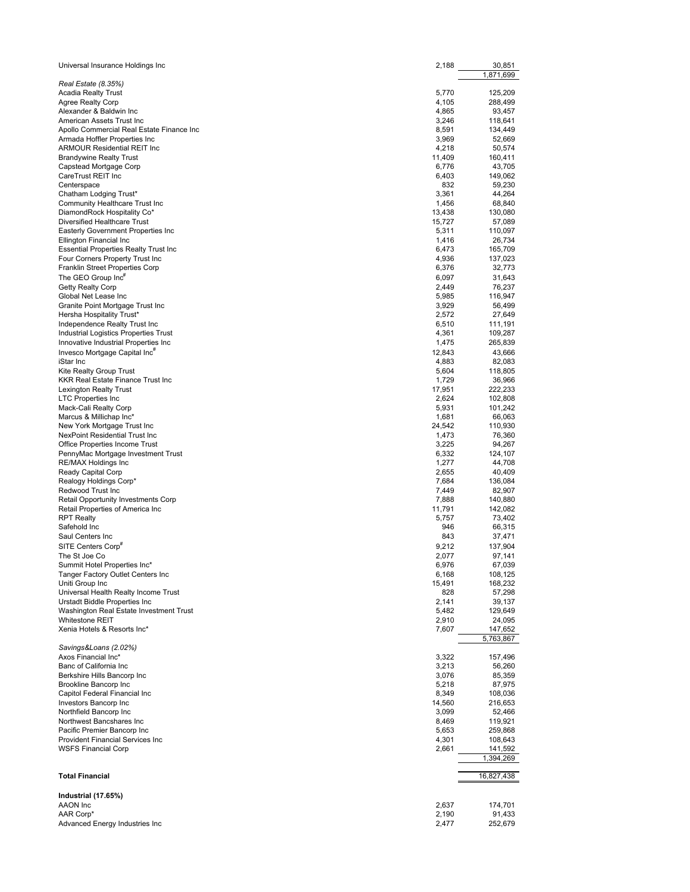| Universal Insurance Holdings Inc                                              | 2,188          | 30,851<br>1,871,699 |  |
|-------------------------------------------------------------------------------|----------------|---------------------|--|
| Real Estate (8.35%)                                                           |                |                     |  |
| <b>Acadia Realty Trust</b>                                                    | 5,770          | 125,209             |  |
| Agree Realty Corp                                                             | 4,105          | 288,499             |  |
| Alexander & Baldwin Inc                                                       | 4,865          | 93,457              |  |
| American Assets Trust Inc                                                     | 3,246          | 118,641             |  |
| Apollo Commercial Real Estate Finance Inc<br>Armada Hoffler Properties Inc    | 8,591<br>3,969 | 134,449<br>52,669   |  |
| <b>ARMOUR Residential REIT Inc.</b>                                           | 4,218          | 50,574              |  |
| <b>Brandywine Realty Trust</b>                                                | 11,409         | 160,411             |  |
| Capstead Mortgage Corp                                                        | 6,776          | 43.705              |  |
| CareTrust REIT Inc                                                            | 6,403          | 149,062             |  |
| Centerspace                                                                   | 832            | 59,230              |  |
| Chatham Lodging Trust*                                                        | 3,361          | 44,264              |  |
| Community Healthcare Trust Inc                                                | 1,456          | 68,840              |  |
| DiamondRock Hospitality Co*                                                   | 13,438         | 130,080             |  |
| Diversified Healthcare Trust                                                  | 15,727         | 57,089              |  |
| Easterly Government Properties Inc                                            | 5,311          | 110,097             |  |
| Ellington Financial Inc                                                       | 1,416          | 26,734              |  |
| <b>Essential Properties Realty Trust Inc.</b>                                 | 6,473          | 165,709             |  |
| Four Corners Property Trust Inc                                               | 4,936          | 137,023             |  |
| Franklin Street Properties Corp                                               | 6,376          | 32,773              |  |
| The GEO Group Inc <sup>#</sup>                                                | 6,097          | 31,643              |  |
| <b>Getty Realty Corp</b>                                                      | 2,449          | 76,237              |  |
| Global Net Lease Inc                                                          | 5,985          | 116,947             |  |
| Granite Point Mortgage Trust Inc                                              | 3,929          | 56,499              |  |
| Hersha Hospitality Trust*                                                     | 2,572          | 27,649              |  |
| Independence Realty Trust Inc                                                 | 6,510          | 111,191             |  |
| Industrial Logistics Properties Trust<br>Innovative Industrial Properties Inc | 4,361          | 109,287             |  |
|                                                                               | 1,475          | 265,839             |  |
| Invesco Mortgage Capital Inc <sup>#</sup>                                     | 12,843         | 43,666              |  |
| iStar Inc                                                                     | 4,883<br>5,604 | 82,083              |  |
| Kite Realty Group Trust<br>KKR Real Estate Finance Trust Inc                  | 1,729          | 118,805<br>36,966   |  |
| <b>Lexington Realty Trust</b>                                                 | 17,951         | 222,233             |  |
| <b>LTC Properties Inc</b>                                                     | 2,624          | 102,808             |  |
| Mack-Cali Realty Corp                                                         | 5,931          | 101,242             |  |
| Marcus & Millichap Inc*                                                       | 1,681          | 66,063              |  |
| New York Mortgage Trust Inc                                                   | 24,542         | 110,930             |  |
| NexPoint Residential Trust Inc                                                | 1,473          | 76,360              |  |
| Office Properties Income Trust                                                | 3,225          | 94,267              |  |
| PennyMac Mortgage Investment Trust                                            | 6,332          | 124,107             |  |
| <b>RE/MAX Holdings Inc</b>                                                    | 1,277          | 44,708              |  |
| Ready Capital Corp                                                            | 2,655          | 40,409              |  |
| Realogy Holdings Corp*                                                        | 7,684          | 136,084             |  |
| Redwood Trust Inc                                                             | 7,449          | 82,907              |  |
| Retail Opportunity Investments Corp                                           | 7,888          | 140,880             |  |
| Retail Properties of America Inc                                              | 11,791         | 142,082             |  |
| <b>RPT Realty</b>                                                             | 5,757          | 73,402              |  |
| Safehold Inc                                                                  | 946            | 66,315              |  |
| Saul Centers Inc                                                              | 843            | 37,471              |  |
| SITE Centers Corp#                                                            | 9,212          | 137,904             |  |
| The St Joe Co                                                                 | 2,077          | 97,141              |  |
| Summit Hotel Properties Inc*                                                  | 6,976          | 67,039              |  |
| Tanger Factory Outlet Centers Inc                                             | 6,168          | 108,125             |  |
| Uniti Group Inc                                                               | 15,491         | 168,232             |  |
| Universal Health Realty Income Trust                                          | 828            | 57,298              |  |
| Urstadt Biddle Properties Inc                                                 | 2,141          | 39,137              |  |
| Washington Real Estate Investment Trust                                       | 5,482          | 129,649             |  |
| <b>Whitestone REIT</b>                                                        | 2,910          | 24,095              |  |
| Xenia Hotels & Resorts Inc*                                                   | 7,607          | 147,652             |  |
|                                                                               |                | 5,763,867           |  |
| Savings&Loans (2.02%)                                                         |                |                     |  |
| Axos Financial Inc*                                                           | 3,322          | 157,496             |  |
| Banc of California Inc<br>Berkshire Hills Bancorp Inc                         | 3,213<br>3,076 | 56,260<br>85,359    |  |
| Brookline Bancorp Inc                                                         | 5,218          | 87,975              |  |
| Capitol Federal Financial Inc                                                 | 8,349          | 108,036             |  |
| Investors Bancorp Inc                                                         | 14,560         | 216,653             |  |
| Northfield Bancorp Inc                                                        | 3,099          | 52,466              |  |
| Northwest Bancshares Inc                                                      | 8,469          | 119,921             |  |
| Pacific Premier Bancorp Inc                                                   | 5,653          | 259,868             |  |
| <b>Provident Financial Services Inc.</b>                                      | 4,301          | 108,643             |  |
| <b>WSFS Financial Corp</b>                                                    | 2,661          | 141,592             |  |
|                                                                               |                | 1,394,269           |  |
|                                                                               |                |                     |  |
| <b>Total Financial</b>                                                        |                | 16,827,438          |  |
|                                                                               |                |                     |  |
| Industrial (17.65%)                                                           |                |                     |  |
| AAON Inc                                                                      | 2,637          | 174,701             |  |
| AAR Corp*                                                                     | 2,190          | 91,433              |  |
| Advanced Energy Industries Inc                                                | 2,477          | 252,679             |  |
|                                                                               |                |                     |  |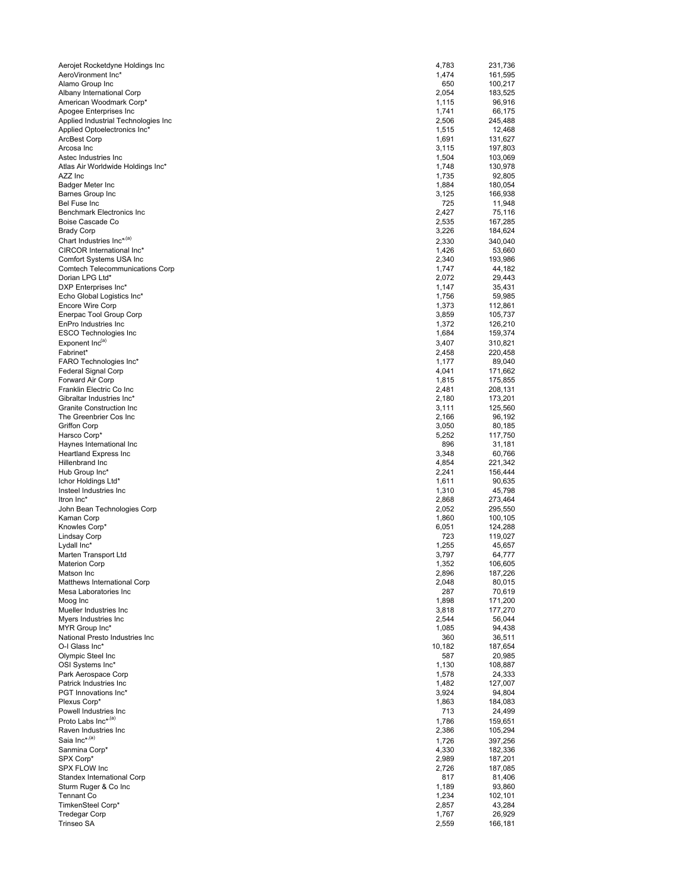| Aerojet Rocketdyne Holdings Inc                          | 4,783          | 231,736            |
|----------------------------------------------------------|----------------|--------------------|
| AeroVironment Inc*                                       | 1,474          | 161,595            |
| Alamo Group Inc                                          | 650            | 100,217            |
| Albany International Corp                                | 2,054          | 183,525            |
| American Woodmark Corp*                                  | 1,115          | 96,916             |
| Apogee Enterprises Inc                                   | 1,741          | 66,175             |
| Applied Industrial Technologies Inc                      | 2,506          | 245,488            |
| Applied Optoelectronics Inc*<br><b>ArcBest Corp</b>      | 1,515          | 12,468             |
| Arcosa Inc                                               | 1,691<br>3,115 | 131,627<br>197,803 |
| Astec Industries Inc                                     | 1,504          | 103,069            |
| Atlas Air Worldwide Holdings Inc*                        | 1,748          | 130,978            |
| AZZ Inc                                                  | 1,735          | 92,805             |
| Badger Meter Inc                                         | 1,884          | 180,054            |
| <b>Barnes Group Inc</b>                                  | 3,125          | 166,938            |
| Bel Fuse Inc                                             | 725            | 11,948             |
| Benchmark Electronics Inc                                | 2,427          | 75,116             |
| Boise Cascade Co                                         | 2,535          | 167,285            |
| <b>Brady Corp</b>                                        | 3,226          | 184,624            |
| Chart Industries Inc*(a)                                 | 2,330          | 340,040            |
| CIRCOR International Inc*                                | 1,426          | 53,660             |
| Comfort Systems USA Inc                                  | 2,340          | 193,986            |
| <b>Comtech Telecommunications Corp</b>                   | 1,747          | 44,182             |
| Dorian LPG Ltd*                                          | 2,072          | 29,443<br>35,431   |
| DXP Enterprises Inc*<br>Echo Global Logistics Inc*       | 1,147<br>1,756 | 59,985             |
| <b>Encore Wire Corp</b>                                  | 1,373          | 112,861            |
| Enerpac Tool Group Corp                                  | 3,859          | 105,737            |
| EnPro Industries Inc                                     | 1,372          | 126,210            |
| <b>ESCO Technologies Inc</b>                             | 1,684          | 159,374            |
| Exponent Inc(a)                                          | 3,407          | 310,821            |
| Fabrinet*                                                | 2,458          | 220,458            |
| FARO Technologies Inc*                                   | 1,177          | 89,040             |
| Federal Signal Corp                                      | 4,041          | 171,662            |
| Forward Air Corp                                         | 1,815          | 175,855            |
| Franklin Electric Co Inc                                 | 2,481          | 208,131            |
| Gibraltar Industries Inc*                                | 2,180          | 173,201            |
| <b>Granite Construction Inc</b>                          | 3,111          | 125,560            |
| The Greenbrier Cos Inc                                   | 2,166          | 96,192             |
| <b>Griffon Corp</b>                                      | 3,050          | 80,185             |
| Harsco Corp*                                             | 5,252          | 117,750            |
| Haynes International Inc<br><b>Heartland Express Inc</b> | 896            | 31,181             |
| Hillenbrand Inc                                          | 3,348<br>4,854 | 60,766<br>221,342  |
| Hub Group Inc*                                           | 2,241          | 156,444            |
| Ichor Holdings Ltd*                                      | 1,611          | 90,635             |
| Insteel Industries Inc                                   | 1,310          | 45,798             |
| Itron Inc*                                               | 2,868          | 273,464            |
| John Bean Technologies Corp                              | 2,052          | 295,550            |
| Kaman Corp                                               | 1,860          | 100,105            |
| Knowles Corp*                                            | 6,051          | 124,288            |
| Lindsay Corp                                             | 723            | 119,027            |
| Lydall Inc*                                              | 1,255          | 45,657             |
| Marten Transport Ltd                                     | 3,797          | 64,777             |
| <b>Materion Corp</b>                                     | 1,352          | 106,605            |
| Matson Inc                                               | 2,896          | 187,226            |
| Matthews International Corp                              | 2,048          | 80,015             |
| Mesa Laboratories Inc<br>Moog Inc                        | 287<br>1,898   | 70,619<br>171,200  |
| Mueller Industries Inc                                   | 3,818          | 177,270            |
| Myers Industries Inc                                     | 2,544          | 56,044             |
| MYR Group Inc*                                           | 1,085          | 94,438             |
| National Presto Industries Inc                           | 360            | 36,511             |
| O-I Glass Inc*                                           | 10,182         | 187,654            |
| Olympic Steel Inc                                        | 587            | 20,985             |
| OSI Systems Inc*                                         | 1,130          | 108,887            |
| Park Aerospace Corp                                      | 1,578          | 24,333             |
| Patrick Industries Inc                                   | 1,482          | 127,007            |
| PGT Innovations Inc*                                     | 3,924          | 94,804             |
| Plexus Corp*                                             | 1,863          | 184,083            |
| Powell Industries Inc                                    | 713            | 24,499             |
| Proto Labs Inc* <sup>,(a)</sup>                          | 1,786          | 159,651            |
| Raven Industries Inc                                     | 2,386          | 105,294            |
| Saia Inc* <sup>,(a)</sup>                                | 1,726          | 397,256            |
| Sanmina Corp*                                            | 4,330          | 182,336            |
| SPX Corp*                                                | 2,989          | 187,201            |
| SPX FLOW Inc                                             | 2,726          | 187,085            |
| Standex International Corp                               | 817            | 81,406             |
| Sturm Ruger & Co Inc<br><b>Tennant Co</b>                | 1,189<br>1,234 | 93,860<br>102,101  |
| TimkenSteel Corp*                                        | 2,857          | 43,284             |
| <b>Tredegar Corp</b>                                     | 1,767          | 26,929             |
| Trinseo SA                                               | 2,559          | 166,181            |
|                                                          |                |                    |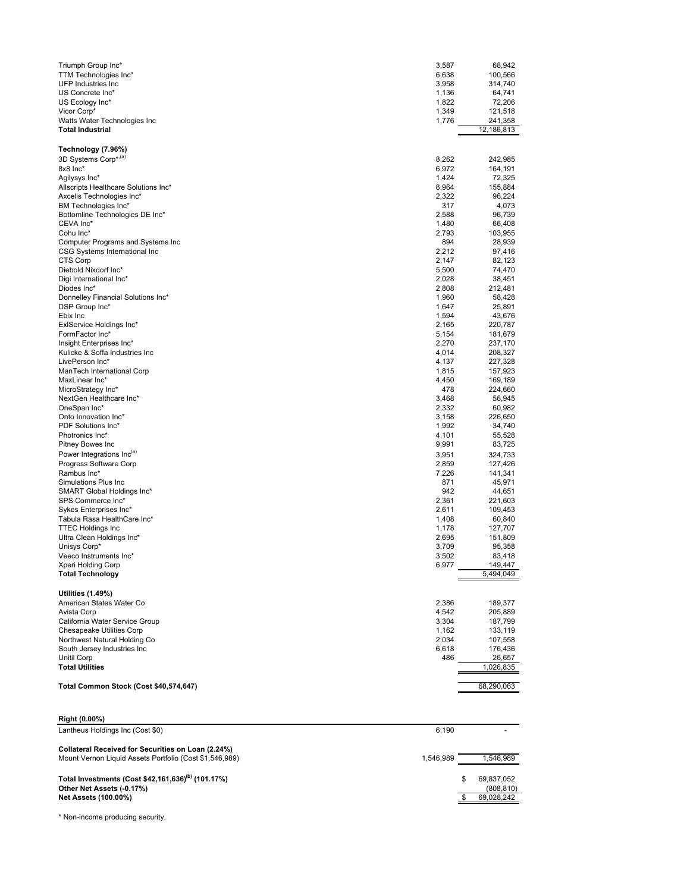| Triumph Group Inc*<br>TTM Technologies Inc*<br><b>UFP Industries Inc</b><br>US Concrete Inc*<br>US Ecology Inc*<br>Vicor Corp*<br>Watts Water Technologies Inc<br><b>Total Industrial</b> | 3,587<br>6,638<br>3,958<br>1,136<br>1,822<br>1,349<br>1,776 | 68,942<br>100,566<br>314,740<br>64,741<br>72,206<br>121,518<br>241,358<br>12,186,813 |
|-------------------------------------------------------------------------------------------------------------------------------------------------------------------------------------------|-------------------------------------------------------------|--------------------------------------------------------------------------------------|
| Technology (7.96%)                                                                                                                                                                        |                                                             |                                                                                      |
| 3D Systems Corp* <sup>,(a)</sup><br>8x8 Inc*                                                                                                                                              | 8,262<br>6,972                                              | 242,985<br>164,191                                                                   |
| Agilysys Inc*                                                                                                                                                                             | 1,424                                                       | 72,325                                                                               |
| Allscripts Healthcare Solutions Inc*                                                                                                                                                      | 8,964                                                       | 155,884                                                                              |
| Axcelis Technologies Inc*                                                                                                                                                                 | 2,322<br>317                                                | 96,224<br>4,073                                                                      |
| BM Technologies Inc*<br>Bottomline Technologies DE Inc*                                                                                                                                   | 2,588                                                       | 96,739                                                                               |
| CEVA Inc*                                                                                                                                                                                 | 1,480                                                       | 66,408                                                                               |
| Cohu Inc*                                                                                                                                                                                 | 2,793                                                       | 103,955                                                                              |
| Computer Programs and Systems Inc<br>CSG Systems International Inc                                                                                                                        | 894<br>2,212                                                | 28,939<br>97,416                                                                     |
| CTS Corp                                                                                                                                                                                  | 2,147                                                       | 82,123                                                                               |
| Diebold Nixdorf Inc*                                                                                                                                                                      | 5,500                                                       | 74,470                                                                               |
| Digi International Inc*<br>Diodes Inc*                                                                                                                                                    | 2,028<br>2,808                                              | 38,451<br>212,481                                                                    |
| Donnelley Financial Solutions Inc*                                                                                                                                                        | 1,960                                                       | 58,428                                                                               |
| DSP Group Inc*                                                                                                                                                                            | 1,647                                                       | 25,891                                                                               |
| Ebix Inc<br>ExlService Holdings Inc*                                                                                                                                                      | 1,594<br>2,165                                              | 43,676<br>220,787                                                                    |
| FormFactor Inc*                                                                                                                                                                           | 5,154                                                       | 181,679                                                                              |
| Insight Enterprises Inc*                                                                                                                                                                  | 2,270                                                       | 237,170                                                                              |
| Kulicke & Soffa Industries Inc<br>LivePerson Inc*                                                                                                                                         | 4,014<br>4,137                                              | 208,327<br>227,328                                                                   |
| ManTech International Corp                                                                                                                                                                | 1,815                                                       | 157,923                                                                              |
| MaxLinear Inc*                                                                                                                                                                            | 4,450                                                       | 169,189                                                                              |
| MicroStrategy Inc*<br>NextGen Healthcare Inc*                                                                                                                                             | 478<br>3,468                                                | 224,660<br>56,945                                                                    |
| OneSpan Inc*                                                                                                                                                                              | 2,332                                                       | 60,982                                                                               |
| Onto Innovation Inc*                                                                                                                                                                      | 3,158                                                       | 226,650                                                                              |
| PDF Solutions Inc*                                                                                                                                                                        | 1,992                                                       | 34,740                                                                               |
| Photronics Inc*<br>Pitney Bowes Inc                                                                                                                                                       | 4,101<br>9,991                                              | 55,528<br>83,725                                                                     |
| Power Integrations Inc(a)                                                                                                                                                                 | 3,951                                                       | 324,733                                                                              |
| Progress Software Corp                                                                                                                                                                    | 2,859                                                       | 127,426                                                                              |
| Rambus Inc*<br>Simulations Plus Inc                                                                                                                                                       | 7,226<br>871                                                | 141,341<br>45,971                                                                    |
| SMART Global Holdings Inc*                                                                                                                                                                | 942                                                         | 44,651                                                                               |
| SPS Commerce Inc*                                                                                                                                                                         | 2,361                                                       | 221,603                                                                              |
| Sykes Enterprises Inc*<br>Tabula Rasa HealthCare Inc*                                                                                                                                     | 2,611<br>1,408                                              | 109,453<br>60,840                                                                    |
| <b>TTEC Holdings Inc</b>                                                                                                                                                                  | 1,178                                                       | 127,707                                                                              |
| Ultra Clean Holdings Inc*                                                                                                                                                                 | 2,695                                                       | 151,809                                                                              |
| Unisys Corp*<br>Veeco Instruments Inc*                                                                                                                                                    | 3,709<br>3,502                                              | 95,358<br>83,418                                                                     |
| Xperi Holding Corp                                                                                                                                                                        | 6,977                                                       | 149,447                                                                              |
| <b>Total Technology</b>                                                                                                                                                                   |                                                             | 5,494,049                                                                            |
| <b>Utilities (1.49%)</b>                                                                                                                                                                  |                                                             |                                                                                      |
| American States Water Co                                                                                                                                                                  | 2,386                                                       | 189,377                                                                              |
| Avista Corp                                                                                                                                                                               | 4,542                                                       | 205,889                                                                              |
| California Water Service Group<br>Chesapeake Utilities Corp                                                                                                                               | 3,304<br>1,162                                              | 187,799<br>133,119                                                                   |
| Northwest Natural Holding Co                                                                                                                                                              | 2,034                                                       | 107,558                                                                              |
| South Jersey Industries Inc                                                                                                                                                               | 6,618                                                       | 176,436                                                                              |
| Unitil Corp<br><b>Total Utilities</b>                                                                                                                                                     | 486                                                         | 26,657<br>1,026,835                                                                  |
|                                                                                                                                                                                           |                                                             |                                                                                      |
| Total Common Stock (Cost \$40,574,647)                                                                                                                                                    |                                                             | 68,290,063                                                                           |
| Right (0.00%)                                                                                                                                                                             |                                                             |                                                                                      |
| Lantheus Holdings Inc (Cost \$0)                                                                                                                                                          | 6,190                                                       |                                                                                      |
| Collateral Received for Securities on Loan (2.24%)<br>Mount Vernon Liquid Assets Portfolio (Cost \$1,546,989)                                                                             | 1,546,989                                                   | 1,546,989                                                                            |
| Total Investments (Cost \$42,161,636) <sup>(b)</sup> (101.17%)                                                                                                                            |                                                             | 69,837,052                                                                           |
| Other Net Assets (-0.17%)                                                                                                                                                                 |                                                             | (808,810)                                                                            |
| <b>Net Assets (100.00%)</b>                                                                                                                                                               |                                                             | 69,028,242<br>\$                                                                     |
|                                                                                                                                                                                           |                                                             |                                                                                      |

\* Non-income producing security.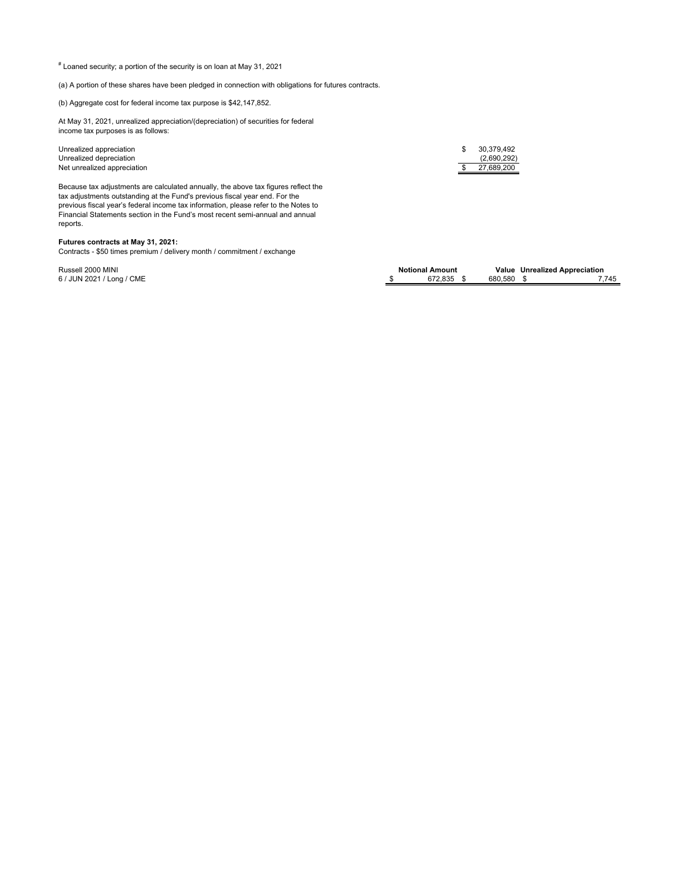# Loaned security; a portion of the security is on loan at May 31, 2021

(a) A portion of these shares have been pledged in connection with obligations for futures contracts.

(b) Aggregate cost for federal income tax purpose is \$42,147,852.

At May 31, 2021, unrealized appreciation/(depreciation) of securities for federal income tax purposes is as follows:

Unrealized appreciation  $\frac{1}{2}$  30,379,492<br>Unrealized depreciation (2,690,292) Unrealized depreciation (2,690,292)<br>
Net unrealized appreciation (2,690,292) Net unrealized appreciation

Because tax adjustments are calculated annually, the above tax figures reflect the tax adjustments outstanding at the Fund's previous fiscal year end. For the previous fiscal year's federal income tax information, please refer to the Notes to Financial Statements section in the Fund's most recent semi-annual and annual reports.

## **Futures contracts at May 31, 2021:**

Contracts - \$50 times premium / delivery month / commitment / exchange

| Russell 2000 MINI         | <b>Notional Amount</b> |         | Value Unrealized Appreciation |       |
|---------------------------|------------------------|---------|-------------------------------|-------|
| 6 / JUN 2021 / Long / CME | 672.835                | 680.580 |                               | 7.745 |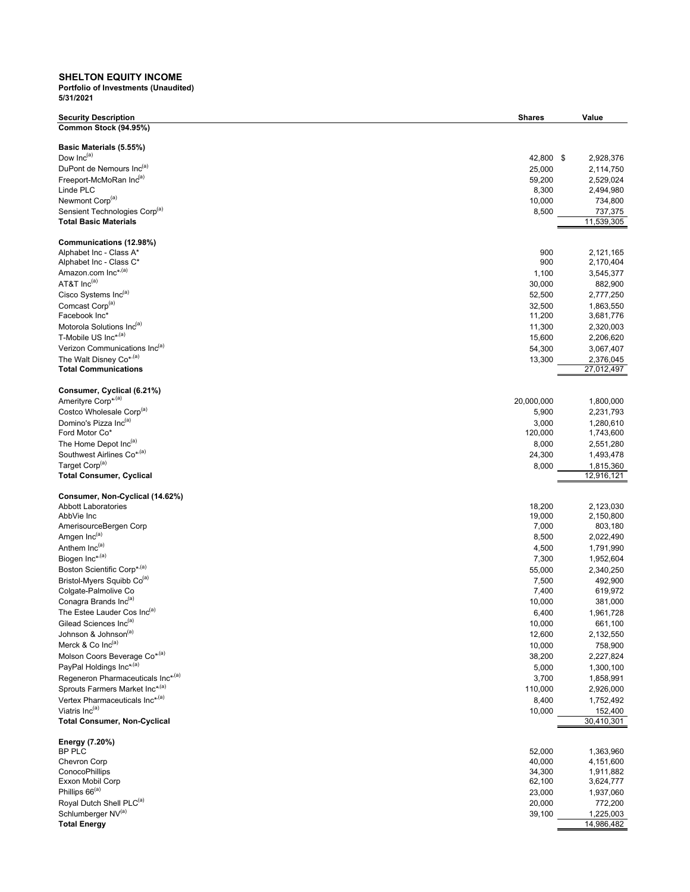## **SHELTON EQUITY INCOME**

| <b>Security Description</b>                               | <b>Shares</b>    | Value                  |
|-----------------------------------------------------------|------------------|------------------------|
| Common Stock (94.95%)                                     |                  |                        |
|                                                           |                  |                        |
| Basic Materials (5.55%)                                   |                  |                        |
| Dow Inc <sup>(a)</sup><br>DuPont de Nemours Inc(a)        | 42,800 \$        | 2,928,376              |
| Freeport-McMoRan Inc(a)                                   | 25,000<br>59,200 | 2,114,750<br>2,529,024 |
| Linde PLC                                                 | 8,300            | 2,494,980              |
| Newmont Corp <sup>(a)</sup>                               | 10,000           | 734,800                |
| Sensient Technologies Corp <sup>(a)</sup>                 | 8,500            | 737,375                |
| <b>Total Basic Materials</b>                              |                  | 11,539,305             |
|                                                           |                  |                        |
| Communications (12.98%)                                   |                  |                        |
| Alphabet Inc - Class A*                                   | 900              | 2,121,165              |
| Alphabet Inc - Class C*                                   | 900              | 2,170,404              |
| Amazon.com Inc*,(a)<br>AT&T Inc(a)                        | 1,100            | 3,545,377              |
| Cisco Systems Inc(a)                                      | 30,000           | 882,900                |
| Comcast Corp <sup>(a)</sup>                               | 52,500<br>32,500 | 2,777,250<br>1,863,550 |
| Facebook Inc*                                             | 11,200           | 3,681,776              |
| Motorola Solutions Inc(a)                                 | 11,300           | 2,320,003              |
| T-Mobile US Inc*,(a)                                      | 15,600           | 2,206,620              |
| Verizon Communications Inc(a)                             | 54,300           | 3,067,407              |
| The Walt Disney Co* <sup>,(a)</sup>                       | 13,300           | 2,376,045              |
| <b>Total Communications</b>                               |                  | 27,012,497             |
|                                                           |                  |                        |
| Consumer, Cyclical (6.21%)                                |                  |                        |
| Amerityre Corp* <sup>,(a)</sup>                           | 20,000,000       | 1,800,000              |
| Costco Wholesale Corp <sup>(a)</sup>                      | 5,900            | 2,231,793              |
| Domino's Pizza Inc(a)<br>Ford Motor Co*                   | 3,000            | 1,280,610              |
| The Home Depot Inc(a)                                     | 120,000          | 1,743,600              |
| Southwest Airlines Co* <sup>,(a)</sup>                    | 8,000<br>24,300  | 2,551,280<br>1,493,478 |
| Target Corp <sup>(a)</sup>                                | 8,000            | 1,815,360              |
| <b>Total Consumer, Cyclical</b>                           |                  | 12,916,121             |
|                                                           |                  |                        |
| Consumer, Non-Cyclical (14.62%)                           |                  |                        |
| <b>Abbott Laboratories</b>                                | 18,200           | 2,123,030              |
| AbbVie Inc                                                | 19,000           | 2,150,800              |
| AmerisourceBergen Corp<br>Amgen Inc(a)                    | 7,000            | 803,180                |
| Anthem Inc <sup>(a)</sup>                                 | 8,500<br>4,500   | 2,022,490<br>1,791,990 |
| Biogen Inc*,(a)                                           | 7,300            | 1,952,604              |
| Boston Scientific Corp*,(a)                               | 55,000           | 2,340,250              |
| Bristol-Myers Squibb Co <sup>(a)</sup>                    | 7,500            | 492,900                |
| Colgate-Palmolive Co                                      | 7,400            | 619,972                |
| Conagra Brands Inc(a)                                     | 10,000           | 381,000                |
| The Estee Lauder Cos Inc(a)                               | 6,400            | 1,961,728              |
| Gilead Sciences Inc(a)                                    | 10,000           | 661,100                |
| Johnson & Johnson <sup>(a)</sup>                          | 12,600           | 2,132,550              |
| Merck & Co Inc(a)                                         | 10,000           | 758,900                |
| Molson Coors Beverage Co <sup>*(a)</sup>                  | 38,200           | 2,227,824              |
| PayPal Holdings Inc*(a)                                   | 5,000            | 1,300,100              |
| Regeneron Pharmaceuticals Inc <sup>*</sup> <sup>(a)</sup> | 3,700            | 1,858,991              |
| Sprouts Farmers Market Inc*,(a)                           | 110,000          | 2,926,000              |
| Vertex Pharmaceuticals Inc*/(a)                           | 8,400            | 1,752,492              |
| Viatris Inc(a)                                            | 10,000           | 152,400                |
| <b>Total Consumer, Non-Cyclical</b>                       |                  | 30,410,301             |
| Energy (7.20%)                                            |                  |                        |
| <b>BP PLC</b>                                             | 52,000           | 1,363,960              |
| Chevron Corp                                              | 40,000           | 4,151,600              |
| ConocoPhillips                                            | 34,300           | 1,911,882              |
| Exxon Mobil Corp                                          | 62,100           | 3,624,777              |
| Phillips 66 <sup>(a)</sup>                                | 23,000           | 1,937,060              |
| Royal Dutch Shell PLC <sup>(a)</sup>                      | 20,000           | 772,200                |
| Schlumberger NV(a)                                        | 39,100           | 1,225,003              |
| <b>Total Energy</b>                                       |                  | 14,986,482             |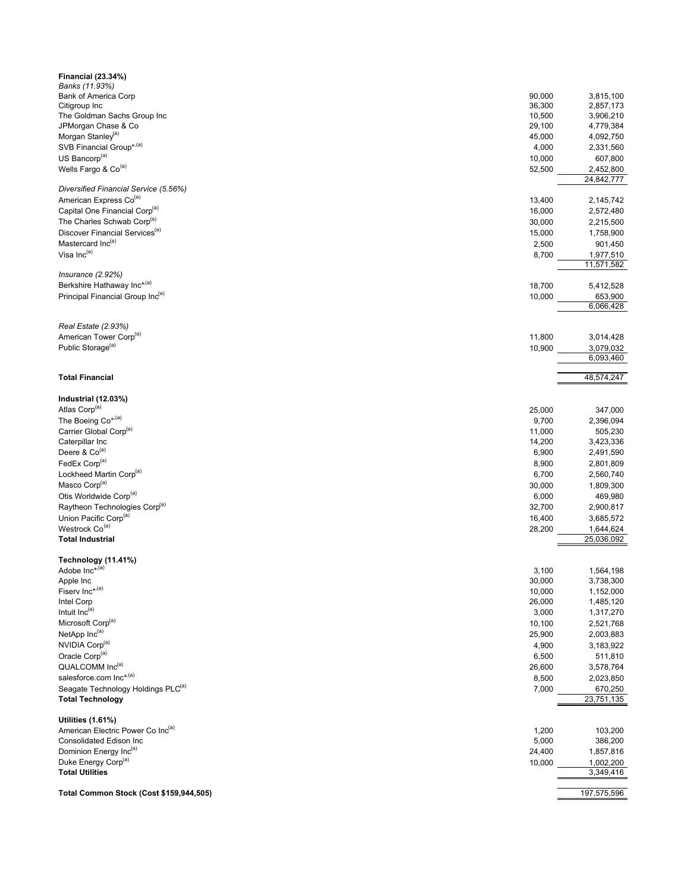| <b>Financial (23.34%)</b>                                       |                  |                         |
|-----------------------------------------------------------------|------------------|-------------------------|
| Banks (11.93%)                                                  |                  |                         |
| Bank of America Corp<br>Citigroup Inc                           | 90,000<br>36,300 | 3,815,100<br>2,857,173  |
| The Goldman Sachs Group Inc                                     | 10,500           | 3,906,210               |
| JPMorgan Chase & Co                                             | 29,100           | 4,779,384               |
| Morgan Stanley <sup>(a)</sup>                                   | 45,000           | 4,092,750               |
| SVB Financial Group* <sup>,(a)</sup>                            | 4,000            | 2,331,560               |
| US Bancorp <sup>(a)</sup>                                       | 10,000           | 607,800                 |
| Wells Fargo & Co <sup>(a)</sup>                                 | 52,500           | 2,452,800               |
|                                                                 |                  | 24,842,777              |
| Diversified Financial Service (5.56%)                           |                  |                         |
| American Express Co <sup>(a)</sup>                              | 13,400           | 2,145,742               |
| Capital One Financial Corp <sup>(a)</sup>                       | 16,000           | 2,572,480               |
| The Charles Schwab Corp <sup>(a)</sup>                          | 30,000           | 2,215,500               |
| Discover Financial Services <sup>(a)</sup><br>Mastercard Inc(a) | 15,000           | 1,758,900               |
| Visa Inc(a)                                                     | 2,500<br>8,700   | 901,450                 |
|                                                                 |                  | 1,977,510<br>11,571,582 |
| Insurance $(2.92%)$                                             |                  |                         |
| Berkshire Hathaway Inc*(a)                                      | 18,700           | 5,412,528               |
| Principal Financial Group Inc(a)                                | 10,000           | 653,900                 |
|                                                                 |                  | 6,066,428               |
|                                                                 |                  |                         |
| Real Estate (2.93%)                                             |                  |                         |
| American Tower Corp <sup>(a)</sup>                              | 11,800           | 3,014,428               |
| Public Storage <sup>(a)</sup>                                   | 10,900           | 3,079,032               |
|                                                                 |                  | 6,093,460               |
| <b>Total Financial</b>                                          |                  | 48,574,247              |
|                                                                 |                  |                         |
| Industrial (12.03%)                                             |                  |                         |
| Atlas Corp <sup>(a)</sup>                                       | 25,000           | 347,000                 |
| The Boeing Co <sup>*</sup> <sup>(a)</sup>                       | 9,700            | 2,396,094               |
| Carrier Global Corp <sup>(a)</sup>                              | 11,000           | 505,230                 |
| Caterpillar Inc                                                 | 14,200           | 3,423,336               |
| Deere & Co <sup>(a)</sup>                                       | 6,900            | 2,491,590               |
| FedEx Corp <sup>(a)</sup>                                       | 8,900            | 2,801,809               |
| Lockheed Martin Corp <sup>(a)</sup>                             | 6,700            | 2,560,740               |
| Masco Corp <sup>(a)</sup>                                       | 30,000           | 1,809,300               |
| Otis Worldwide Corp <sup>(a)</sup>                              | 6,000            | 469,980                 |
| Raytheon Technologies Corp <sup>(a)</sup>                       | 32,700           | 2,900,817               |
| Union Pacific Corp <sup>(a)</sup>                               | 16,400           | 3,685,572               |
| Westrock Co <sup>(a)</sup>                                      | 28,200           | 1,644,624               |
| <b>Total Industrial</b>                                         |                  | 25,036,092              |
| Technology (11.41%)                                             |                  |                         |
| Adobe Inc* <sup>,(a)</sup>                                      | 3,100            | 1,564,198               |
| Apple Inc                                                       | 30,000           | 3,738,300               |
| Fiserv Inc*,(a)                                                 | 10,000           | 1,152,000               |
| Intel Corp                                                      | 26,000           | 1,485,120               |
| Intuit Inc(a)                                                   | 3,000            | 1,317,270               |
| Microsoft Corp <sup>(a)</sup>                                   | 10,100           | 2,521,768               |
| NetApp Inc(a)                                                   | 25,900           | 2,003,883               |
| NVIDIA Corp <sup>(a)</sup>                                      | 4,900            | 3,183,922               |
| Oracle Corp <sup>(a)</sup>                                      | 6,500            | 511,810                 |
| QUALCOMM Inc(a)                                                 | 26,600           | 3,578,764               |
| salesforce.com Inc*,(a)                                         | 8,500            | 2,023,850               |
| Seagate Technology Holdings PLC <sup>(a)</sup>                  | 7,000            | 670,250                 |
| <b>Total Technology</b>                                         |                  | 23,751,135              |
| <b>Utilities (1.61%)</b>                                        |                  |                         |
| American Electric Power Co Inc(a)                               | 1,200            | 103,200                 |
| Consolidated Edison Inc                                         | 5,000            | 386,200                 |
| Dominion Energy Inc(a)                                          | 24,400           | 1,857,816               |
| Duke Energy Corp <sup>(a)</sup>                                 | 10,000           | 1,002,200               |
| <b>Total Utilities</b>                                          |                  | 3,349,416               |
|                                                                 |                  |                         |
| Total Common Stock (Cost \$159,944,505)                         |                  | 197,575,596             |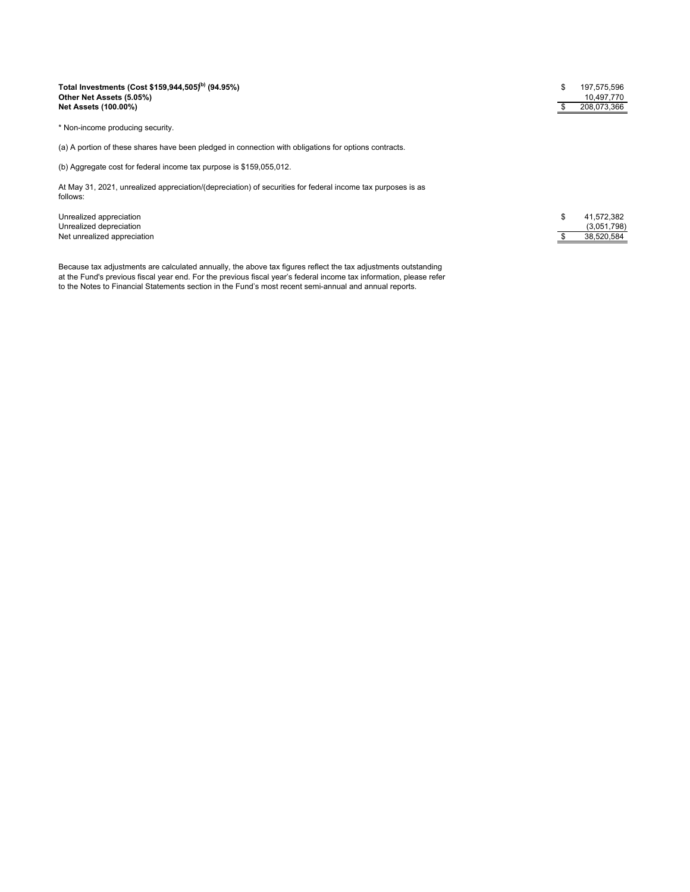### **Total Investments (Cost \$159,944,505)(b) (94.95%)** \$ 197,575,596 **Other Net Assets (5.05%)** 10,497,770 **Net Assets (100.00%) by a 208,073,366 contract to the contract of the contract of the contract of the contract of the contract of the contract of the contract of the contract of the contract of the contract of the con**

\* Non-income producing security.

(a) A portion of these shares have been pledged in connection with obligations for options contracts.

(b) Aggregate cost for federal income tax purpose is \$159,055,012.

At May 31, 2021, unrealized appreciation/(depreciation) of securities for federal income tax purposes is as follows:

Unrealized appreciation Unrealized depreciation (3,051,798) Net unrealized appreciation \$ 38,520,584

Because tax adjustments are calculated annually, the above tax figures reflect the tax adjustments outstanding at the Fund's previous fiscal year end. For the previous fiscal year's federal income tax information, please refer to the Notes to Financial Statements section in the Fund's most recent semi-annual and annual reports.

| \$ | 41,572,382  |
|----|-------------|
|    | (3,051,798) |
| S  | 38.520.584  |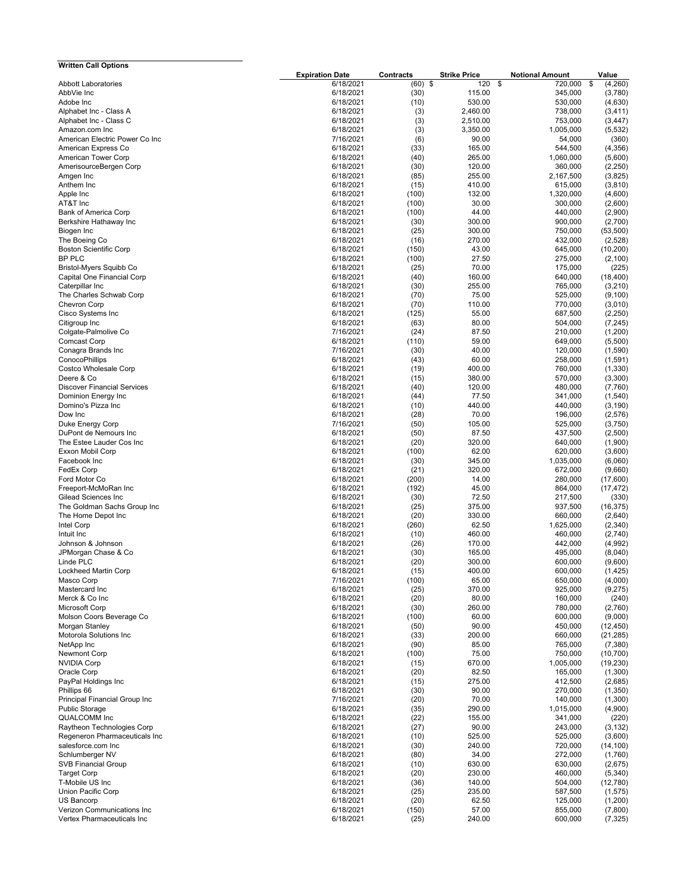| <b>Written Call Options</b>                |                        |               |                     |                        |                   |
|--------------------------------------------|------------------------|---------------|---------------------|------------------------|-------------------|
|                                            | <b>Expiration Date</b> | Contracts     | <b>Strike Price</b> | <b>Notional Amount</b> | Value             |
| <b>Abbott Laboratories</b>                 | 6/18/2021              | $(60)$ \$     | 120                 | \$<br>720,000          | \$<br>(4,260)     |
| AbbVie Inc.                                | 6/18/2021              | (30)          | 115.00              | 345,000                | (3,780)           |
| Adobe Inc                                  | 6/18/2021              | (10)          | 530.00              | 530,000                | (4,630)           |
| Alphabet Inc - Class A                     | 6/18/2021              | (3)           | 2,460.00            | 738,000                | (3, 411)          |
| Alphabet Inc - Class C<br>Amazon.com Inc   | 6/18/2021<br>6/18/2021 | (3)           | 2,510.00            | 753,000<br>1.005.000   | (3, 447)          |
| American Electric Power Co Inc             | 7/16/2021              | (3)<br>(6)    | 3,350.00<br>90.00   | 54,000                 | (5, 532)<br>(360) |
| American Express Co                        | 6/18/2021              | (33)          | 165.00              | 544,500                | (4,356)           |
| American Tower Corp                        | 6/18/2021              | (40)          | 265.00              | 1,060,000              | (5,600)           |
| AmerisourceBergen Corp                     | 6/18/2021              | (30)          | 120.00              | 360,000                | (2, 250)          |
| Amgen Inc                                  | 6/18/2021              | (85)          | 255.00              | 2,167,500              | (3,825)           |
| Anthem Inc                                 | 6/18/2021              | (15)          | 410.00              | 615,000                | (3,810)           |
| Apple Inc                                  | 6/18/2021              | (100)         | 132.00              | 1,320,000              | (4,600)           |
| AT&T Inc                                   | 6/18/2021              | (100)         | 30.00               | 300,000                | (2,600)           |
| Bank of America Corp                       | 6/18/2021              | (100)         | 44.00               | 440,000                | (2,900)           |
| Berkshire Hathaway Inc                     | 6/18/2021              | (30)          | 300.00              | 900,000                | (2,700)           |
| Biogen Inc                                 | 6/18/2021              | (25)          | 300.00              | 750,000                | (53, 500)         |
| The Boeing Co                              | 6/18/2021              | (16)          | 270.00              | 432,000                | (2,528)           |
| <b>Boston Scientific Corp</b>              | 6/18/2021              | (150)         | 43.00               | 645,000                | (10, 200)         |
| BP PLC                                     | 6/18/2021              | (100)         | 27.50               | 275,000                | (2, 100)          |
| Bristol-Myers Squibb Co                    | 6/18/2021              | (25)          | 70.00               | 175,000                | (225)             |
| Capital One Financial Corp                 | 6/18/2021              | (40)          | 160.00              | 640,000                | (18, 400)         |
| Caterpillar Inc                            | 6/18/2021              | (30)          | 255.00              | 765,000                | (3,210)           |
| The Charles Schwab Corp                    | 6/18/2021              | (70)          | 75.00               | 525,000                | (9, 100)          |
| <b>Chevron Corp</b>                        | 6/18/2021              | (70)          | 110.00              | 770,000                | (3,010)           |
| Cisco Systems Inc                          | 6/18/2021              | (125)         | 55.00               | 687,500                | (2,250)           |
| Citigroup Inc                              | 6/18/2021              | (63)          | 80.00               | 504,000                | (7, 245)          |
| Colgate-Palmolive Co                       | 7/16/2021              | (24)          | 87.50               | 210,000                | (1,200)           |
| Comcast Corp                               | 6/18/2021              | (110)         | 59.00               | 649,000                | (5,500)           |
| Conagra Brands Inc                         | 7/16/2021              | (30)          | 40.00               | 120,000                | (1,590)           |
| ConocoPhillips                             | 6/18/2021              | (43)          | 60.00               | 258.000                | (1, 591)          |
| Costco Wholesale Corp                      | 6/18/2021              | (19)          | 400.00              | 760,000                | (1, 330)          |
| Deere & Co                                 | 6/18/2021              | (15)          | 380.00              | 570,000                | (3,300)           |
| <b>Discover Financial Services</b>         | 6/18/2021              | (40)          | 120.00              | 480,000                | (7,760)           |
| Dominion Energy Inc                        | 6/18/2021              | (44)          | 77.50               | 341,000                | (1, 540)          |
| Domino's Pizza Inc                         | 6/18/2021              | (10)          | 440.00              | 440,000                | (3, 190)          |
| Dow Inc                                    | 6/18/2021              | (28)          | 70.00               | 196,000                | (2,576)           |
| Duke Energy Corp                           | 7/16/2021              | (50)          | 105.00              | 525,000                | (3,750)           |
| DuPont de Nemours Inc                      | 6/18/2021              | (50)          | 87.50               | 437,500                | (2,500)           |
| The Estee Lauder Cos Inc                   | 6/18/2021              | (20)          | 320.00              | 640,000                | (1,900)           |
| Exxon Mobil Corp                           | 6/18/2021              | (100)         | 62.00               | 620,000                | (3,600)           |
| Facebook Inc                               | 6/18/2021              | (30)          | 345.00              | 1,035,000              | (6,060)           |
| FedEx Corp                                 | 6/18/2021              | (21)          | 320.00              | 672,000                | (9,660)           |
| Ford Motor Co                              | 6/18/2021              | (200)         | 14.00               | 280,000                | (17,600)          |
| Freeport-McMoRan Inc                       | 6/18/2021              | (192)         | 45.00               | 864,000                | (17, 472)         |
| Gilead Sciences Inc                        | 6/18/2021              | (30)          | 72.50               | 217,500                | (330)             |
| The Goldman Sachs Group Inc                | 6/18/2021              | (25)          | 375.00              | 937,500                | (16, 375)         |
| The Home Depot Inc                         | 6/18/2021              | (20)          | 330.00              | 660,000                | (2,640)           |
| Intel Corp                                 | 6/18/2021              | (260)         | 62.50               | 1,625,000              | (2, 340)          |
| Intuit Inc                                 | 6/18/2021              | (10)          | 460.00              | 460,000                | (2,740)           |
| Johnson & Johnson                          | 6/18/2021              | (26)          | 170.00              | 442,000                | (4,992)           |
| JPMorgan Chase & Co                        | 6/18/2021              | (30)          | 165.00              | 495,000                | (8,040)           |
| Linde PLC                                  | 6/18/2021              | (20)          | 300.00              | 600,000                | (9,600)           |
| Lockheed Martin Corp                       | 6/18/2021              | (15)          | 400.00              | 600,000                | (1, 425)          |
| Masco Corp                                 | 7/16/2021              | (100)         | 65.00               | 650,000                | (4,000)           |
| Mastercard Inc                             | 6/18/2021              | (25)          | 370.00              | 925,000                | (9, 275)          |
| Merck & Co Inc                             | 6/18/2021<br>6/18/2021 | (20)<br>(30)  | 80.00               | 160,000                | (240)<br>(2,760)  |
| Microsoft Corp                             |                        |               | 260.00<br>60.00     | 780,000<br>600,000     | (9,000)           |
| Molson Coors Beverage Co<br>Morgan Stanley | 6/18/2021<br>6/18/2021 | (100)<br>(50) | 90.00               | 450,000                | (12, 450)         |
| Motorola Solutions Inc                     | 6/18/2021              | (33)          | 200.00              | 660,000                | (21, 285)         |
| NetApp Inc                                 | 6/18/2021              | (90)          | 85.00               | 765,000                | (7, 380)          |
| Newmont Corp                               | 6/18/2021              | (100)         | 75.00               | 750,000                | (10, 700)         |
| <b>NVIDIA Corp</b>                         | 6/18/2021              | (15)          | 670.00              | 1,005,000              | (19, 230)         |
| Oracle Corp                                | 6/18/2021              | (20)          | 82.50               | 165,000                | (1,300)           |
| PayPal Holdings Inc                        | 6/18/2021              | (15)          | 275.00              | 412,500                | (2,685)           |
| Phillips 66                                | 6/18/2021              | (30)          | 90.00               | 270,000                | (1, 350)          |
| Principal Financial Group Inc              | 7/16/2021              | (20)          | 70.00               | 140,000                | (1,300)           |
| <b>Public Storage</b>                      | 6/18/2021              | (35)          | 290.00              | 1,015,000              | (4,900)           |
| <b>QUALCOMM</b> Inc                        | 6/18/2021              | (22)          | 155.00              | 341,000                | (220)             |
| Raytheon Technologies Corp                 | 6/18/2021              | (27)          | 90.00               | 243,000                | (3, 132)          |
| Regeneron Pharmaceuticals Inc              | 6/18/2021              | (10)          | 525.00              | 525,000                | (3,600)           |
| salesforce.com Inc                         | 6/18/2021              | (30)          | 240.00              | 720,000                | (14, 100)         |
| Schlumberger NV                            | 6/18/2021              | (80)          | 34.00               | 272,000                | (1,760)           |
| <b>SVB Financial Group</b>                 | 6/18/2021              | (10)          | 630.00              | 630,000                | (2,675)           |
| <b>Target Corp</b>                         | 6/18/2021              | (20)          | 230.00              | 460,000                | (5, 340)          |
| T-Mobile US Inc                            | 6/18/2021              | (36)          | 140.00              | 504,000                | (12,780)          |
| Union Pacific Corp                         | 6/18/2021              | (25)          | 235.00              | 587,500                | (1, 575)          |
| US Bancorp                                 | 6/18/2021              | (20)          | 62.50               | 125,000                | (1,200)           |
| Verizon Communications Inc                 | 6/18/2021              | (150)         | 57.00               | 855,000                | (7,800)           |
| Vertex Pharmaceuticals Inc                 | 6/18/2021              | (25)          | 240.00              | 600,000                | (7, 325)          |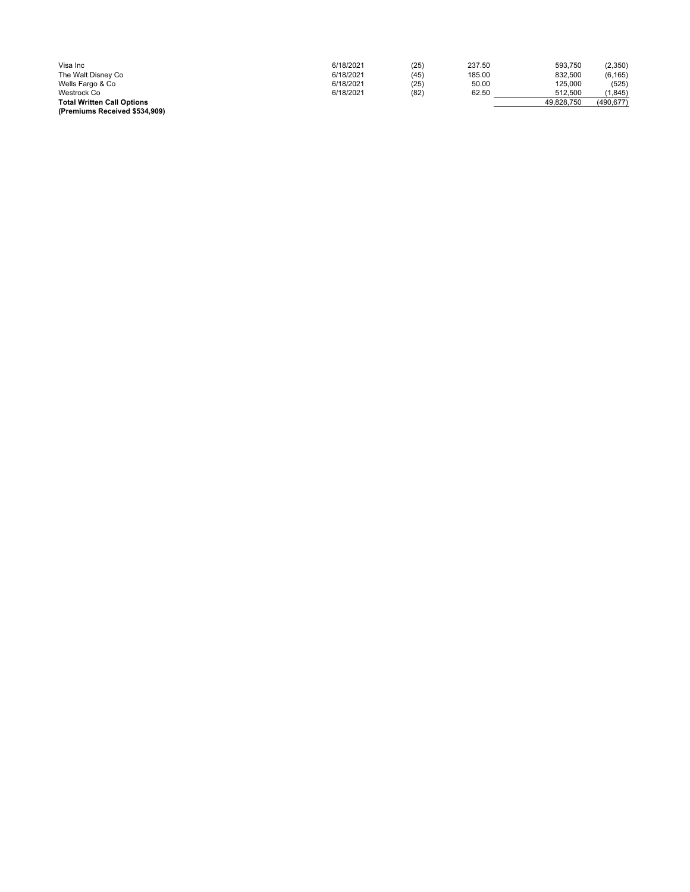| Visa Inc                          | 6/18/2021 | (25) | 237.50 | 593.750    | (2,350)    |
|-----------------------------------|-----------|------|--------|------------|------------|
| The Walt Disney Co                | 6/18/2021 | (45) | 185.00 | 832.500    | (6, 165)   |
| Wells Fargo & Co                  | 6/18/2021 | (25) | 50.00  | 125,000    | (525)      |
| Westrock Co                       | 6/18/2021 | (82) | 62.50  | 512.500    | (1.845)    |
| <b>Total Written Call Options</b> |           |      |        | 49.828.750 | (490, 677) |
| (Premiums Received \$534.909)     |           |      |        |            |            |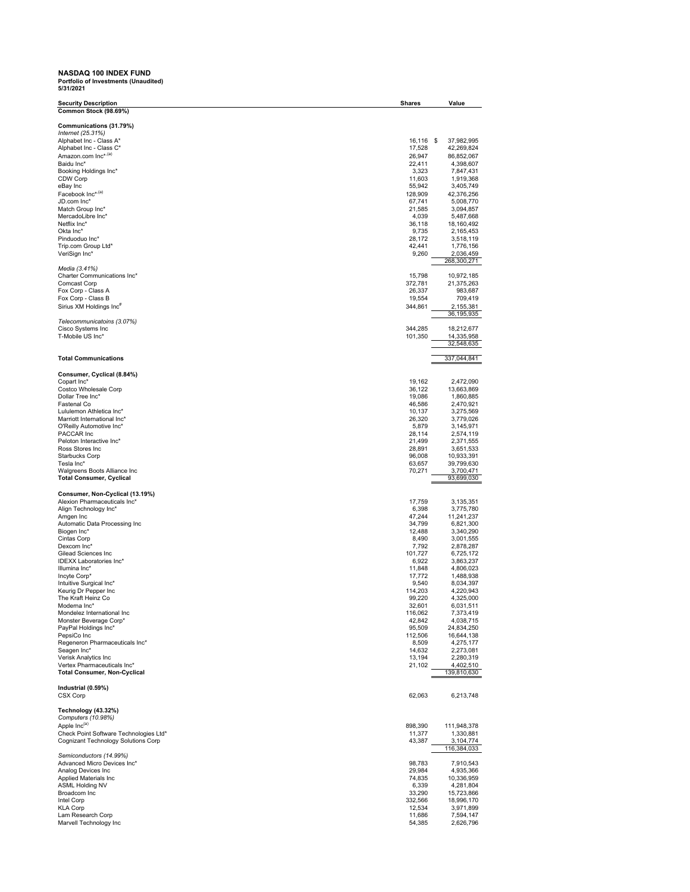## **NASDAQ 100 INDEX FUND Portfolio of Investments (Unaudited ) 5/31/2021**

| <b>Security Description</b>                                     | <b>Shares</b>      | Value                    |
|-----------------------------------------------------------------|--------------------|--------------------------|
| Common Stock (98.69%)                                           |                    |                          |
| Communications (31.79%)                                         |                    |                          |
| Internet (25.31%)                                               |                    |                          |
| Alphabet Inc - Class A*                                         | 16,116             | \$<br>37,982,995         |
| Alphabet Inc - Class C*                                         | 17,528             | 42,269,824               |
| Amazon.com Inc* <sup>,(a)</sup><br>Baidu Inc*                   | 26,947             | 86,852,067               |
| Booking Holdings Inc*                                           | 22,411<br>3,323    | 4,398,607<br>7,847,431   |
| CDW Corp                                                        | 11,603             | 1,919,368                |
| eBay Inc                                                        | 55,942             | 3,405,749                |
| Facebook Inc* <sup>,(a)</sup>                                   | 128,909            | 42,376,256               |
| JD.com Inc*                                                     | 67,741             | 5,008,770                |
| Match Group Inc*                                                | 21,585             | 3,094,857                |
| MercadoLibre Inc*<br>Netflix Inc*                               | 4,039<br>36,118    | 5,487,668<br>18,160,492  |
| Okta Inc*                                                       | 9,735              | 2,165,453                |
| Pinduoduo Inc*                                                  | 28,172             | 3,518,119                |
| Trip.com Group Ltd*                                             | 42,441             | 1,776,156                |
| VeriSign Inc*                                                   | 9,260              | 2,036,459                |
|                                                                 |                    | 268,300,271              |
| Media (3.41%)<br>Charter Communications Inc*                    | 15,798             | 10,972,185               |
| <b>Comcast Corp</b>                                             | 372,781            | 21,375,263               |
| Fox Corp - Class A                                              | 26,337             | 983,687                  |
| Fox Corp - Class B                                              | 19,554             | 709,419                  |
| Sirius XM Holdings Inc <sup>#</sup>                             | 344,861            | 2,155,381                |
|                                                                 |                    | 36,195,935               |
| Telecommunicatoins (3.07%)                                      |                    |                          |
| Cisco Systems Inc<br>T-Mobile US Inc*                           | 344,285<br>101,350 | 18,212,677<br>14,335,958 |
|                                                                 |                    | 32,548,635               |
|                                                                 |                    |                          |
| <b>Total Communications</b>                                     |                    | 337,044,841              |
|                                                                 |                    |                          |
| Consumer, Cyclical (8.84%)<br>Copart Inc*                       | 19,162             |                          |
| Costco Wholesale Corp                                           | 36,122             | 2,472,090<br>13,663,869  |
| Dollar Tree Inc*                                                | 19,086             | 1,860,885                |
| Fastenal Co                                                     | 46,586             | 2,470,921                |
| Lululemon Athletica Inc*                                        | 10,137             | 3,275,569                |
| Marriott International Inc*                                     | 26,320             | 3,779,026                |
| O'Reilly Automotive Inc*                                        | 5,879              | 3,145,971                |
| PACCAR Inc                                                      | 28,114             | 2,574,119                |
| Peloton Interactive Inc*<br>Ross Stores Inc                     | 21,499<br>28,891   | 2,371,555<br>3,651,533   |
| <b>Starbucks Corp</b>                                           | 96,008             | 10,933,391               |
| Tesla Inc*                                                      | 63,657             | 39,799,630               |
| Walgreens Boots Alliance Inc                                    | 70,271             | 3,700,471                |
| <b>Total Consumer, Cyclical</b>                                 |                    | 93,699,030               |
|                                                                 |                    |                          |
| Consumer, Non-Cyclical (13.19%)<br>Alexion Pharmaceuticals Inc* | 17,759             | 3,135,351                |
| Align Technology Inc*                                           | 6,398              | 3,775,780                |
| Amgen Inc                                                       | 47,244             | 11,241,237               |
| Automatic Data Processing Inc                                   | 34,799             | 6,821,300                |
| Biogen Inc*                                                     | 12,488             | 3,340,290                |
| Cintas Corp                                                     | 8,490              | 3,001,555                |
| Dexcom Inc*<br>Gilead Sciences Inc                              | 7,792<br>101,727   | 2,878,287<br>6,725,172   |
| IDEXX Laboratories Inc*                                         | 6,922              | 3,863,237                |
| Illumina Inc*                                                   | 11,848             | 4,806,023                |
| Incyte Corp*                                                    | 17,772             | 1,488,938                |
| Intuitive Surgical Inc*                                         | 9,540              | 8,034,397                |
| Keurig Dr Pepper Inc                                            | 114,203            | 4,220,943                |
| The Kraft Heinz Co                                              | 99,220             | 4,325,000                |
| Moderna Inc'<br>Mondelez International Inc                      | 32,601<br>116,062  | 6,031,511<br>7,373,419   |
| Monster Beverage Corp*                                          | 42,842             | 4,038,715                |
| PayPal Holdings Inc*                                            | 95,509             | 24,834,250               |
| PepsiCo Inc                                                     | 112,506            | 16,644,138               |
| Regeneron Pharmaceuticals Inc*                                  | 8,509              | 4,275,177                |
| Seagen Inc*                                                     | 14,632             | 2,273,081                |
| Verisk Analytics Inc                                            | 13,194             | 2,280,319                |
| Vertex Pharmaceuticals Inc*<br>Total Consumer, Non-Cyclical     | 21,102             | 4,402,510<br>139,810,630 |
|                                                                 |                    |                          |
| Industrial (0.59%)                                              |                    |                          |
| CSX Corp                                                        | 62,063             | 6,213,748                |
| Technology (43.32%)                                             |                    |                          |
| Computers (10.98%)                                              |                    |                          |
| Apple Inc <sup>(a)</sup>                                        | 898,390            | 111,948,378              |
| Check Point Software Technologies Ltd*                          | 11,377             | 1,330,881                |
| Cognizant Technology Solutions Corp                             | 43,387             | 3,104,774                |
|                                                                 |                    | 116,384,033              |
| Semiconductors (14.99%)<br>Advanced Micro Devices Inc*          | 98,783             | 7,910,543                |
| Analog Devices Inc                                              | 29,984             | 4,935,366                |
| Applied Materials Inc                                           | 74,835             | 10,336,959               |
| ASML Holding NV                                                 | 6,339              | 4,281,804                |
| Broadcom Inc                                                    | 33,290             | 15,723,866               |
| Intel Corp                                                      | 332,566            | 18,996,170               |
| <b>KLA Corp</b>                                                 | 12,534             | 3,971,899                |
| Lam Research Corp<br>Marvell Technology Inc                     | 11,686<br>54,385   | 7,594,147<br>2,626,796   |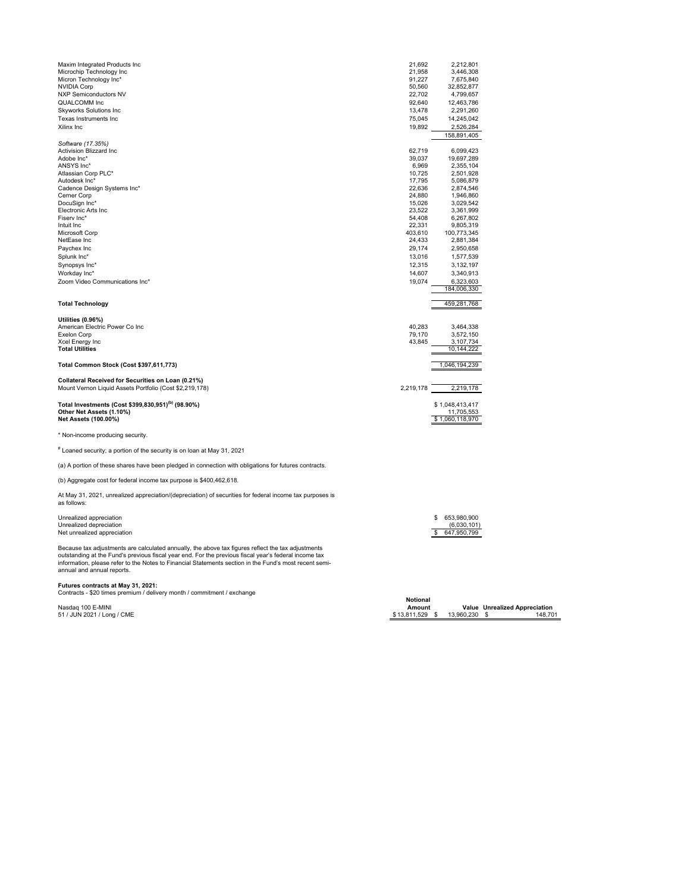| Maxim Integrated Products Inc                                                                            | 21,692    | 2,212,801                     |
|----------------------------------------------------------------------------------------------------------|-----------|-------------------------------|
| Microchip Technology Inc                                                                                 | 21,958    | 3,446,308                     |
| Micron Technology Inc*                                                                                   | 91,227    | 7,675,840                     |
| <b>NVIDIA Corp</b>                                                                                       | 50,560    | 32,852,877                    |
| <b>NXP Semiconductors NV</b>                                                                             | 22,702    | 4,799,657                     |
| QUALCOMM Inc                                                                                             | 92,640    | 12,463,786                    |
| <b>Skyworks Solutions Inc.</b>                                                                           | 13,478    | 2,291,260                     |
| Texas Instruments Inc                                                                                    | 75,045    | 14,245,042                    |
| Xilinx Inc                                                                                               |           |                               |
|                                                                                                          | 19,892    | 2,526,284                     |
|                                                                                                          |           | 158,891,405                   |
| Software (17.35%)                                                                                        |           |                               |
| Activision Blizzard Inc                                                                                  | 62,719    | 6,099,423                     |
| Adobe Inc*                                                                                               | 39,037    | 19,697,289                    |
| ANSYS Inc*                                                                                               | 6,969     | 2,355,104                     |
| Atlassian Corp PLC*                                                                                      | 10,725    | 2,501,928                     |
| Autodesk Inc*                                                                                            | 17,795    | 5,086,879                     |
| Cadence Design Systems Inc*                                                                              | 22,636    | 2,874,546                     |
| Cerner Corp                                                                                              | 24,880    | 1,946,860                     |
| DocuSign Inc*                                                                                            | 15,026    | 3,029,542                     |
| Electronic Arts Inc.                                                                                     | 23,522    | 3,361,999                     |
| Fisery Inc*                                                                                              | 54,408    | 6,267,802                     |
| Intuit Inc                                                                                               | 22,331    | 9,805,319                     |
| Microsoft Corp                                                                                           | 403,610   | 100,773,345                   |
| NetEase Inc                                                                                              | 24,433    | 2,881,384                     |
| Paychex Inc                                                                                              | 29,174    | 2,950,658                     |
| Splunk Inc*                                                                                              | 13,016    | 1,577,539                     |
| Synopsys Inc*                                                                                            | 12,315    | 3,132,197                     |
| Workday Inc*                                                                                             | 14,607    | 3,340,913                     |
| Zoom Video Communications Inc*                                                                           | 19,074    | 6,323,603                     |
|                                                                                                          |           | 184,006,330                   |
|                                                                                                          |           |                               |
| <b>Total Technology</b>                                                                                  |           | 459,281,768                   |
|                                                                                                          |           |                               |
| Utilities (0.96%)                                                                                        |           |                               |
| American Electric Power Co Inc                                                                           | 40,283    | 3,464,338                     |
| <b>Exelon Corp</b>                                                                                       | 79,170    | 3,572,150                     |
| Xcel Energy Inc                                                                                          | 43,845    | 3,107,734                     |
| <b>Total Utilities</b>                                                                                   |           | 10,144,222                    |
|                                                                                                          |           |                               |
| Total Common Stock (Cost \$397,611,773)                                                                  |           | 1,046,194,239                 |
|                                                                                                          |           |                               |
| Collateral Received for Securities on Loan (0.21%)                                                       |           |                               |
| Mount Vernon Liquid Assets Portfolio (Cost \$2,219,178)                                                  | 2,219,178 | 2,219,178                     |
|                                                                                                          |           |                               |
| Total Investments (Cost \$399,830,951) <sup>(b)</sup> (98.90%)                                           |           |                               |
|                                                                                                          |           | \$1,048,413,417               |
| Other Net Assets (1.10%)<br>Net Assets (100.00%)                                                         |           | 11,705,553<br>\$1,060,118,970 |
|                                                                                                          |           |                               |
|                                                                                                          |           |                               |
| * Non-income producing security.                                                                         |           |                               |
| # Loaned security; a portion of the security is on loan at May 31, 2021                                  |           |                               |
|                                                                                                          |           |                               |
| (a) A portion of these shares have been pledged in connection with obligations for futures contracts.    |           |                               |
|                                                                                                          |           |                               |
| (b) Aggregate cost for federal income tax purpose is \$400,462,618.                                      |           |                               |
| At May 31, 2021, unrealized appreciation/(depreciation) of securities for federal income tax purposes is |           |                               |
| as follows:                                                                                              |           |                               |

Unrealized appreciation \$ 653,980,900 Unrealized depreciation (6,030,101) Net unrealized appreciation \$ 647,950,799

Because tax adjustments are calculated annually, the above tax figures reflect the tax adjustments<br>outstanding at the Fund's previous fiscal year end. For the previous fiscal year's federal income tax<br>information, please r

**Futures contracts at May 31, 2021:**<br>Contracts - \$20 times premium / delivery month / commitment / exchange

Nasdaq 100 E-MINI<br>51 / JUN 2021 / Long / CME

**Notional**<br>**Amount**<br>\$13,811,529 \$ Amount **Value Unrealized Appreciation هال Amount Value Unrealized Appreciation**<br>51 / JUN 2021 / Long / CME \$ 13,960,230 \$ 13,811,529 \$ 13,960,230 \$ 148,701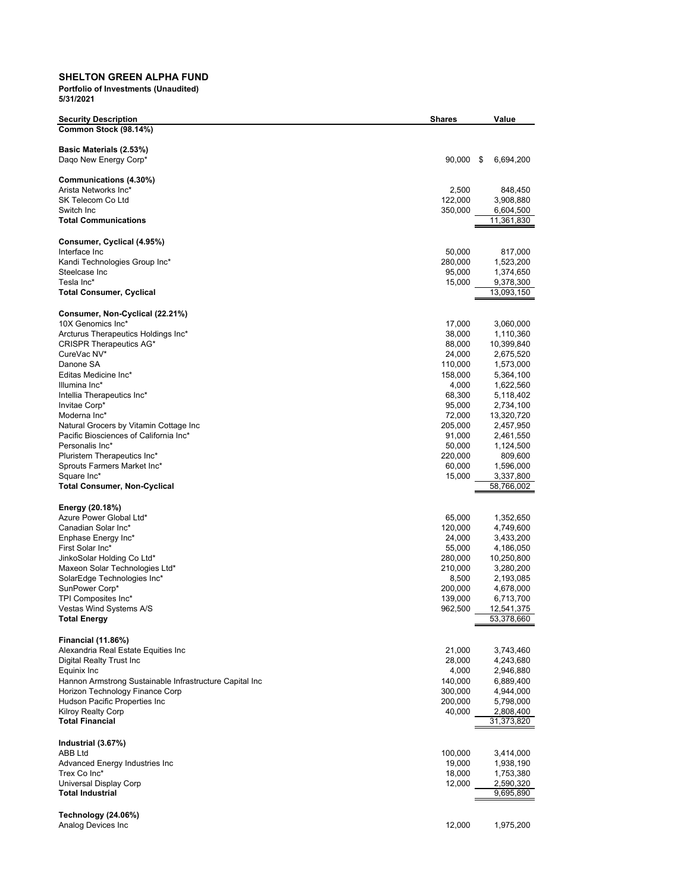## **SHELTON GREEN ALPHA FUND**

| <b>Security Description</b>                                                                | <b>Shares</b>      | Value                   |
|--------------------------------------------------------------------------------------------|--------------------|-------------------------|
| Common Stock (98.14%)                                                                      |                    |                         |
|                                                                                            |                    |                         |
| Basic Materials (2.53%)                                                                    |                    |                         |
| Daqo New Energy Corp*                                                                      | $90,000$ \$        | 6,694,200               |
| Communications (4.30%)                                                                     |                    |                         |
| Arista Networks Inc*                                                                       | 2,500              | 848,450                 |
| SK Telecom Co Ltd                                                                          | 122,000            | 3,908,880               |
| Switch Inc                                                                                 | 350,000            | 6,604,500               |
| <b>Total Communications</b>                                                                |                    | 11,361,830              |
|                                                                                            |                    |                         |
| Consumer, Cyclical (4.95%)<br>Interface Inc                                                | 50,000             | 817,000                 |
| Kandi Technologies Group Inc*                                                              | 280,000            | 1,523,200               |
| Steelcase Inc                                                                              | 95,000             | 1,374,650               |
| Tesla Inc*                                                                                 | 15,000             | 9,378,300               |
| <b>Total Consumer, Cyclical</b>                                                            |                    | 13,093,150              |
|                                                                                            |                    |                         |
| Consumer, Non-Cyclical (22.21%)<br>10X Genomics Inc*                                       | 17,000             | 3,060,000               |
| Arcturus Therapeutics Holdings Inc*                                                        | 38,000             | 1,110,360               |
| CRISPR Therapeutics AG*                                                                    | 88,000             | 10,399,840              |
| CureVac NV*                                                                                | 24,000             | 2,675,520               |
| Danone SA                                                                                  | 110,000            | 1,573,000               |
| Editas Medicine Inc*                                                                       | 158,000            | 5,364,100               |
| Illumina Inc*                                                                              | 4,000              | 1,622,560               |
| Intellia Therapeutics Inc*                                                                 | 68,300             | 5,118,402               |
| Invitae Corp*<br>Moderna Inc*                                                              | 95,000<br>72,000   | 2,734,100<br>13,320,720 |
| Natural Grocers by Vitamin Cottage Inc                                                     | 205,000            | 2,457,950               |
| Pacific Biosciences of California Inc*                                                     | 91,000             | 2,461,550               |
| Personalis Inc*                                                                            | 50,000             | 1,124,500               |
| Pluristem Therapeutics Inc*                                                                | 220,000            | 809,600                 |
| Sprouts Farmers Market Inc*                                                                | 60,000             | 1,596,000               |
| Square Inc*                                                                                | 15,000             | 3,337,800               |
| <b>Total Consumer, Non-Cyclical</b>                                                        |                    | 58,766,002              |
| Energy (20.18%)                                                                            |                    |                         |
| Azure Power Global Ltd*                                                                    | 65,000             | 1,352,650               |
| Canadian Solar Inc*                                                                        | 120,000            | 4,749,600               |
| Enphase Energy Inc*                                                                        | 24,000             | 3,433,200               |
| First Solar Inc*                                                                           | 55,000             | 4,186,050               |
| JinkoSolar Holding Co Ltd*                                                                 | 280,000            | 10,250,800              |
| Maxeon Solar Technologies Ltd*                                                             | 210,000            | 3,280,200               |
| SolarEdge Technologies Inc*<br>SunPower Corp*                                              | 8,500              | 2,193,085               |
| TPI Composites Inc*                                                                        | 200,000<br>139,000 | 4,678,000<br>6,713,700  |
| Vestas Wind Systems A/S                                                                    | 962,500            | 12,541,375              |
| ⊺otal Energy                                                                               |                    | 53,378,660              |
|                                                                                            |                    |                         |
| <b>Financial (11.86%)</b>                                                                  |                    |                         |
| Alexandria Real Estate Equities Inc                                                        | 21,000             | 3,743,460               |
| Digital Realty Trust Inc                                                                   | 28,000             | 4,243,680               |
| Equinix Inc                                                                                | 4,000              | 2,946,880               |
| Hannon Armstrong Sustainable Infrastructure Capital Inc<br>Horizon Technology Finance Corp | 140,000<br>300,000 | 6,889,400<br>4,944,000  |
| Hudson Pacific Properties Inc                                                              | 200,000            | 5,798,000               |
| <b>Kilroy Realty Corp</b>                                                                  | 40,000             | 2,808,400               |
| <b>Total Financial</b>                                                                     |                    | 31,373,820              |
|                                                                                            |                    |                         |
| Industrial (3.67%)                                                                         |                    |                         |
| ABB Ltd                                                                                    | 100,000            | 3,414,000               |
| Advanced Energy Industries Inc                                                             | 19,000             | 1,938,190               |
| Trex Co Inc*<br>Universal Display Corp                                                     | 18,000<br>12,000   | 1,753,380<br>2,590,320  |
| <b>Total Industrial</b>                                                                    |                    | 9,695,890               |
|                                                                                            |                    |                         |
| Technology (24.06%)                                                                        |                    |                         |
| Analog Devices Inc                                                                         | 12,000             | 1,975,200               |
|                                                                                            |                    |                         |